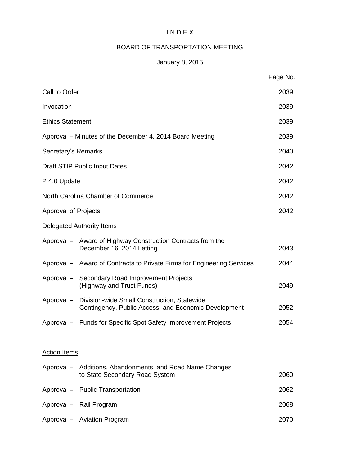# I N D E X

# BOARD OF TRANSPORTATION MEETING

# January 8, 2015

|                         |                                                                                                                | Page No. |
|-------------------------|----------------------------------------------------------------------------------------------------------------|----------|
| Call to Order           |                                                                                                                | 2039     |
| Invocation              |                                                                                                                | 2039     |
| <b>Ethics Statement</b> |                                                                                                                | 2039     |
|                         | Approval – Minutes of the December 4, 2014 Board Meeting                                                       | 2039     |
| Secretary's Remarks     |                                                                                                                | 2040     |
|                         | Draft STIP Public Input Dates                                                                                  | 2042     |
| P 4.0 Update            |                                                                                                                | 2042     |
|                         | North Carolina Chamber of Commerce                                                                             | 2042     |
| Approval of Projects    |                                                                                                                | 2042     |
|                         | Delegated Authority Items                                                                                      |          |
|                         | Approval – Award of Highway Construction Contracts from the<br>December 16, 2014 Letting                       | 2043     |
|                         | Approval - Award of Contracts to Private Firms for Engineering Services                                        | 2044     |
|                         | Approval - Secondary Road Improvement Projects<br>(Highway and Trust Funds)                                    | 2049     |
|                         | Approval - Division-wide Small Construction, Statewide<br>Contingency, Public Access, and Economic Development | 2052     |
|                         | Approval - Funds for Specific Spot Safety Improvement Projects                                                 | 2054     |
| <b>Action Items</b>     |                                                                                                                |          |
|                         | Approval - Additions, Abandonments, and Road Name Changes<br>to State Secondary Road System                    | 2060     |
|                         | Approval - Public Transportation                                                                               | 2062     |
|                         | Approval - Rail Program                                                                                        | 2068     |
|                         | Approval - Aviation Program                                                                                    | 2070     |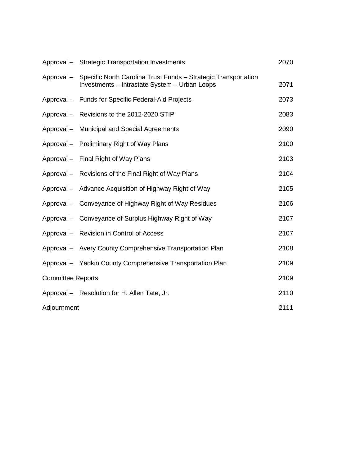|                          | Approval - Strategic Transportation Investments                                                                            | 2070 |
|--------------------------|----------------------------------------------------------------------------------------------------------------------------|------|
|                          | Approval - Specific North Carolina Trust Funds - Strategic Transportation<br>Investments - Intrastate System - Urban Loops | 2071 |
|                          | Approval - Funds for Specific Federal-Aid Projects                                                                         | 2073 |
|                          | Approval - Revisions to the 2012-2020 STIP                                                                                 | 2083 |
|                          | Approval - Municipal and Special Agreements                                                                                | 2090 |
|                          | Approval – Preliminary Right of Way Plans                                                                                  | 2100 |
|                          | Approval - Final Right of Way Plans                                                                                        | 2103 |
|                          | Approval – Revisions of the Final Right of Way Plans                                                                       | 2104 |
|                          | Approval - Advance Acquisition of Highway Right of Way                                                                     | 2105 |
|                          | Approval – Conveyance of Highway Right of Way Residues                                                                     | 2106 |
|                          | Approval - Conveyance of Surplus Highway Right of Way                                                                      | 2107 |
|                          | Approval - Revision in Control of Access                                                                                   | 2107 |
|                          | Approval - Avery County Comprehensive Transportation Plan                                                                  | 2108 |
|                          | Approval - Yadkin County Comprehensive Transportation Plan                                                                 | 2109 |
| <b>Committee Reports</b> |                                                                                                                            | 2109 |
|                          | Approval - Resolution for H. Allen Tate, Jr.                                                                               | 2110 |
| Adjournment              |                                                                                                                            | 2111 |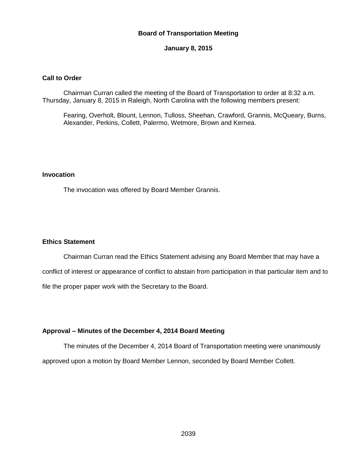## **Board of Transportation Meeting**

#### **January 8, 2015**

#### **Call to Order**

Chairman Curran called the meeting of the Board of Transportation to order at 8:32 a.m. Thursday, January 8, 2015 in Raleigh, North Carolina with the following members present:

Fearing, Overholt, Blount, Lennon, Tulloss, Sheehan, Crawford, Grannis, McQueary, Burns, Alexander, Perkins, Collett, Palermo, Wetmore, Brown and Kernea.

## **Invocation**

The invocation was offered by Board Member Grannis.

#### **Ethics Statement**

Chairman Curran read the Ethics Statement advising any Board Member that may have a conflict of interest or appearance of conflict to abstain from participation in that particular item and to file the proper paper work with the Secretary to the Board.

#### **Approval – Minutes of the December 4, 2014 Board Meeting**

The minutes of the December 4, 2014 Board of Transportation meeting were unanimously approved upon a motion by Board Member Lennon, seconded by Board Member Collett.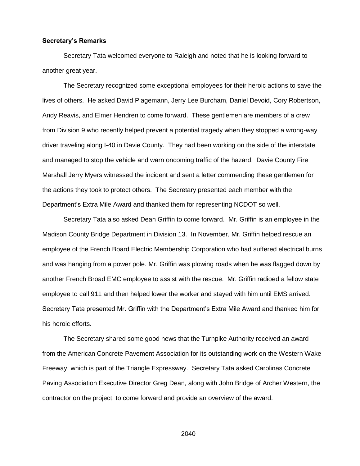#### **Secretary's Remarks**

Secretary Tata welcomed everyone to Raleigh and noted that he is looking forward to another great year.

The Secretary recognized some exceptional employees for their heroic actions to save the lives of others. He asked David Plagemann, Jerry Lee Burcham, Daniel Devoid, Cory Robertson, Andy Reavis, and Elmer Hendren to come forward. These gentlemen are members of a crew from Division 9 who recently helped prevent a potential tragedy when they stopped a wrong-way driver traveling along I-40 in Davie County. They had been working on the side of the interstate and managed to stop the vehicle and warn oncoming traffic of the hazard. Davie County Fire Marshall Jerry Myers witnessed the incident and sent a letter commending these gentlemen for the actions they took to protect others. The Secretary presented each member with the Department's Extra Mile Award and thanked them for representing NCDOT so well.

Secretary Tata also asked Dean Griffin to come forward. Mr. Griffin is an employee in the Madison County Bridge Department in Division 13. In November, Mr. Griffin helped rescue an employee of the French Board Electric Membership Corporation who had suffered electrical burns and was hanging from a power pole. Mr. Griffin was plowing roads when he was flagged down by another French Broad EMC employee to assist with the rescue. Mr. Griffin radioed a fellow state employee to call 911 and then helped lower the worker and stayed with him until EMS arrived. Secretary Tata presented Mr. Griffin with the Department's Extra Mile Award and thanked him for his heroic efforts.

The Secretary shared some good news that the Turnpike Authority received an award from the American Concrete Pavement Association for its outstanding work on the Western Wake Freeway, which is part of the Triangle Expressway. Secretary Tata asked Carolinas Concrete Paving Association Executive Director Greg Dean, along with John Bridge of Archer Western, the contractor on the project, to come forward and provide an overview of the award.

2040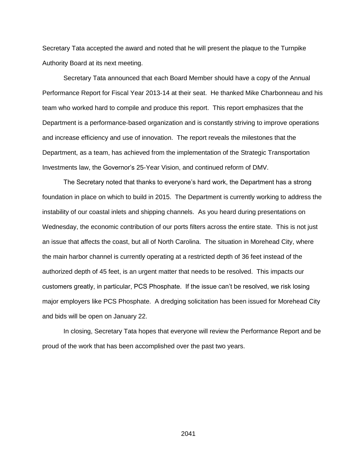Secretary Tata accepted the award and noted that he will present the plaque to the Turnpike Authority Board at its next meeting.

Secretary Tata announced that each Board Member should have a copy of the Annual Performance Report for Fiscal Year 2013-14 at their seat. He thanked Mike Charbonneau and his team who worked hard to compile and produce this report. This report emphasizes that the Department is a performance-based organization and is constantly striving to improve operations and increase efficiency and use of innovation. The report reveals the milestones that the Department, as a team, has achieved from the implementation of the Strategic Transportation Investments law, the Governor's 25-Year Vision, and continued reform of DMV.

The Secretary noted that thanks to everyone's hard work, the Department has a strong foundation in place on which to build in 2015. The Department is currently working to address the instability of our coastal inlets and shipping channels. As you heard during presentations on Wednesday, the economic contribution of our ports filters across the entire state. This is not just an issue that affects the coast, but all of North Carolina. The situation in Morehead City, where the main harbor channel is currently operating at a restricted depth of 36 feet instead of the authorized depth of 45 feet, is an urgent matter that needs to be resolved. This impacts our customers greatly, in particular, PCS Phosphate. If the issue can't be resolved, we risk losing major employers like PCS Phosphate. A dredging solicitation has been issued for Morehead City and bids will be open on January 22.

In closing, Secretary Tata hopes that everyone will review the Performance Report and be proud of the work that has been accomplished over the past two years.

2041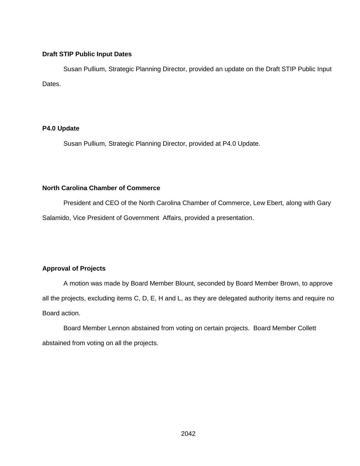## **Draft STIP Public Input Dates**

Susan Pullium, Strategic Planning Director, provided an update on the Draft STIP Public Input Dates.

# **P4.0 Update**

Susan Pullium, Strategic Planning Director, provided at P4.0 Update.

# **North Carolina Chamber of Commerce**

President and CEO of the North Carolina Chamber of Commerce, Lew Ebert, along with Gary Salamido, Vice President of Government Affairs, provided a presentation.

# **Approval of Projects**

A motion was made by Board Member Blount, seconded by Board Member Brown, to approve all the projects, excluding items C, D, E, H and L, as they are delegated authority items and require no Board action.

Board Member Lennon abstained from voting on certain projects. Board Member Collett abstained from voting on all the projects.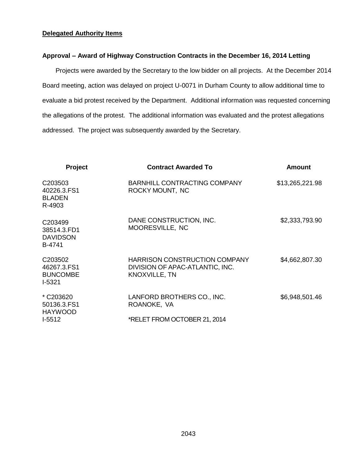# **Delegated Authority Items**

## **Approval – Award of Highway Construction Contracts in the December 16, 2014 Letting**

Projects were awarded by the Secretary to the low bidder on all projects. At the December 2014 Board meeting, action was delayed on project U-0071 in Durham County to allow additional time to evaluate a bid protest received by the Department. Additional information was requested concerning the allegations of the protest. The additional information was evaluated and the protest allegations addressed. The project was subsequently awarded by the Secretary.

| <b>Project</b>                                                  | <b>Contract Awarded To</b>                                                                      | Amount          |
|-----------------------------------------------------------------|-------------------------------------------------------------------------------------------------|-----------------|
| C <sub>203503</sub><br>40226.3.FS1<br><b>BLADEN</b><br>R-4903   | <b>BARNHILL CONTRACTING COMPANY</b><br>ROCKY MOUNT, NC                                          | \$13,265,221.98 |
| C <sub>203499</sub><br>38514.3.FD1<br><b>DAVIDSON</b><br>B-4741 | DANE CONSTRUCTION, INC.<br>MOORESVILLE, NC                                                      | \$2,333,793.90  |
| C203502<br>46267.3.FS1<br><b>BUNCOMBE</b><br>$I-5321$           | <b>HARRISON CONSTRUCTION COMPANY</b><br>DIVISION OF APAC-ATLANTIC, INC.<br><b>KNOXVILLE, TN</b> | \$4,662,807.30  |
| * C203620<br>50136.3.FS1<br><b>HAYWOOD</b>                      | LANFORD BROTHERS CO., INC.<br>ROANOKE, VA                                                       | \$6,948,501.46  |
| $I-5512$                                                        | *RELET FROM OCTOBER 21, 2014                                                                    |                 |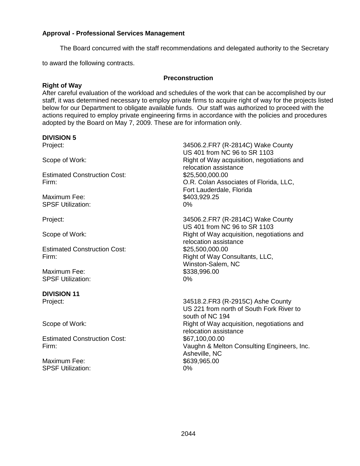## **Approval - Professional Services Management**

The Board concurred with the staff recommendations and delegated authority to the Secretary

to award the following contracts.

#### **Preconstruction**

## **Right of Way**

After careful evaluation of the workload and schedules of the work that can be accomplished by our staff, it was determined necessary to employ private firms to acquire right of way for the projects listed below for our Department to obligate available funds. Our staff was authorized to proceed with the actions required to employ private engineering firms in accordance with the policies and procedures adopted by the Board on May 7, 2009. These are for information only.

#### **DIVISION 5**

Estimated Construction Cost: \$25,500,000.00

Maximum Fee: \$403,929.25 SPSF Utilization: 0%

Estimated Construction Cost: \$25,500,000.00

Maximum Fee: \$338,996.00 SPSF Utilization: 0%

# **DIVISION 11**

Estimated Construction Cost:  $$67,100,00,00$ 

Maximum Fee: \$639,965.00 SPSF Utilization: 0%

Project: 34506.2.FR7 (R-2814C) Wake County US 401 from NC 96 to SR 1103 Scope of Work: The Right of Way acquisition, negotiations and relocation assistance Firm: O.R. Colan Associates of Florida, LLC, Fort Lauderdale, Florida

Project: 34506.2.FR7 (R-2814C) Wake County US 401 from NC 96 to SR 1103 Scope of Work: The Right of Way acquisition, negotiations and relocation assistance Firm: Right of Way Consultants, LLC, Winston-Salem, NC

Project: 34518.2.FR3 (R-2915C) Ashe County US 221 from north of South Fork River to south of NC 194 Scope of Work: Scope of Work: Right of Way acquisition, negotiations and relocation assistance Firm: Vaughn & Melton Consulting Engineers, Inc. Asheville, NC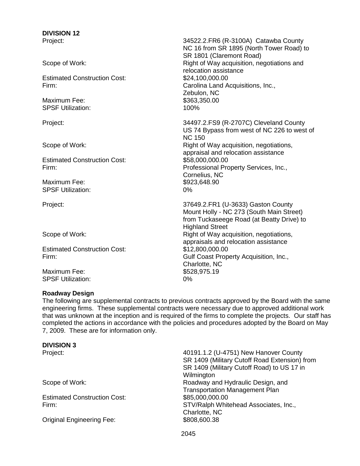# **DIVISION 12**

Estimated Construction Cost: \$24,100,000.00

Maximum Fee: \$363,350.00 SPSF Utilization: 100%

Estimated Construction Cost: \$58,000,000.000.00

Maximum Fee: \$923,648.90 SPSF Utilization: 0%

Estimated Construction Cost: \$12,800,000.00

Maximum Fee: \$528,975.19 SPSF Utilization: 0%

# **Roadway Design**

Project: 34522.2.FR6 (R-3100A) Catawba County NC 16 from SR 1895 (North Tower Road) to SR 1801 (Claremont Road) Scope of Work: The Right of Way acquisition, negotiations and relocation assistance Firm: Carolina Land Acquisitions, Inc., Zebulon, NC

Project: 34497.2.FS9 (R-2707C) Cleveland County US 74 Bypass from west of NC 226 to west of NC 150 Scope of Work: Scope of Work: Scope of Way acquisition, negotiations, appraisal and relocation assistance Firm: Professional Property Services, Inc., Cornelius, NC

Project: 37649.2.FR1 (U-3633) Gaston County Mount Holly - NC 273 (South Main Street) from Tuckaseege Road (at Beatty Drive) to Highland Street Scope of Work:  $\begin{array}{c} \text{Right of Way acquisition, negotiations,} \\ \end{array}$ appraisals and relocation assistance Firm: Gulf Coast Property Acquisition, Inc., Charlotte, NC

The following are supplemental contracts to previous contracts approved by the Board with the same engineering firms. These supplemental contracts were necessary due to approved additional work that was unknown at the inception and is required of the firms to complete the projects. Our staff has completed the actions in accordance with the policies and procedures adopted by the Board on May 7, 2009. These are for information only.

# **DIVISION 3**

Estimated Construction Cost: \$85,000,000.000

Original Engineering Fee: \$808,600.38

Project: 40191.1.2 (U-4751) New Hanover County SR 1409 (Military Cutoff Road Extension) from SR 1409 (Military Cutoff Road) to US 17 in **Wilmington** Scope of Work:  $\qquad \qquad \qquad$  Roadway and Hydraulic Design, and Transportation Management Plan Firm: STV/Ralph Whitehead Associates, Inc., Charlotte, NC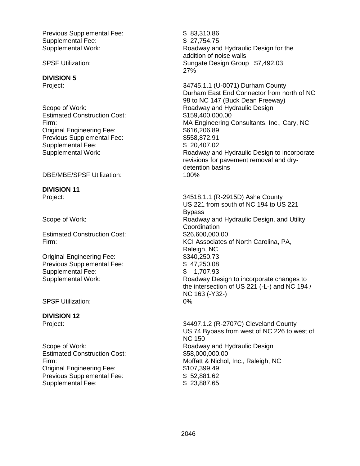Previous Supplemental Fee: \$ 83,310.86 Supplemental Fee:  $$ 27,754.75$ 

#### **DIVISION 5**

Estimated Construction Cost: \$159,400,000.00 Original Engineering Fee: \$616,206.89 Previous Supplemental Fee: \$558,872.91 Supplemental Fee: \$ 20,407.02

DBE/MBE/SPSF Utilization: 100%

**DIVISION 11**

Estimated Construction Cost: \$26,600,000.00

Original Engineering Fee: \$340,250.73 Previous Supplemental Fee:  $$ 47,250.08$ Supplemental Fee:  $$ 1,707.93$ 

SPSF Utilization: 0%

#### **DIVISION 12**

Estimated Construction Cost: \$58,000,000,000.000 Original Engineering Fee: \$107,399.49 Previous Supplemental Fee: \$ 52,881.62 Supplemental Fee: \$ 23,887.65

Supplemental Work: Roadway and Hydraulic Design for the addition of noise walls SPSF Utilization: Sungate Design Group \$7,492.03 27%

Project: 34745.1.1 (U-0071) Durham County Durham East End Connector from north of NC 98 to NC 147 (Buck Dean Freeway) Scope of Work: The Contract of Muslim Roadway and Hydraulic Design Firm: MA Engineering Consultants, Inc., Cary, NC Supplemental Work: Roadway and Hydraulic Design to incorporate revisions for pavement removal and drydetention basins

Project: 34518.1.1 (R-2915D) Ashe County US 221 from south of NC 194 to US 221 Bypass Scope of Work: The Contract of Muslim Roadway and Hydraulic Design, and Utility **Coordination** Firm: KCI Associates of North Carolina, PA, Raleigh, NC Supplemental Work: Roadway Design to incorporate changes to the intersection of US 221 (-L-) and NC 194 / NC 163 (-Y32-)

Project: 24497.1.2 (R-2707C) Cleveland County US 74 Bypass from west of NC 226 to west of NC 150 Scope of Work: Scope of Work: Scope of Work: Roadway and Hydraulic Design Firm: Moffatt & Nichol, Inc., Raleigh, NC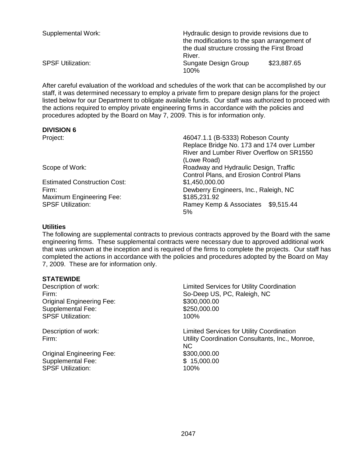| Supplemental Work:       | Hydraulic design to provide revisions due to<br>the modifications to the span arrangement of<br>the dual structure crossing the First Broad<br>River. |             |  |
|--------------------------|-------------------------------------------------------------------------------------------------------------------------------------------------------|-------------|--|
| <b>SPSF Utilization:</b> | Sungate Design Group<br>100%                                                                                                                          | \$23,887.65 |  |

After careful evaluation of the workload and schedules of the work that can be accomplished by our staff, it was determined necessary to employ a private firm to prepare design plans for the project listed below for our Department to obligate available funds. Our staff was authorized to proceed with the actions required to employ private engineering firms in accordance with the policies and procedures adopted by the Board on May 7, 2009. This is for information only.

## **DIVISION 6**

Estimated Construction Cost: \$1,450,000.00 Maximum Engineering Fee: \$185,231.92

Project: 46047.1.1 (B-5333) Robeson County Replace Bridge No. 173 and 174 over Lumber River and Lumber River Overflow on SR1550 (Lowe Road) Scope of Work: Roadway and Hydraulic Design, Traffic Control Plans, and Erosion Control Plans Firm: Dewberry Engineers, Inc., Raleigh, NC SPSF Utilization: SPSF Utilization: Ramey Kemp & Associates \$9,515.44 5%

## **Utilities**

The following are supplemental contracts to previous contracts approved by the Board with the same engineering firms. These supplemental contracts were necessary due to approved additional work that was unknown at the inception and is required of the firms to complete the projects. Our staff has completed the actions in accordance with the policies and procedures adopted by the Board on May 7, 2009. These are for information only.

# **STATEWIDE**

| Description of work:             | <b>Limited Services for Utility Coordination</b>       |
|----------------------------------|--------------------------------------------------------|
| Firm:                            | So-Deep US, PC, Raleigh, NC                            |
| <b>Original Engineering Fee:</b> | \$300,000.00                                           |
| <b>Supplemental Fee:</b>         | \$250,000.00                                           |
| <b>SPSF Utilization:</b>         | 100%                                                   |
| Description of work:             | <b>Limited Services for Utility Coordination</b>       |
| Firm:                            | Utility Coordination Consultants, Inc., Monroe,<br>NC. |
| <b>Original Engineering Fee:</b> | \$300,000.00                                           |
| <b>Supplemental Fee:</b>         | \$15,000.00                                            |
| <b>SPSF Utilization:</b>         | 100%                                                   |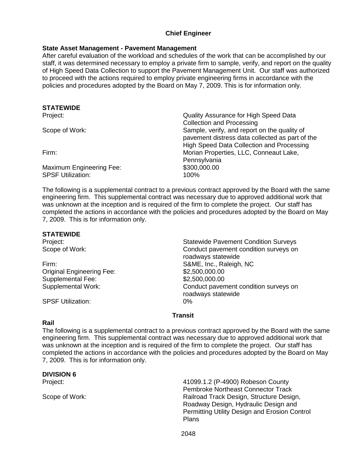# **Chief Engineer**

# **State Asset Management - Pavement Management**

After careful evaluation of the workload and schedules of the work that can be accomplished by our staff, it was determined necessary to employ a private firm to sample, verify, and report on the quality of High Speed Data Collection to support the Pavement Management Unit. Our staff was authorized to proceed with the actions required to employ private engineering firms in accordance with the policies and procedures adopted by the Board on May 7, 2009. This is for information only.

| SIAILWIDE                |                                                 |
|--------------------------|-------------------------------------------------|
| Project:                 | Quality Assurance for High Speed Data           |
|                          | <b>Collection and Processing</b>                |
| Scope of Work:           | Sample, verify, and report on the quality of    |
|                          | pavement distress data collected as part of the |
|                          | High Speed Data Collection and Processing       |
| Firm:                    | Morian Properties, LLC, Conneaut Lake,          |
|                          | Pennsylvania                                    |
| Maximum Engineering Fee: | \$300,000.00                                    |
| <b>SPSF Utilization:</b> | 100%                                            |
|                          |                                                 |

The following is a supplemental contract to a previous contract approved by the Board with the same engineering firm. This supplemental contract was necessary due to approved additional work that was unknown at the inception and is required of the firm to complete the project. Our staff has completed the actions in accordance with the policies and procedures adopted by the Board on May 7, 2009. This is for information only.

#### **STATEWIDE**

**STATEWIDE**

Firm: S&ME, Inc., Raleigh, NC Original Engineering Fee: \$2,500,000.00 Supplemental Fee: \$2,500,000.000

SPSF Utilization: 0%

Project: Statewide Pavement Condition Surveys Scope of Work: Conduct pavement condition surveys on roadways statewide Supplemental Work: Conduct pavement condition surveys on roadways statewide

#### **Transit**

#### **Rail**

The following is a supplemental contract to a previous contract approved by the Board with the same engineering firm. This supplemental contract was necessary due to approved additional work that was unknown at the inception and is required of the firm to complete the project. Our staff has completed the actions in accordance with the policies and procedures adopted by the Board on May 7, 2009. This is for information only.

#### **DIVISION 6**

Project: 41099.1.2 (P-4900) Robeson County Pembroke Northeast Connector Track Scope of Work: The Contract Railroad Track Design, Structure Design, Structure Design, Roadway Design, Hydraulic Design and Permitting Utility Design and Erosion Control Plans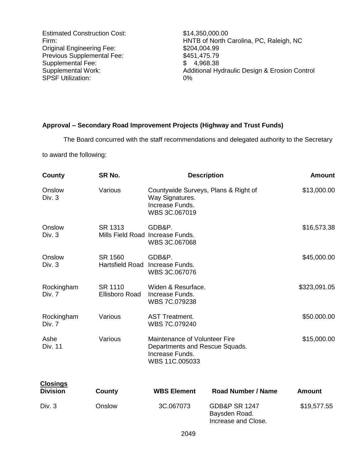Estimated Construction Cost: \$14,350,000.00 Original Engineering Fee: \$204,004.99<br>Previous Supplemental Fee: \$451,475.79 Previous Supplemental Fee: \$451,475.79<br>Supplemental Fee: \$4.968.38 Supplemental Fee:<br>Supplemental Work: SPSF Utilization: 0%

Firm: HNTB of North Carolina, PC, Raleigh, NC Additional Hydraulic Design & Erosion Control

# **Approval – Secondary Road Improvement Projects (Highway and Trust Funds)**

The Board concurred with the staff recommendations and delegated authority to the Secretary

to award the following:

| County                             | SR No.                           | <b>Description</b>                                                                                   |                           | <b>Amount</b> |
|------------------------------------|----------------------------------|------------------------------------------------------------------------------------------------------|---------------------------|---------------|
| Onslow<br>Div. 3                   | Various                          | Countywide Surveys, Plans & Right of<br>Way Signatures.<br>Increase Funds.<br>WBS 3C.067019          |                           | \$13,000.00   |
| Onslow<br>Div. 3                   | SR 1313                          | GDB&P.<br>Mills Field Road Increase Funds.<br>WBS 3C.067068                                          |                           | \$16,573.38   |
| Onslow<br>Div. 3                   | SR 1560                          | GDB&P.<br>Hartsfield Road Increase Funds.<br>WBS 3C.067076                                           |                           | \$45,000.00   |
| Rockingham<br>Div. 7               | SR 1110<br><b>Ellisboro Road</b> | Widen & Resurface.<br>Increase Funds.<br>WBS 7C.079238                                               |                           | \$323,091.05  |
| Rockingham<br>Div. 7               | Various                          | <b>AST Treatment.</b><br>WBS 7C.079240                                                               |                           | \$50.000.00   |
| Ashe<br><b>Div. 11</b>             | Various                          | Maintenance of Volunteer Fire<br>Departments and Rescue Squads.<br>Increase Funds.<br>WBS 11C.005033 |                           | \$15,000.00   |
| <b>Closings</b><br><b>Division</b> | County                           | <b>WBS Element</b>                                                                                   | <b>Road Number / Name</b> | <b>Amount</b> |
| Div. 3                             | Onslow                           | 3C.067073                                                                                            | <b>GDB&amp;P SR 1247</b>  | \$19,577.55   |

Baysden Road. Increase and Close.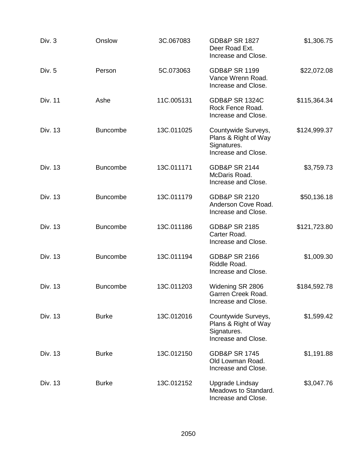| Div. 3         | Onslow          | 3C.067083  | <b>GDB&amp;P SR 1827</b><br>Deer Road Ext.<br>Increase and Close.                 | \$1,306.75   |
|----------------|-----------------|------------|-----------------------------------------------------------------------------------|--------------|
| Div. 5         | Person          | 5C.073063  | <b>GDB&amp;P SR 1199</b><br>Vance Wrenn Road.<br>Increase and Close.              | \$22,072.08  |
| <b>Div. 11</b> | Ashe            | 11C.005131 | <b>GDB&amp;P SR 1324C</b><br>Rock Fence Road.<br>Increase and Close.              | \$115,364.34 |
| Div. 13        | <b>Buncombe</b> | 13C.011025 | Countywide Surveys,<br>Plans & Right of Way<br>Signatures.<br>Increase and Close. | \$124,999.37 |
| Div. 13        | <b>Buncombe</b> | 13C.011171 | <b>GDB&amp;P SR 2144</b><br>McDaris Road.<br>Increase and Close.                  | \$3,759.73   |
| Div. 13        | <b>Buncombe</b> | 13C.011179 | <b>GDB&amp;P SR 2120</b><br>Anderson Cove Road.<br>Increase and Close.            | \$50,136.18  |
| Div. 13        | <b>Buncombe</b> | 13C.011186 | <b>GDB&amp;P SR 2185</b><br>Carter Road.<br>Increase and Close.                   | \$121,723.80 |
| Div. 13        | <b>Buncombe</b> | 13C.011194 | <b>GDB&amp;P SR 2166</b><br>Riddle Road.<br>Increase and Close.                   | \$1,009.30   |
| Div. 13        | <b>Buncombe</b> | 13C.011203 | Widening SR 2806<br>Garren Creek Road.<br>Increase and Close.                     | \$184,592.78 |
| Div. 13        | <b>Burke</b>    | 13C.012016 | Countywide Surveys,<br>Plans & Right of Way<br>Signatures.<br>Increase and Close. | \$1,599.42   |
| Div. 13        | <b>Burke</b>    | 13C.012150 | <b>GDB&amp;P SR 1745</b><br>Old Lowman Road.<br>Increase and Close.               | \$1,191.88   |
| Div. 13        | <b>Burke</b>    | 13C.012152 | Upgrade Lindsay<br>Meadows to Standard.<br>Increase and Close.                    | \$3,047.76   |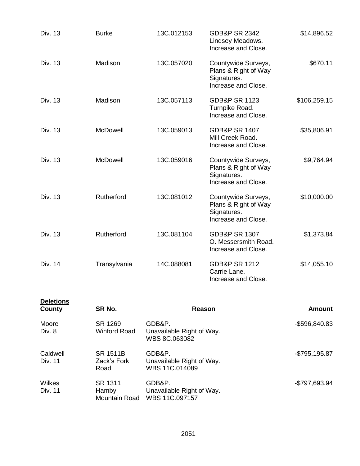| Div. 13                    | <b>Burke</b>                           | 13C.012153                                            | <b>GDB&amp;P SR 2342</b><br>Lindsey Meadows.<br>Increase and Close.               | \$14,896.52   |
|----------------------------|----------------------------------------|-------------------------------------------------------|-----------------------------------------------------------------------------------|---------------|
| Div. 13                    | Madison                                | 13C.057020                                            | Countywide Surveys,<br>Plans & Right of Way<br>Signatures.<br>Increase and Close. | \$670.11      |
| Div. 13                    | Madison                                | 13C.057113                                            | <b>GDB&amp;P SR 1123</b><br>Turnpike Road.<br>Increase and Close.                 | \$106,259.15  |
| Div. 13                    | McDowell                               | 13C.059013                                            | <b>GDB&amp;P SR 1407</b><br>Mill Creek Road.<br>Increase and Close.               | \$35,806.91   |
| Div. 13                    | McDowell                               | 13C.059016                                            | Countywide Surveys,<br>Plans & Right of Way<br>Signatures.<br>Increase and Close. | \$9,764.94    |
| Div. 13                    | Rutherford                             | 13C.081012                                            | Countywide Surveys,<br>Plans & Right of Way<br>Signatures.<br>Increase and Close. | \$10,000.00   |
| Div. 13                    | Rutherford                             | 13C.081104                                            | <b>GDB&amp;P SR 1307</b><br>O. Messersmith Road.<br>Increase and Close.           | \$1,373.84    |
| Div. 14                    | Transylvania                           | 14C.088081                                            | <b>GDB&amp;P SR 1212</b><br>Carrie Lane.<br>Increase and Close.                   | \$14,055.10   |
| <b>Deletions</b><br>County | SR No.                                 | <b>Reason</b>                                         |                                                                                   | <b>Amount</b> |
| Moore<br>Div. 8            | SR 1269<br><b>Winford Road</b>         | GDB&P.<br>Unavailable Right of Way.<br>WBS 8C.063082  |                                                                                   | -\$596,840.83 |
| Caldwell<br><b>Div. 11</b> | <b>SR 1511B</b><br>Zack's Fork<br>Road | GDB&P.<br>Unavailable Right of Way.<br>WBS 11C.014089 |                                                                                   | -\$795,195.87 |
| Wilkes<br>Div. 11          | SR 1311<br>Hamby<br>Mountain Road      | GDB&P.<br>Unavailable Right of Way.<br>WBS 11C.097157 |                                                                                   | -\$797,693.94 |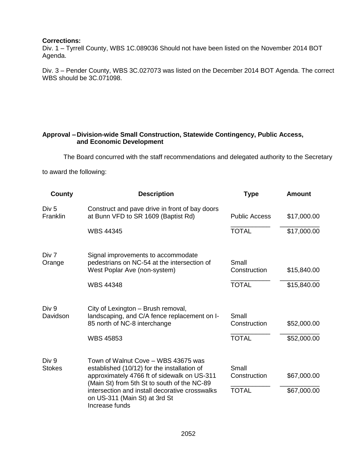## **Corrections:**

Div. 1 – Tyrrell County, WBS 1C.089036 Should not have been listed on the November 2014 BOT Agenda.

Div. 3 – Pender County, WBS 3C.027073 was listed on the December 2014 BOT Agenda. The correct WBS should be 3C.071098.

# **Approval – Division-wide Small Construction, Statewide Contingency, Public Access, and Economic Development**

The Board concurred with the staff recommendations and delegated authority to the Secretary

to award the following:

| County                       | <b>Description</b>                                                                                                                                                                                                                                                                    | Type                                  | <b>Amount</b>              |
|------------------------------|---------------------------------------------------------------------------------------------------------------------------------------------------------------------------------------------------------------------------------------------------------------------------------------|---------------------------------------|----------------------------|
| Div <sub>5</sub><br>Franklin | Construct and pave drive in front of bay doors<br>at Bunn VFD to SR 1609 (Baptist Rd)                                                                                                                                                                                                 | <b>Public Access</b>                  | \$17,000.00                |
|                              | <b>WBS 44345</b>                                                                                                                                                                                                                                                                      | <b>TOTAL</b>                          | \$17,000.00                |
| Div 7<br>Orange              | Signal improvements to accommodate<br>pedestrians on NC-54 at the intersection of<br>West Poplar Ave (non-system)                                                                                                                                                                     | Small<br>Construction                 | \$15,840.00                |
|                              | <b>WBS 44348</b>                                                                                                                                                                                                                                                                      | <b>TOTAL</b>                          | \$15,840.00                |
| Div 9<br>Davidson            | City of Lexington - Brush removal,<br>landscaping, and C/A fence replacement on I-<br>85 north of NC-8 interchange<br><b>WBS 45853</b>                                                                                                                                                | Small<br>Construction<br><b>TOTAL</b> | \$52,000.00<br>\$52,000.00 |
| Div 9<br><b>Stokes</b>       | Town of Walnut Cove - WBS 43675 was<br>established (10/12) for the installation of<br>approximately 4766 ft of sidewalk on US-311<br>(Main St) from 5th St to south of the NC-89<br>intersection and install decorative crosswalks<br>on US-311 (Main St) at 3rd St<br>Increase funds | Small<br>Construction<br><b>TOTAL</b> | \$67,000.00<br>\$67,000.00 |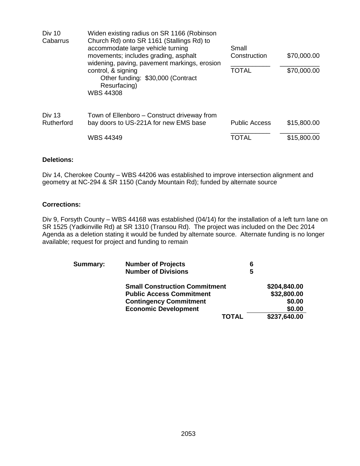| Div 10<br>Cabarrus   | Widen existing radius on SR 1166 (Robinson<br>Church Rd) onto SR 1161 (Stallings Rd) to<br>accommodate large vehicle turning<br>movements; includes grading, asphalt | Small<br>\$70,000.00<br>Construction |             |  |
|----------------------|----------------------------------------------------------------------------------------------------------------------------------------------------------------------|--------------------------------------|-------------|--|
|                      | widening, paving, pavement markings, erosion<br>control, & signing<br>Other funding: \$30,000 (Contract<br>Resurfacing)<br><b>WBS 44308</b>                          | <b>TOTAL</b>                         | \$70,000.00 |  |
| Div 13<br>Rutherford | Town of Ellenboro – Construct driveway from<br>bay doors to US-221A for new EMS base                                                                                 | <b>Public Access</b>                 | \$15,800.00 |  |
|                      | WBS 44349                                                                                                                                                            | TOTAL                                | \$15,800.00 |  |

## **Deletions:**

Div 14, Cherokee County – WBS 44206 was established to improve intersection alignment and geometry at NC-294 & SR 1150 (Candy Mountain Rd); funded by alternate source

# **Corrections:**

Div 9, Forsyth County – WBS 44168 was established (04/14) for the installation of a left turn lane on SR 1525 (Yadkinville Rd) at SR 1310 (Transou Rd). The project was included on the Dec 2014 Agenda as a deletion stating it would be funded by alternate source. Alternate funding is no longer available; request for project and funding to remain

| Summary: | <b>Number of Projects</b>            | 6            |              |
|----------|--------------------------------------|--------------|--------------|
|          | <b>Number of Divisions</b>           | 5            |              |
|          | <b>Small Construction Commitment</b> |              | \$204,840.00 |
|          | <b>Public Access Commitment</b>      |              | \$32,800.00  |
|          | <b>Contingency Commitment</b>        |              | \$0.00       |
|          | <b>Economic Development</b>          |              | \$0.00       |
|          |                                      | <b>TOTAL</b> | \$237,640.00 |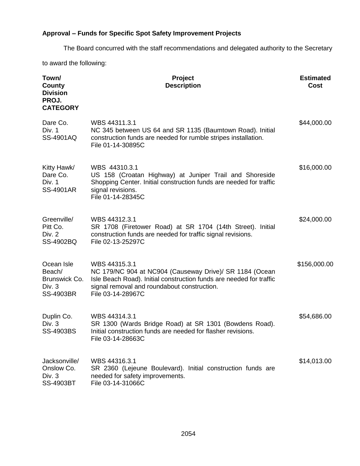# **Approval – Funds for Specific Spot Safety Improvement Projects**

The Board concurred with the staff recommendations and delegated authority to the Secretary

to award the following:

| Town/<br>County<br><b>Division</b><br>PROJ.<br><b>CATEGORY</b>      | <b>Project</b><br><b>Description</b>                                                                                                                                                                                | <b>Estimated</b><br><b>Cost</b> |
|---------------------------------------------------------------------|---------------------------------------------------------------------------------------------------------------------------------------------------------------------------------------------------------------------|---------------------------------|
| Dare Co.<br>Div. 1<br>SS-4901AQ                                     | WBS 44311.3.1<br>NC 345 between US 64 and SR 1135 (Baumtown Road). Initial<br>construction funds are needed for rumble stripes installation.<br>File 01-14-30895C                                                   | \$44,000.00                     |
| Kitty Hawk/<br>Dare Co.<br>Div. 1<br><b>SS-4901AR</b>               | WBS 44310.3.1<br>US 158 (Croatan Highway) at Juniper Trail and Shoreside<br>Shopping Center. Initial construction funds are needed for traffic<br>signal revisions.<br>File 01-14-28345C                            | \$16,000.00                     |
| Greenville/<br>Pitt Co.<br>Div. 2<br>SS-4902BQ                      | WBS 44312.3.1<br>SR 1708 (Firetower Road) at SR 1704 (14th Street). Initial<br>construction funds are needed for traffic signal revisions.<br>File 02-13-25297C                                                     | \$24,000.00                     |
| Ocean Isle<br>Beach/<br>Brunswick Co.<br>Div. 3<br><b>SS-4903BR</b> | WBS 44315.3.1<br>NC 179/NC 904 at NC904 (Causeway Drive)/ SR 1184 (Ocean<br>Isle Beach Road). Initial construction funds are needed for traffic<br>signal removal and roundabout construction.<br>File 03-14-28967C | \$156,000.00                    |
| Duplin Co.<br>Div. 3<br>SS-4903BS                                   | WBS 44314.3.1<br>SR 1300 (Wards Bridge Road) at SR 1301 (Bowdens Road).<br>Initial construction funds are needed for flasher revisions.<br>File 03-14-28663C                                                        | \$54,686.00                     |
| Jacksonville/<br>Onslow Co.<br>Div. 3<br><b>SS-4903BT</b>           | WBS 44316.3.1<br>SR 2360 (Lejeune Boulevard). Initial construction funds are<br>needed for safety improvements.<br>File 03-14-31066C                                                                                | \$14,013.00                     |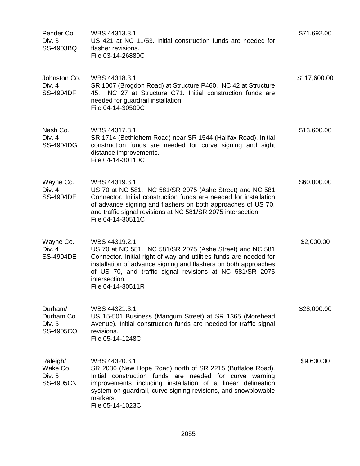| Pender Co.<br>Div. $3$<br>SS-4903BQ                 | WBS 44313.3.1<br>US 421 at NC 11/53. Initial construction funds are needed for<br>flasher revisions.<br>File 03-14-26889C                                                                                                                                                                                            | \$71,692.00  |
|-----------------------------------------------------|----------------------------------------------------------------------------------------------------------------------------------------------------------------------------------------------------------------------------------------------------------------------------------------------------------------------|--------------|
| Johnston Co.<br>Div. 4<br><b>SS-4904DF</b>          | WBS 44318.3.1<br>SR 1007 (Brogdon Road) at Structure P460. NC 42 at Structure<br>NC 27 at Structure C71. Initial construction funds are<br>45.<br>needed for guardrail installation.<br>File 04-14-30509C                                                                                                            | \$117,600.00 |
| Nash Co.<br>Div. 4<br><b>SS-4904DG</b>              | WBS 44317.3.1<br>SR 1714 (Bethlehem Road) near SR 1544 (Halifax Road). Initial<br>construction funds are needed for curve signing and sight<br>distance improvements.<br>File 04-14-30110C                                                                                                                           | \$13,600.00  |
| Wayne Co.<br>Div. $4$<br><b>SS-4904DE</b>           | WBS 44319.3.1<br>US 70 at NC 581. NC 581/SR 2075 (Ashe Street) and NC 581<br>Connector. Initial construction funds are needed for installation<br>of advance signing and flashers on both approaches of US 70,<br>and traffic signal revisions at NC 581/SR 2075 intersection.<br>File 04-14-30511C                  | \$60,000.00  |
| Wayne Co.<br>Div. $4$<br><b>SS-4904DE</b>           | WBS 44319.2.1<br>US 70 at NC 581. NC 581/SR 2075 (Ashe Street) and NC 581<br>Connector. Initial right of way and utilities funds are needed for<br>installation of advance signing and flashers on both approaches<br>of US 70, and traffic signal revisions at NC 581/SR 2075<br>intersection.<br>File 04-14-30511R | \$2,000.00   |
| Durham/<br>Durham Co.<br>Div. 5<br><b>SS-4905CO</b> | WBS 44321.3.1<br>US 15-501 Business (Mangum Street) at SR 1365 (Morehead<br>Avenue). Initial construction funds are needed for traffic signal<br>revisions.<br>File 05-14-1248C                                                                                                                                      | \$28,000.00  |
| Raleigh/<br>Wake Co.<br>Div. 5<br><b>SS-4905CN</b>  | WBS 44320.3.1<br>SR 2036 (New Hope Road) north of SR 2215 (Buffaloe Road).<br>Initial construction funds are needed for curve warning<br>improvements including installation of a linear delineation<br>system on guardrail, curve signing revisions, and snowplowable<br>markers.<br>File 05-14-1023C               | \$9,600.00   |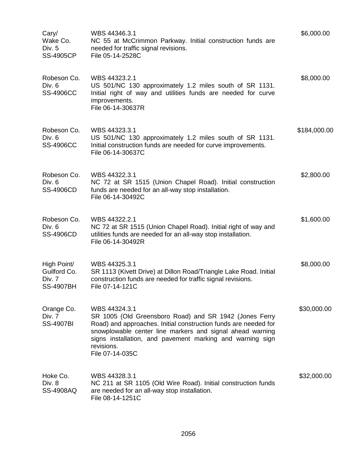| Cary/<br>Wake Co.<br>Div. 5<br><b>SS-4905CP</b>           | WBS 44346.3.1<br>NC 55 at McCrimmon Parkway. Initial construction funds are<br>needed for traffic signal revisions.<br>File 05-14-2528C                                                                                                                                                               | \$6,000.00   |
|-----------------------------------------------------------|-------------------------------------------------------------------------------------------------------------------------------------------------------------------------------------------------------------------------------------------------------------------------------------------------------|--------------|
| Robeson Co.<br>Div. 6<br><b>SS-4906CC</b>                 | WBS 44323.2.1<br>US 501/NC 130 approximately 1.2 miles south of SR 1131.<br>Initial right of way and utilities funds are needed for curve<br>improvements.<br>File 06-14-30637R                                                                                                                       | \$8,000.00   |
| Robeson Co.<br>Div. 6<br><b>SS-4906CC</b>                 | WBS 44323.3.1<br>US 501/NC 130 approximately 1.2 miles south of SR 1131.<br>Initial construction funds are needed for curve improvements.<br>File 06-14-30637C                                                                                                                                        | \$184,000.00 |
| Robeson Co.<br>Div. 6<br><b>SS-4906CD</b>                 | WBS 44322.3.1<br>NC 72 at SR 1515 (Union Chapel Road). Initial construction<br>funds are needed for an all-way stop installation.<br>File 06-14-30492C                                                                                                                                                | \$2,800.00   |
| Robeson Co.<br>Div. 6<br><b>SS-4906CD</b>                 | WBS 44322.2.1<br>NC 72 at SR 1515 (Union Chapel Road). Initial right of way and<br>utilities funds are needed for an all-way stop installation.<br>File 06-14-30492R                                                                                                                                  | \$1,600.00   |
| High Point/<br>Guilford Co.<br>Div. 7<br><b>SS-4907BH</b> | WBS 44325.3.1<br>SR 1113 (Kivett Drive) at Dillon Road/Triangle Lake Road. Initial<br>construction funds are needed for traffic signal revisions.<br>File 07-14-121C                                                                                                                                  | \$8,000.00   |
| Orange Co.<br>Div. 7<br><b>SS-4907BI</b>                  | WBS 44324.3.1<br>SR 1005 (Old Greensboro Road) and SR 1942 (Jones Ferry<br>Road) and approaches. Initial construction funds are needed for<br>snowplowable center line markers and signal ahead warning<br>signs installation, and pavement marking and warning sign<br>revisions.<br>File 07-14-035C | \$30,000.00  |
| Hoke Co.<br>Div. 8<br>SS-4908AQ                           | WBS 44328.3.1<br>NC 211 at SR 1105 (Old Wire Road). Initial construction funds<br>are needed for an all-way stop installation.<br>File 08-14-1251C                                                                                                                                                    | \$32,000.00  |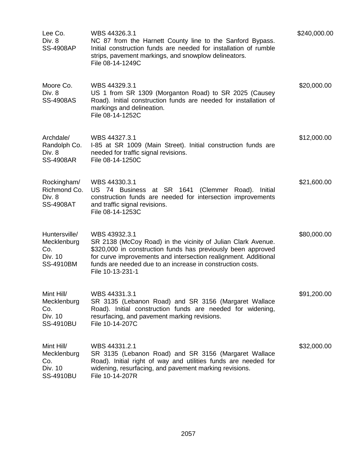| Lee Co.<br>Div. 8<br><b>SS-4908AP</b>                              | WBS 44326.3.1<br>NC 87 from the Harnett County line to the Sanford Bypass.<br>Initial construction funds are needed for installation of rumble<br>strips, pavement markings, and snowplow delineators.<br>File 08-14-1249C                                                                         | \$240,000.00 |
|--------------------------------------------------------------------|----------------------------------------------------------------------------------------------------------------------------------------------------------------------------------------------------------------------------------------------------------------------------------------------------|--------------|
| Moore Co.<br>Div. 8<br><b>SS-4908AS</b>                            | WBS 44329.3.1<br>US 1 from SR 1309 (Morganton Road) to SR 2025 (Causey<br>Road). Initial construction funds are needed for installation of<br>markings and delineation.<br>File 08-14-1252C                                                                                                        | \$20,000.00  |
| Archdale/<br>Randolph Co.<br>Div. 8<br><b>SS-4908AR</b>            | WBS 44327.3.1<br>I-85 at SR 1009 (Main Street). Initial construction funds are<br>needed for traffic signal revisions.<br>File 08-14-1250C                                                                                                                                                         | \$12,000.00  |
| Rockingham/<br>Richmond Co.<br>Div. 8<br><b>SS-4908AT</b>          | WBS 44330.3.1<br>US 74 Business at SR 1641 (Clemmer Road).<br>Initial<br>construction funds are needed for intersection improvements<br>and traffic signal revisions.<br>File 08-14-1253C                                                                                                          | \$21,600.00  |
| Huntersville/<br>Mecklenburg<br>Co.<br>Div. 10<br><b>SS-4910BM</b> | WBS 43932.3.1<br>SR 2138 (McCoy Road) in the vicinity of Julian Clark Avenue.<br>\$320,000 in construction funds has previously been approved<br>for curve improvements and intersection realignment. Additional<br>funds are needed due to an increase in construction costs.<br>File 10-13-231-1 | \$80,000.00  |
| Mint Hill/<br>Mecklenburg<br>Co.<br>Div. 10<br><b>SS-4910BU</b>    | WBS 44331.3.1<br>SR 3135 (Lebanon Road) and SR 3156 (Margaret Wallace<br>Road). Initial construction funds are needed for widening,<br>resurfacing, and pavement marking revisions.<br>File 10-14-207C                                                                                             | \$91,200.00  |
| Mint Hill/<br>Mecklenburg<br>Co.<br>Div. 10<br><b>SS-4910BU</b>    | WBS 44331.2.1<br>SR 3135 (Lebanon Road) and SR 3156 (Margaret Wallace<br>Road). Initial right of way and utilities funds are needed for<br>widening, resurfacing, and pavement marking revisions.<br>File 10-14-207R                                                                               | \$32,000.00  |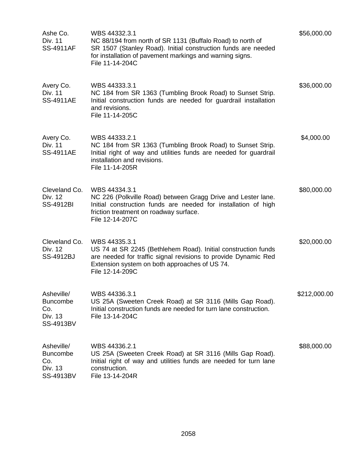| Ashe Co.<br>Div. 11<br><b>SS-4911AF</b>                             | WBS 44332.3.1<br>NC 88/194 from north of SR 1131 (Buffalo Road) to north of<br>SR 1507 (Stanley Road). Initial construction funds are needed<br>for installation of pavement markings and warning signs.<br>File 11-14-204C | \$56,000.00  |
|---------------------------------------------------------------------|-----------------------------------------------------------------------------------------------------------------------------------------------------------------------------------------------------------------------------|--------------|
| Avery Co.<br>Div. 11<br><b>SS-4911AE</b>                            | WBS 44333.3.1<br>NC 184 from SR 1363 (Tumbling Brook Road) to Sunset Strip.<br>Initial construction funds are needed for guardrail installation<br>and revisions.<br>File 11-14-205C                                        | \$36,000.00  |
| Avery Co.<br>Div. 11<br><b>SS-4911AE</b>                            | WBS 44333.2.1<br>NC 184 from SR 1363 (Tumbling Brook Road) to Sunset Strip.<br>Initial right of way and utilities funds are needed for guardrail<br>installation and revisions.<br>File 11-14-205R                          | \$4,000.00   |
| Cleveland Co.<br>Div. 12<br>SS-4912BI                               | WBS 44334.3.1<br>NC 226 (Polkville Road) between Gragg Drive and Lester lane.<br>Initial construction funds are needed for installation of high<br>friction treatment on roadway surface.<br>File 12-14-207C                | \$80,000.00  |
| Cleveland Co.<br>Div. 12<br>SS-4912BJ                               | WBS 44335.3.1<br>US 74 at SR 2245 (Bethlehem Road). Initial construction funds<br>are needed for traffic signal revisions to provide Dynamic Red<br>Extension system on both approaches of US 74.<br>File 12-14-209C        | \$20,000.00  |
| Asheville/<br><b>Buncombe</b><br>Co.<br>Div. 13<br><b>SS-4913BV</b> | WBS 44336.3.1<br>US 25A (Sweeten Creek Road) at SR 3116 (Mills Gap Road).<br>Initial construction funds are needed for turn lane construction.<br>File 13-14-204C                                                           | \$212,000.00 |
| Asheville/<br><b>Buncombe</b><br>Co.<br>Div. 13<br>SS-4913BV        | WBS 44336.2.1<br>US 25A (Sweeten Creek Road) at SR 3116 (Mills Gap Road).<br>Initial right of way and utilities funds are needed for turn lane<br>construction.<br>File 13-14-204R                                          | \$88,000.00  |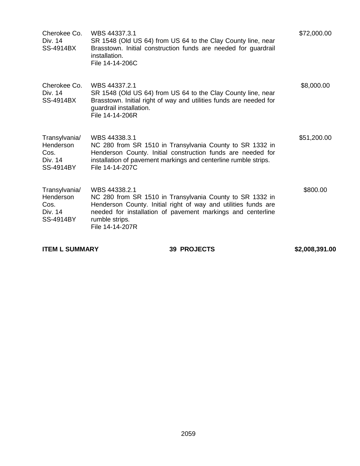| Cherokee Co.<br>Div. 14<br><b>SS-4914BX</b>                       | WBS 44337.3.1<br>SR 1548 (Old US 64) from US 64 to the Clay County line, near<br>Brasstown. Initial construction funds are needed for guardrail<br>installation.<br>File 14-14-206C                                                             | \$72,000.00 |
|-------------------------------------------------------------------|-------------------------------------------------------------------------------------------------------------------------------------------------------------------------------------------------------------------------------------------------|-------------|
| Cherokee Co.<br>Div. 14<br>SS-4914BX                              | WBS 44337.2.1<br>SR 1548 (Old US 64) from US 64 to the Clay County line, near<br>Brasstown. Initial right of way and utilities funds are needed for<br>guardrail installation.<br>File 14-14-206R                                               | \$8,000.00  |
| Transylvania/<br>Henderson<br>Cos.<br>Div. 14<br><b>SS-4914BY</b> | WBS 44338.3.1<br>NC 280 from SR 1510 in Transylvania County to SR 1332 in<br>Henderson County. Initial construction funds are needed for<br>installation of pavement markings and centerline rumble strips.<br>File 14-14-207C                  | \$51,200.00 |
| Transylvania/<br>Henderson<br>Cos.<br>Div. 14<br><b>SS-4914BY</b> | WBS 44338.2.1<br>NC 280 from SR 1510 in Transylvania County to SR 1332 in<br>Henderson County. Initial right of way and utilities funds are<br>needed for installation of pavement markings and centerline<br>rumble strips.<br>File 14-14-207R | \$800.00    |

**ITEM L SUMMARY 42,008,391.00** 39 PROJECTS \$2,008,391.00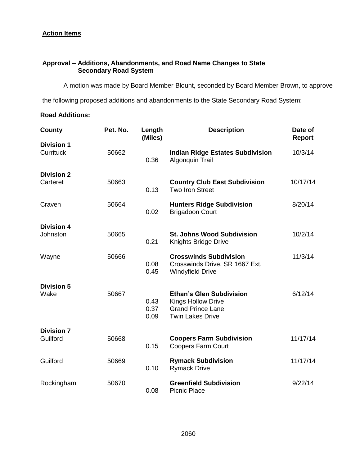# **Action Items**

# **Approval – Additions, Abandonments, and Road Name Changes to State Secondary Road System**

A motion was made by Board Member Blount, seconded by Board Member Brown, to approve

the following proposed additions and abandonments to the State Secondary Road System:

# **Road Additions:**

| County                        | Pet. No. | Length<br>(Miles)    | <b>Description</b>                                                                                                  | Date of<br>Report |
|-------------------------------|----------|----------------------|---------------------------------------------------------------------------------------------------------------------|-------------------|
| <b>Division 1</b>             |          |                      |                                                                                                                     |                   |
| Currituck                     | 50662    | 0.36                 | <b>Indian Ridge Estates Subdivision</b><br>Algonquin Trail                                                          | 10/3/14           |
| <b>Division 2</b>             |          |                      |                                                                                                                     |                   |
| Carteret                      | 50663    | 0.13                 | <b>Country Club East Subdivision</b><br>Two Iron Street                                                             | 10/17/14          |
| Craven                        | 50664    | 0.02                 | <b>Hunters Ridge Subdivision</b><br><b>Brigadoon Court</b>                                                          | 8/20/14           |
|                               |          |                      |                                                                                                                     |                   |
| <b>Division 4</b><br>Johnston | 50665    | 0.21                 | <b>St. Johns Wood Subdivision</b><br>Knights Bridge Drive                                                           | 10/2/14           |
| Wayne                         | 50666    | 0.08<br>0.45         | <b>Crosswinds Subdivision</b><br>Crosswinds Drive, SR 1667 Ext.<br><b>Windyfield Drive</b>                          | 11/3/14           |
| <b>Division 5</b>             |          |                      |                                                                                                                     |                   |
| Wake                          | 50667    | 0.43<br>0.37<br>0.09 | <b>Ethan's Glen Subdivision</b><br><b>Kings Hollow Drive</b><br><b>Grand Prince Lane</b><br><b>Twin Lakes Drive</b> | 6/12/14           |
| <b>Division 7</b>             |          |                      |                                                                                                                     |                   |
| Guilford                      | 50668    | 0.15                 | <b>Coopers Farm Subdivision</b><br><b>Coopers Farm Court</b>                                                        | 11/17/14          |
| Guilford                      | 50669    | 0.10                 | <b>Rymack Subdivision</b><br><b>Rymack Drive</b>                                                                    | 11/17/14          |
| Rockingham                    | 50670    | 0.08                 | <b>Greenfield Subdivision</b><br><b>Picnic Place</b>                                                                | 9/22/14           |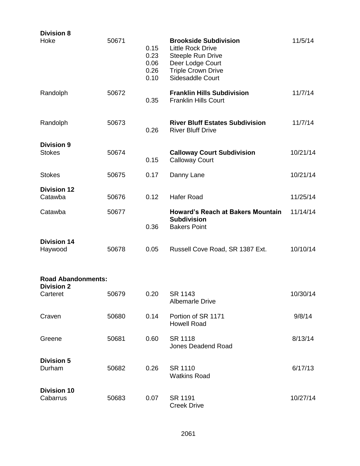| <b>Division 8</b><br>Hoke                      | 50671 | 0.15<br>0.23<br>0.06<br>0.26<br>0.10 | <b>Brookside Subdivision</b><br><b>Little Rock Drive</b><br>Steeple Run Drive<br>Deer Lodge Court<br><b>Triple Crown Drive</b><br>Sidesaddle Court | 11/5/14  |
|------------------------------------------------|-------|--------------------------------------|----------------------------------------------------------------------------------------------------------------------------------------------------|----------|
| Randolph                                       | 50672 | 0.35                                 | <b>Franklin Hills Subdivision</b><br><b>Franklin Hills Court</b>                                                                                   | 11/7/14  |
| Randolph                                       | 50673 | 0.26                                 | <b>River Bluff Estates Subdivision</b><br><b>River Bluff Drive</b>                                                                                 | 11/7/14  |
| <b>Division 9</b><br><b>Stokes</b>             | 50674 | 0.15                                 | <b>Calloway Court Subdivision</b><br><b>Calloway Court</b>                                                                                         | 10/21/14 |
| <b>Stokes</b>                                  | 50675 | 0.17                                 | Danny Lane                                                                                                                                         | 10/21/14 |
| <b>Division 12</b><br>Catawba                  | 50676 | 0.12                                 | <b>Hafer Road</b>                                                                                                                                  | 11/25/14 |
| Catawba                                        | 50677 | 0.36                                 | <b>Howard's Reach at Bakers Mountain</b><br><b>Subdivision</b><br><b>Bakers Point</b>                                                              | 11/14/14 |
| <b>Division 14</b><br>Haywood                  | 50678 | 0.05                                 | Russell Cove Road, SR 1387 Ext.                                                                                                                    | 10/10/14 |
| <b>Road Abandonments:</b><br><b>Division 2</b> |       |                                      |                                                                                                                                                    |          |
| Carteret                                       | 50679 | 0.20                                 | SR 1143<br><b>Albemarle Drive</b>                                                                                                                  | 10/30/14 |
| Craven                                         | 50680 | 0.14                                 | Portion of SR 1171<br><b>Howell Road</b>                                                                                                           | 9/8/14   |
| Greene                                         | 50681 | 0.60                                 | SR 1118<br><b>Jones Deadend Road</b>                                                                                                               | 8/13/14  |
| <b>Division 5</b><br>Durham                    | 50682 | 0.26                                 | SR 1110<br><b>Watkins Road</b>                                                                                                                     | 6/17/13  |
| <b>Division 10</b><br>Cabarrus                 | 50683 | 0.07                                 | SR 1191<br><b>Creek Drive</b>                                                                                                                      | 10/27/14 |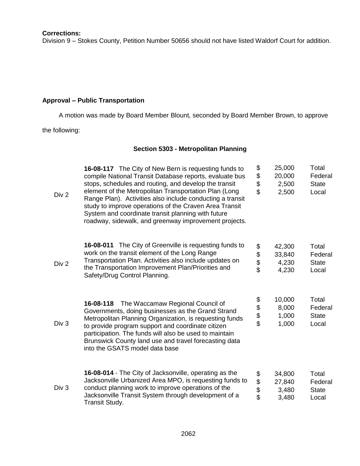## **Corrections:**

Division 9 – Stokes County, Petition Number 50656 should not have listed Waldorf Court for addition.

# **Approval – Public Transportation**

A motion was made by Board Member Blount, seconded by Board Member Brown, to approve

the following:

# **Section 5303 - Metropolitan Planning**

| Div 2            | 16-08-117 The City of New Bern is requesting funds to<br>compile National Transit Database reports, evaluate bus<br>stops, schedules and routing, and develop the transit<br>element of the Metropolitan Transportation Plan (Long<br>Range Plan). Activities also include conducting a transit<br>study to improve operations of the Craven Area Transit<br>System and coordinate transit planning with future<br>roadway, sidewalk, and greenway improvement projects. | \$<br>\$<br>\$<br>\$ | 25,000<br>20,000<br>2,500<br>2,500 | Total<br>Federal<br><b>State</b><br>Local |
|------------------|--------------------------------------------------------------------------------------------------------------------------------------------------------------------------------------------------------------------------------------------------------------------------------------------------------------------------------------------------------------------------------------------------------------------------------------------------------------------------|----------------------|------------------------------------|-------------------------------------------|
| Div 2            | 16-08-011 The City of Greenville is requesting funds to<br>work on the transit element of the Long Range<br>Transportation Plan. Activities also include updates on<br>the Transportation Improvement Plan/Priorities and<br>Safety/Drug Control Planning.                                                                                                                                                                                                               | \$<br>\$<br>\$       | 42,300<br>33,840<br>4,230<br>4,230 | Total<br>Federal<br><b>State</b><br>Local |
| Div 3            | The Waccamaw Regional Council of<br>16-08-118<br>Governments, doing businesses as the Grand Strand<br>Metropolitan Planning Organization, is requesting funds<br>to provide program support and coordinate citizen<br>participation. The funds will also be used to maintain<br>Brunswick County land use and travel forecasting data<br>into the GSATS model data base                                                                                                  | \$\$\$\$             | 10,000<br>8,000<br>1,000<br>1,000  | Total<br>Federal<br><b>State</b><br>Local |
| Div <sub>3</sub> | 16-08-014 - The City of Jacksonville, operating as the<br>Jacksonville Urbanized Area MPO, is requesting funds to<br>conduct planning work to improve operations of the<br>Jacksonville Transit System through development of a<br>Transit Study.                                                                                                                                                                                                                        | \$<br>\$<br>\$<br>\$ | 34,800<br>27,840<br>3,480<br>3,480 | Total<br>Federal<br><b>State</b><br>Local |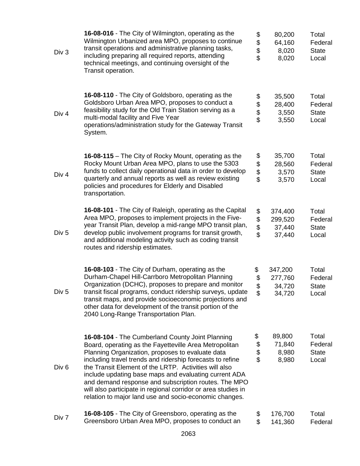| Div 3            | 16-08-016 - The City of Wilmington, operating as the<br>Wilmington Urbanized area MPO, proposes to continue<br>transit operations and administrative planning tasks,<br>including preparing all required reports, attending<br>technical meetings, and continuing oversight of the<br>Transit operation.                                                                                                                                                                                                                         | \$<br>\$<br>\$<br>\$ | 80,200<br>64,160<br>8,020<br>8,020     | Total<br>Federal<br><b>State</b><br>Local |
|------------------|----------------------------------------------------------------------------------------------------------------------------------------------------------------------------------------------------------------------------------------------------------------------------------------------------------------------------------------------------------------------------------------------------------------------------------------------------------------------------------------------------------------------------------|----------------------|----------------------------------------|-------------------------------------------|
| Div <sub>4</sub> | 16-08-110 - The City of Goldsboro, operating as the<br>Goldsboro Urban Area MPO, proposes to conduct a<br>feasibility study for the Old Train Station serving as a<br>multi-modal facility and Five Year<br>operations/administration study for the Gateway Transit<br>System.                                                                                                                                                                                                                                                   | \$<br>\$\$           | 35,500<br>28,400<br>3,550<br>3,550     | Total<br>Federal<br><b>State</b><br>Local |
| Div <sub>4</sub> | 16-08-115 – The City of Rocky Mount, operating as the<br>Rocky Mount Urban Area MPO, plans to use the 5303<br>funds to collect daily operational data in order to develop<br>quarterly and annual reports as well as review existing<br>policies and procedures for Elderly and Disabled<br>transportation.                                                                                                                                                                                                                      | \$<br>\$<br>\$<br>\$ | 35,700<br>28,560<br>3,570<br>3,570     | Total<br>Federal<br><b>State</b><br>Local |
| Div <sub>5</sub> | 16-08-101 - The City of Raleigh, operating as the Capital<br>Area MPO, proposes to implement projects in the Five-<br>year Transit Plan, develop a mid-range MPO transit plan,<br>develop public involvement programs for transit growth,<br>and additional modeling activity such as coding transit<br>routes and ridership estimates.                                                                                                                                                                                          | \$<br>\$<br>\$       | 374,400<br>299,520<br>37,440<br>37,440 | Total<br>Federal<br><b>State</b><br>Local |
| Div 5            | 16-08-103 - The City of Durham, operating as the<br>Durham-Chapel Hill-Carrboro Metropolitan Planning<br>Organization (DCHC), proposes to prepare and monitor<br>transit fiscal programs, conduct ridership surveys, update<br>transit maps, and provide socioeconomic projections and<br>other data for development of the transit portion of the<br>2040 Long-Range Transportation Plan.                                                                                                                                       | \$<br>\$<br>\$<br>\$ | 347,200<br>277,760<br>34,720<br>34,720 | Total<br>Federal<br><b>State</b><br>Local |
| Div <sub>6</sub> | 16-08-104 - The Cumberland County Joint Planning<br>Board, operating as the Fayetteville Area Metropolitan<br>Planning Organization, proposes to evaluate data<br>including travel trends and ridership forecasts to refine<br>the Transit Element of the LRTP. Activities will also<br>include updating base maps and evaluating current ADA<br>and demand response and subscription routes. The MPO<br>will also participate in regional corridor or area studies in<br>relation to major land use and socio-economic changes. | \$<br>\$<br>\$       | 89,800<br>71,840<br>8,980<br>8,980     | Total<br>Federal<br><b>State</b><br>Local |
| Div 7            | 16-08-105 - The City of Greensboro, operating as the<br>Greensboro Urban Area MPO, proposes to conduct an                                                                                                                                                                                                                                                                                                                                                                                                                        | \$<br>\$             | 176,700<br>141,360                     | Total<br>Federal                          |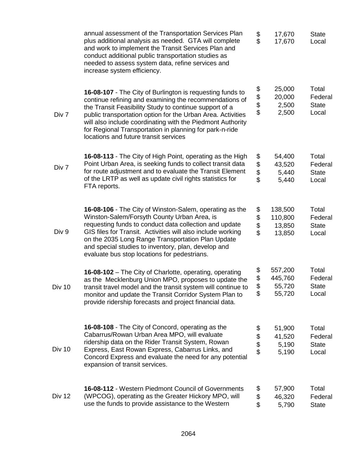|               | annual assessment of the Transportation Services Plan<br>plus additional analysis as needed. GTA will complete<br>and work to implement the Transit Services Plan and<br>conduct additional public transportation studies as<br>needed to assess system data, refine services and<br>increase system efficiency.                                                                                               | \$<br>\$             | 17,670<br>17,670                       | <b>State</b><br>Local                     |
|---------------|----------------------------------------------------------------------------------------------------------------------------------------------------------------------------------------------------------------------------------------------------------------------------------------------------------------------------------------------------------------------------------------------------------------|----------------------|----------------------------------------|-------------------------------------------|
| Div 7         | 16-08-107 - The City of Burlington is requesting funds to<br>continue refining and examining the recommendations of<br>the Transit Feasibility Study to continue support of a<br>public transportation option for the Urban Area. Activities<br>will also include coordinating with the Piedmont Authority<br>for Regional Transportation in planning for park-n-ride<br>locations and future transit services | \$<br>\$\$           | 25,000<br>20,000<br>2,500<br>2,500     | Total<br>Federal<br><b>State</b><br>Local |
| Div 7         | 16-08-113 - The City of High Point, operating as the High<br>Point Urban Area, is seeking funds to collect transit data<br>for route adjustment and to evaluate the Transit Element<br>of the LRTP as well as update civil rights statistics for<br>FTA reports.                                                                                                                                               | \$<br>\$<br>\$<br>\$ | 54,400<br>43,520<br>5,440<br>5,440     | Total<br>Federal<br><b>State</b><br>Local |
| Div 9         | 16-08-106 - The City of Winston-Salem, operating as the<br>Winston-Salem/Forsyth County Urban Area, is<br>requesting funds to conduct data collection and update<br>GIS files for Transit. Activities will also include working<br>on the 2035 Long Range Transportation Plan Update<br>and special studies to inventory, plan, develop and<br>evaluate bus stop locations for pedestrians.                    | \$<br>\$<br>\$<br>\$ | 138,500<br>110,800<br>13,850<br>13,850 | Total<br>Federal<br><b>State</b><br>Local |
| <b>Div 10</b> | 16-08-102 – The City of Charlotte, operating, operating<br>as the Mecklenburg Union MPO, proposes to update the<br>transit travel model and the transit system will continue to<br>monitor and update the Transit Corridor System Plan to<br>provide ridership forecasts and project financial data.                                                                                                           | \$<br>\$<br>\$<br>\$ | 557,200<br>445,760<br>55,720<br>55,720 | Total<br>Federal<br><b>State</b><br>Local |
| Div 10        | 16-08-108 - The City of Concord, operating as the<br>Cabarrus/Rowan Urban Area MPO, will evaluate<br>ridership data on the Rider Transit System, Rowan<br>Express, East Rowan Express, Cabarrus Links, and<br>Concord Express and evaluate the need for any potential<br>expansion of transit services.                                                                                                        | \$<br>\$<br>\$<br>\$ | 51,900<br>41,520<br>5,190<br>5,190     | Total<br>Federal<br><b>State</b><br>Local |
| Div 12        | 16-08-112 - Western Piedmont Council of Governments<br>(WPCOG), operating as the Greater Hickory MPO, will<br>use the funds to provide assistance to the Western                                                                                                                                                                                                                                               | \$<br>\$<br>\$       | 57,900<br>46,320<br>5,790              | Total<br>Federal<br><b>State</b>          |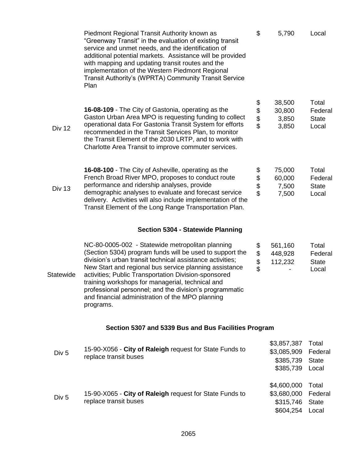|                  | Piedmont Regional Transit Authority known as<br>"Greenway Transit" in the evaluation of existing transit<br>service and unmet needs, and the identification of<br>additional potential markets. Assistance will be provided<br>with mapping and updating transit routes and the<br>implementation of the Western Piedmont Regional<br>Transit Authority's (WPRTA) Community Transit Service<br>Plan                                                                         | \$                   | 5,790                                                | Local                                     |
|------------------|-----------------------------------------------------------------------------------------------------------------------------------------------------------------------------------------------------------------------------------------------------------------------------------------------------------------------------------------------------------------------------------------------------------------------------------------------------------------------------|----------------------|------------------------------------------------------|-------------------------------------------|
| Div 12           | 16-08-109 - The City of Gastonia, operating as the<br>Gaston Urban Area MPO is requesting funding to collect<br>operational data For Gastonia Transit System for efforts<br>recommended in the Transit Services Plan, to monitor<br>the Transit Element of the 2030 LRTP, and to work with<br>Charlotte Area Transit to improve commuter services.                                                                                                                          | \$<br>\$<br>\$       | 38,500<br>30,800<br>3,850<br>3,850                   | Total<br>Federal<br><b>State</b><br>Local |
| <b>Div 13</b>    | 16-08-100 - The City of Asheville, operating as the<br>French Broad River MPO, proposes to conduct route<br>performance and ridership analyses, provide<br>demographic analyses to evaluate and forecast service<br>delivery. Activities will also include implementation of the<br>Transit Element of the Long Range Transportation Plan.                                                                                                                                  | \$<br>\$<br>\$<br>\$ | 75,000<br>60,000<br>7,500<br>7,500                   | Total<br>Federal<br><b>State</b><br>Local |
|                  | <b>Section 5304 - Statewide Planning</b>                                                                                                                                                                                                                                                                                                                                                                                                                                    |                      |                                                      |                                           |
| <b>Statewide</b> | NC-80-0005-002 - Statewide metropolitan planning<br>(Section 5304) program funds will be used to support the<br>division's urban transit technical assistance activities;<br>New Start and regional bus service planning assistance<br>activities; Public Transportation Division-sponsored<br>training workshops for managerial, technical and<br>professional personnel; and the division's programmatic<br>and financial administration of the MPO planning<br>programs. | \$<br>\$<br>\$       | 561,160<br>448,928<br>112,232                        | Total<br>Federal<br><b>State</b><br>Local |
|                  | Section 5307 and 5339 Bus and Bus Facilities Program                                                                                                                                                                                                                                                                                                                                                                                                                        |                      |                                                      |                                           |
| Div <sub>5</sub> | 15-90-X056 - City of Raleigh request for State Funds to<br>replace transit buses                                                                                                                                                                                                                                                                                                                                                                                            |                      | \$3,857,387<br>\$3,085,909<br>\$385,739<br>\$385,739 | Total<br>Federal<br><b>State</b><br>Local |
| Div <sub>5</sub> | 15-90-X065 - City of Raleigh request for State Funds to<br>replace transit buses                                                                                                                                                                                                                                                                                                                                                                                            |                      | \$4,600,000<br>\$3,680,000<br>\$315,746<br>\$604,254 | Total<br>Federal<br><b>State</b><br>Local |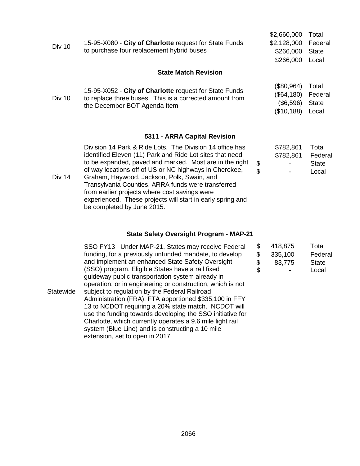|               |                                                                                                                                                   | \$2,660,000         | Total        |  |
|---------------|---------------------------------------------------------------------------------------------------------------------------------------------------|---------------------|--------------|--|
| <b>Div 10</b> | 15-95-X080 - City of Charlotte request for State Funds                                                                                            | \$2,128,000 Federal |              |  |
|               | to purchase four replacement hybrid buses                                                                                                         | \$266,000           | <b>State</b> |  |
|               |                                                                                                                                                   | \$266,000           | Local        |  |
|               | <b>State Match Revision</b>                                                                                                                       |                     |              |  |
|               |                                                                                                                                                   | (\$80,964)          | Total        |  |
| <b>Div 10</b> | 15-95-X052 - City of Charlotte request for State Funds<br>to replace three buses. This is a corrected amount from<br>the December BOT Agenda Item | (\$64,180)          | Federal      |  |
|               |                                                                                                                                                   | (\$6,596)           | <b>State</b> |  |
|               |                                                                                                                                                   | (\$10, 188)         | Local        |  |
|               |                                                                                                                                                   |                     |              |  |

# **5311 - ARRA Capital Revision**

| <b>Div 14</b> | Division 14 Park & Ride Lots. The Division 14 office has<br>identified Eleven (11) Park and Ride Lot sites that need<br>to be expanded, paved and marked. Most are in the right<br>of way locations off of US or NC highways in Cherokee,<br>Graham, Haywood, Jackson, Polk, Swain, and<br>Transylvania Counties. ARRA funds were transferred<br>from earlier projects where cost savings were<br>experienced. These projects will start in early spring and | \$<br>\$ | \$782,861<br>\$782,861 | Total<br>Federal<br><b>State</b><br>Local |
|---------------|--------------------------------------------------------------------------------------------------------------------------------------------------------------------------------------------------------------------------------------------------------------------------------------------------------------------------------------------------------------------------------------------------------------------------------------------------------------|----------|------------------------|-------------------------------------------|
|               | be completed by June 2015.                                                                                                                                                                                                                                                                                                                                                                                                                                   |          |                        |                                           |

# **State Safety Oversight Program - MAP-21**

|           | SSO FY13 Under MAP-21, States may receive Federal          | \$<br>418,875 | Total        |
|-----------|------------------------------------------------------------|---------------|--------------|
|           | funding, for a previously unfunded mandate, to develop     | 335,100       | Federal      |
|           | and implement an enhanced State Safety Oversight           | 83,775        | <b>State</b> |
|           | (SSO) program. Eligible States have a rail fixed           | \$            | Local        |
|           | guideway public transportation system already in           |               |              |
|           | operation, or in engineering or construction, which is not |               |              |
| Statewide | subject to regulation by the Federal Railroad              |               |              |
|           | Administration (FRA). FTA apportioned \$335,100 in FFY     |               |              |
|           | 13 to NCDOT requiring a 20% state match. NCDOT will        |               |              |
|           | use the funding towards developing the SSO initiative for  |               |              |
|           | Charlotte, which currently operates a 9.6 mile light rail  |               |              |
|           | system (Blue Line) and is constructing a 10 mile           |               |              |
|           | extension, set to open in 2017                             |               |              |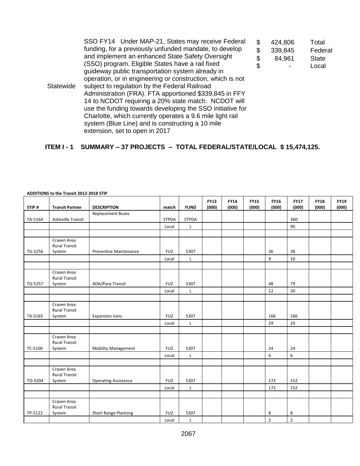|           | SSO FY14 Under MAP-21, States may receive Federal          | \$ | 424,806 | Total        |
|-----------|------------------------------------------------------------|----|---------|--------------|
|           | funding, for a previously unfunded mandate, to develop     | S  | 339,845 | Federal      |
|           | and implement an enhanced State Safety Oversight           | \$ | 84,961  | <b>State</b> |
|           | (SSO) program. Eligible States have a rail fixed           | \$ |         | Local        |
|           | guideway public transportation system already in           |    |         |              |
|           | operation, or in engineering or construction, which is not |    |         |              |
| Statewide | subject to regulation by the Federal Railroad              |    |         |              |
|           | Administration (FRA). FTA apportioned \$339,845 in FFY     |    |         |              |
|           | 14 to NCDOT requiring a 20% state match. NCDOT will        |    |         |              |
|           | use the funding towards developing the SSO initiative for  |    |         |              |
|           | Charlotte, which currently operates a 9.6 mile light rail  |    |         |              |
|           | system (Blue Line) and is constructing a 10 mile           |    |         |              |
|           | extension, set to open in 2017                             |    |         |              |

# **ITEM I - 1 SUMMARY – 37 PROJECTS – TOTAL FEDERAL/STATE/LOCAL \$ 15,474,125.**

|         |                                     |                             |              |              | <b>FY13</b> | <b>FY14</b> | <b>FY15</b> | <b>FY16</b>    | <b>FY17</b>    | <b>FY18</b> | <b>FY19</b> |
|---------|-------------------------------------|-----------------------------|--------------|--------------|-------------|-------------|-------------|----------------|----------------|-------------|-------------|
| STIP#   | <b>Transit Partner</b>              | <b>DESCRIPTION</b>          | match        | <b>FUND</b>  | (000)       | (000)       | (000)       | (000)          | (000)          | (000)       | (000)       |
|         |                                     | <b>Replacement Buses</b>    |              |              |             |             |             |                |                |             |             |
| TA-5164 | Asheville Transit                   |                             | <b>STPDA</b> | <b>STPDA</b> |             |             |             |                | 360            |             |             |
|         |                                     |                             | Local        | L            |             |             |             |                | 90             |             |             |
|         |                                     |                             |              |              |             |             |             |                |                |             |             |
|         | Craven Area<br><b>Rural Transit</b> |                             |              |              |             |             |             |                |                |             |             |
| TG-5256 | System                              | Preventive Maintenance      | <b>FUZ</b>   | 5307         |             |             |             | 36             | 38             |             |             |
|         |                                     |                             | Local        | $\mathsf{L}$ |             |             |             | 9              | 10             |             |             |
|         |                                     |                             |              |              |             |             |             |                |                |             |             |
|         | Craven Area<br><b>Rural Transit</b> |                             |              |              |             |             |             |                |                |             |             |
| TG-5257 | System                              | ADA/Para-Transit            | <b>FUZ</b>   | 5307         |             |             |             | 48             | 79             |             |             |
|         |                                     |                             | Local        | L            |             |             |             | 12             | 20             |             |             |
|         |                                     |                             |              |              |             |             |             |                |                |             |             |
|         | Craven Area<br><b>Rural Transit</b> |                             |              |              |             |             |             |                |                |             |             |
| TA-5165 | System                              | <b>Expansion Vans</b>       | <b>FUZ</b>   | 5307         |             |             |             | 166            | 166            |             |             |
|         |                                     |                             | Local        | $\mathsf L$  |             |             |             | 29             | 29             |             |             |
|         |                                     |                             |              |              |             |             |             |                |                |             |             |
|         | Craven Area<br><b>Rural Transit</b> |                             |              |              |             |             |             |                |                |             |             |
| TC-5100 | System                              | <b>Mobility Management</b>  | <b>FUZ</b>   | 5307         |             |             |             | 24             | 24             |             |             |
|         |                                     |                             | Local        | $\mathsf{L}$ |             |             |             | 6              | 6              |             |             |
|         |                                     |                             |              |              |             |             |             |                |                |             |             |
| TO-5204 | Craven Area<br><b>Rural Transit</b> |                             | <b>FUZ</b>   | 5307         |             |             |             | 172            | 152            |             |             |
|         | System                              | <b>Operating Assistance</b> |              |              |             |             |             |                |                |             |             |
|         |                                     |                             | Local        | $\mathsf{L}$ |             |             |             | 172            | 152            |             |             |
|         |                                     |                             |              |              |             |             |             |                |                |             |             |
|         | Craven Area<br><b>Rural Transit</b> |                             |              |              |             |             |             |                |                |             |             |
| TP-5122 | System                              | Short Range Planning        | <b>FUZ</b>   | 5307         |             |             |             | 8              | 8              |             |             |
|         |                                     |                             | Local        | L            |             |             |             | $\overline{2}$ | $\overline{2}$ |             |             |

#### **ADDITIONS to the Transit 2012-2018 STIP**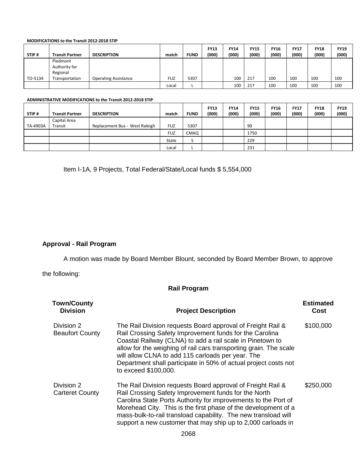#### **MODIFICATIONS to the Transit 2012-2018 STIP**

|         |                        |                             |            |             | <b>FY13</b> | <b>FY14</b> | <b>FY15</b> | <b>FY16</b> | <b>FY17</b> | <b>FY18</b> | <b>FY19</b> |
|---------|------------------------|-----------------------------|------------|-------------|-------------|-------------|-------------|-------------|-------------|-------------|-------------|
| STIP#   | <b>Transit Partner</b> | <b>DESCRIPTION</b>          | match      | <b>FUND</b> | (000)       | (000)       | (000)       | (000)       | (000)       | (000)       | (000)       |
|         | Piedmont               |                             |            |             |             |             |             |             |             |             |             |
|         | Authority for          |                             |            |             |             |             |             |             |             |             |             |
|         | Regional               |                             |            |             |             |             |             |             |             |             |             |
| TO-5134 | Transportation         | <b>Operating Assistance</b> | <b>FUZ</b> | 5307        |             | 100         | 217         | 100         | 100         | 100         | 100         |
|         |                        |                             | Local      |             |             | 100         | 217         | 100         | 100         | 100         | 100         |

#### **ADMINISTRATIVE MODIFICATIONS to the Transit 2012-2018 STIP**

|          |                        |                                |            |             | <b>FY13</b> | <b>FY14</b> | <b>FY15</b> | <b>FY16</b> | <b>FY17</b> | <b>FY18</b> | <b>FY19</b> |
|----------|------------------------|--------------------------------|------------|-------------|-------------|-------------|-------------|-------------|-------------|-------------|-------------|
| STIP#    | <b>Transit Partner</b> | <b>DESCRIPTION</b>             | match      | <b>FUND</b> | (000)       | (000)       | (000)       | (000)       | (000)       | (000)       | (000)       |
|          | Capital Area           |                                |            |             |             |             |             |             |             |             |             |
| TA-4903A | Transit                | Replacement Bus - West Raleigh | <b>FUZ</b> | 5307        |             |             | 90          |             |             |             |             |
|          |                        |                                | <b>FUZ</b> | CMAQ        |             |             | 1750        |             |             |             |             |
|          |                        |                                | State      | ر           |             |             | 229         |             |             |             |             |
|          |                        |                                | Local      |             |             |             | 231         |             |             |             |             |

Item I-1A, 9 Projects, Total Federal/State/Local funds \$ 5,554,000

# **Approval - Rail Program**

A motion was made by Board Member Blount, seconded by Board Member Brown, to approve

the following:

# **Rail Program**

| <b>Town/County</b><br><b>Division</b> | <b>Project Description</b>                                                                                                                                                                                                                                                                                                                                                                               | <b>Estimated</b><br>Cost |
|---------------------------------------|----------------------------------------------------------------------------------------------------------------------------------------------------------------------------------------------------------------------------------------------------------------------------------------------------------------------------------------------------------------------------------------------------------|--------------------------|
| Division 2<br><b>Beaufort County</b>  | The Rail Division requests Board approval of Freight Rail &<br>Rail Crossing Safety Improvement funds for the Carolina<br>Coastal Railway (CLNA) to add a rail scale in Pinetown to<br>allow for the weighing of rail cars transporting grain. The scale<br>will allow CLNA to add 115 carloads per year. The<br>Department shall participate in 50% of actual project costs not<br>to exceed \$100,000. | \$100,000                |
| Division 2<br><b>Carteret County</b>  | The Rail Division requests Board approval of Freight Rail &<br>Rail Crossing Safety Improvement funds for the North<br>Carolina State Ports Authority for improvements to the Port of<br>Morehead City. This is the first phase of the development of a<br>mass-bulk-to-rail transload capability. The new transload will<br>support a new customer that may ship up to 2,000 carloads in                | \$250,000                |
|                                       |                                                                                                                                                                                                                                                                                                                                                                                                          |                          |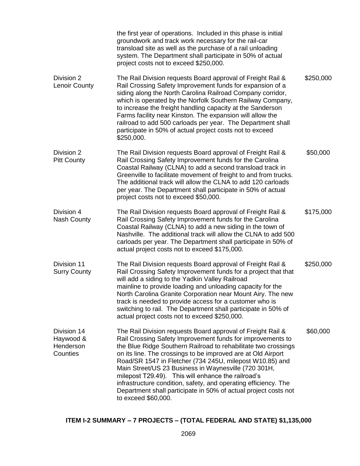|                                                   | the first year of operations. Included in this phase is initial<br>groundwork and track work necessary for the rail-car<br>transload site as well as the purchase of a rail unloading<br>system. The Department shall participate in 50% of actual<br>project costs not to exceed \$250,000.                                                                                                                                                                                                                                                                                                       |           |
|---------------------------------------------------|----------------------------------------------------------------------------------------------------------------------------------------------------------------------------------------------------------------------------------------------------------------------------------------------------------------------------------------------------------------------------------------------------------------------------------------------------------------------------------------------------------------------------------------------------------------------------------------------------|-----------|
| Division 2<br><b>Lenoir County</b>                | The Rail Division requests Board approval of Freight Rail &<br>Rail Crossing Safety Improvement funds for expansion of a<br>siding along the North Carolina Railroad Company corridor,<br>which is operated by the Norfolk Southern Railway Company,<br>to increase the freight handling capacity at the Sanderson<br>Farms facility near Kinston. The expansion will allow the<br>railroad to add 500 carloads per year. The Department shall<br>participate in 50% of actual project costs not to exceed<br>\$250,000.                                                                           | \$250,000 |
| Division 2<br><b>Pitt County</b>                  | The Rail Division requests Board approval of Freight Rail &<br>Rail Crossing Safety Improvement funds for the Carolina<br>Coastal Railway (CLNA) to add a second transload track in<br>Greenville to facilitate movement of freight to and from trucks.<br>The additional track will allow the CLNA to add 120 carloads<br>per year. The Department shall participate in 50% of actual<br>project costs not to exceed \$50,000.                                                                                                                                                                    | \$50,000  |
| Division 4<br><b>Nash County</b>                  | The Rail Division requests Board approval of Freight Rail &<br>Rail Crossing Safety Improvement funds for the Carolina<br>Coastal Railway (CLNA) to add a new siding in the town of<br>Nashville. The additional track will allow the CLNA to add 500<br>carloads per year. The Department shall participate in 50% of<br>actual project costs not to exceed \$175,000.                                                                                                                                                                                                                            | \$175,000 |
| Division 11<br><b>Surry County</b>                | The Rail Division requests Board approval of Freight Rail &<br>Rail Crossing Safety Improvement funds for a project that that<br>will add a siding to the Yadkin Valley Railroad<br>mainline to provide loading and unloading capacity for the<br>North Carolina Granite Corporation near Mount Airy. The new<br>track is needed to provide access for a customer who is<br>switching to rail. The Department shall participate in 50% of<br>actual project costs not to exceed \$250,000.                                                                                                         | \$250,000 |
| Division 14<br>Haywood &<br>Henderson<br>Counties | The Rail Division requests Board approval of Freight Rail &<br>Rail Crossing Safety Improvement funds for improvements to<br>the Blue Ridge Southern Railroad to rehabilitate two crossings<br>on its line. The crossings to be improved are at Old Airport<br>Road/SR 1547 in Fletcher (734 245U, milepost W10.85) and<br>Main Street/US 23 Business in Waynesville (720 301H,<br>milepost T29.49). This will enhance the railroad's<br>infrastructure condition, safety, and operating efficiency. The<br>Department shall participate in 50% of actual project costs not<br>to exceed \$60,000. | \$60,000  |

# **ITEM I-2 SUMMARY – 7 PROJECTS – (TOTAL FEDERAL AND STATE) \$1,135,000**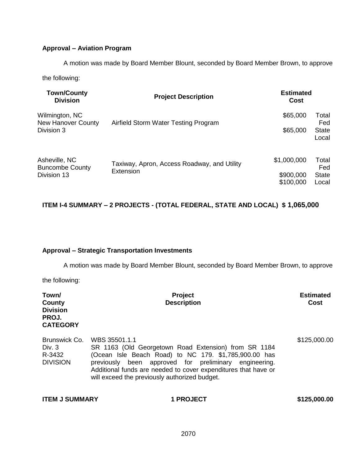# **Approval – Aviation Program**

A motion was made by Board Member Blount, seconded by Board Member Brown, to approve

the following:

| <b>Town/County</b><br><b>Division</b>       | <b>Project Description</b>                  | <b>Estimated</b><br>Cost |                       |
|---------------------------------------------|---------------------------------------------|--------------------------|-----------------------|
| Wilmington, NC<br><b>New Hanover County</b> | Airfield Storm Water Testing Program        | \$65,000                 | Total<br>Fed          |
| Division 3                                  |                                             | \$65,000                 | <b>State</b><br>Local |
| Asheville, NC<br><b>Buncombe County</b>     | Taxiway, Apron, Access Roadway, and Utility | \$1,000,000              | Total<br>Fed          |
| Division 13                                 | Extension                                   | \$900,000<br>\$100,000   | <b>State</b><br>Local |

# **ITEM I-4 SUMMARY – 2 PROJECTS - (TOTAL FEDERAL, STATE AND LOCAL) \$ 1,065,000**

# **Approval – Strategic Transportation Investments**

A motion was made by Board Member Blount, seconded by Board Member Brown, to approve

the following:

| Town/<br>County<br><b>Division</b><br>PROJ.<br><b>CATEGORY</b> | Project<br><b>Description</b>                                                                                                                                                                                                                                                                              | <b>Estimated</b><br><b>Cost</b> |
|----------------------------------------------------------------|------------------------------------------------------------------------------------------------------------------------------------------------------------------------------------------------------------------------------------------------------------------------------------------------------------|---------------------------------|
| Brunswick Co.<br>Div. $3$<br>R-3432<br><b>DIVISION</b>         | WBS 35501.1.1<br>SR 1163 (Old Georgetown Road Extension) from SR 1184<br>(Ocean Isle Beach Road) to NC 179. \$1,785,900.00 has<br>previously been approved for preliminary engineering.<br>Additional funds are needed to cover expenditures that have or<br>will exceed the previously authorized budget. | \$125,000.00                    |
| <b>ITEM J SUMMARY</b>                                          | <b>1 PROJECT</b>                                                                                                                                                                                                                                                                                           | \$125,000.00                    |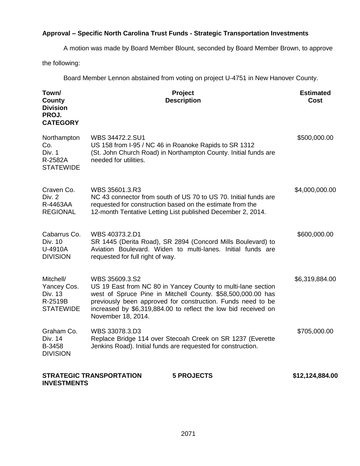# **Approval – Specific North Carolina Trust Funds - Strategic Transportation Investments**

A motion was made by Board Member Blount, seconded by Board Member Brown, to approve

the following:

Board Member Lennon abstained from voting on project U-4751 in New Hanover County.

| Town/<br>County<br><b>Division</b><br>PROJ.<br><b>CATEGORY</b>     | Project<br><b>Description</b>                                                                                                                                                                                                                                                                        | <b>Estimated</b><br>Cost |
|--------------------------------------------------------------------|------------------------------------------------------------------------------------------------------------------------------------------------------------------------------------------------------------------------------------------------------------------------------------------------------|--------------------------|
| Northampton<br>Co.<br>Div. 1<br>R-2582A<br><b>STATEWIDE</b>        | WBS 34472.2.SU1<br>US 158 from I-95 / NC 46 in Roanoke Rapids to SR 1312<br>(St. John Church Road) in Northampton County. Initial funds are<br>needed for utilities.                                                                                                                                 | \$500,000.00             |
| Craven Co.<br>Div. 2<br>R-4463AA<br><b>REGIONAL</b>                | WBS 35601.3.R3<br>NC 43 connector from south of US 70 to US 70. Initial funds are<br>requested for construction based on the estimate from the<br>12-month Tentative Letting List published December 2, 2014.                                                                                        | \$4,000,000.00           |
| Cabarrus Co.<br>Div. 10<br>U-4910A<br><b>DIVISION</b>              | WBS 40373.2.D1<br>SR 1445 (Derita Road), SR 2894 (Concord Mills Boulevard) to<br>Aviation Boulevard. Widen to multi-lanes. Initial funds are<br>requested for full right of way.                                                                                                                     | \$600,000.00             |
| Mitchell/<br>Yancey Cos.<br>Div. 13<br>R-2519B<br><b>STATEWIDE</b> | WBS 35609.3.S2<br>US 19 East from NC 80 in Yancey County to multi-lane section<br>west of Spruce Pine in Mitchell County. \$58,500,000.00 has<br>previously been approved for construction. Funds need to be<br>increased by \$6,319,884.00 to reflect the low bid received on<br>November 18, 2014. | \$6,319,884.00           |
| Graham Co.<br>Div. 14<br>B-3458<br><b>DIVISION</b>                 | WBS 33078.3.D3<br>Replace Bridge 114 over Stecoah Creek on SR 1237 (Everette<br>Jenkins Road). Initial funds are requested for construction.                                                                                                                                                         | \$705,000.00             |
| <b>INVESTMENTS</b>                                                 | <b>STRATEGIC TRANSPORTATION</b><br><b>5 PROJECTS</b>                                                                                                                                                                                                                                                 | \$12,124,884.00          |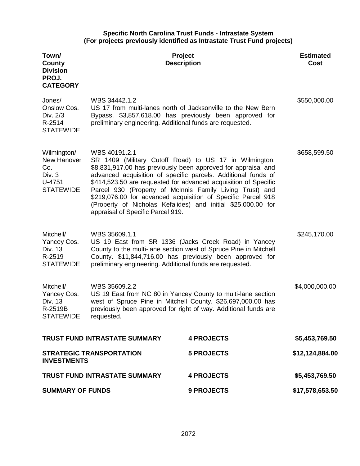## **Specific North Carolina Trust Funds - Intrastate System (For projects previously identified as Intrastate Trust Fund projects)**

| Town/<br>County<br><b>Division</b><br>PROJ.<br><b>CATEGORY</b>            | <b>Project</b><br><b>Description</b>                                                                                                                                                                                                                                                                                                                                                                                                                                                                          |                   | <b>Estimated</b><br><b>Cost</b> |
|---------------------------------------------------------------------------|---------------------------------------------------------------------------------------------------------------------------------------------------------------------------------------------------------------------------------------------------------------------------------------------------------------------------------------------------------------------------------------------------------------------------------------------------------------------------------------------------------------|-------------------|---------------------------------|
| Jones/<br>Onslow Cos.<br>Div. 2/3<br>R-2514<br><b>STATEWIDE</b>           | WBS 34442.1.2<br>US 17 from multi-lanes north of Jacksonville to the New Bern<br>Bypass. \$3,857,618.00 has previously been approved for<br>preliminary engineering. Additional funds are requested.                                                                                                                                                                                                                                                                                                          |                   | \$550,000.00                    |
| Wilmington/<br>New Hanover<br>Co.<br>Div. 3<br>U-4751<br><b>STATEWIDE</b> | WBS 40191.2.1<br>SR 1409 (Military Cutoff Road) to US 17 in Wilmington.<br>\$8,831,917.00 has previously been approved for appraisal and<br>advanced acquisition of specific parcels. Additional funds of<br>\$414,523.50 are requested for advanced acquisition of Specific<br>Parcel 930 (Property of McInnis Family Living Trust) and<br>\$219,076.00 for advanced acquisition of Specific Parcel 918<br>(Property of Nicholas Kefalides) and initial \$25,000.00 for<br>appraisal of Specific Parcel 919. |                   | \$658,599.50                    |
| Mitchell/<br>Yancey Cos.<br>Div. 13<br>R-2519<br><b>STATEWIDE</b>         | WBS 35609.1.1<br>US 19 East from SR 1336 (Jacks Creek Road) in Yancey<br>County to the multi-lane section west of Spruce Pine in Mitchell<br>County. \$11,844,716.00 has previously been approved for<br>preliminary engineering. Additional funds are requested.                                                                                                                                                                                                                                             |                   | \$245,170.00                    |
| Mitchell/<br>Yancey Cos.<br>Div. 13<br>R-2519B<br><b>STATEWIDE</b>        | WBS 35609.2.2<br>US 19 East from NC 80 in Yancey County to multi-lane section<br>west of Spruce Pine in Mitchell County. \$26,697,000.00 has<br>previously been approved for right of way. Additional funds are<br>requested.                                                                                                                                                                                                                                                                                 |                   | \$4,000,000.00                  |
| TRUST FUND INTRASTATE SUMMARY                                             |                                                                                                                                                                                                                                                                                                                                                                                                                                                                                                               | <b>4 PROJECTS</b> | \$5,453,769.50                  |
| <b>STRATEGIC TRANSPORTATION</b><br><b>INVESTMENTS</b>                     |                                                                                                                                                                                                                                                                                                                                                                                                                                                                                                               | <b>5 PROJECTS</b> | \$12,124,884.00                 |
| <b>TRUST FUND INTRASTATE SUMMARY</b>                                      |                                                                                                                                                                                                                                                                                                                                                                                                                                                                                                               | <b>4 PROJECTS</b> | \$5,453,769.50                  |
| <b>SUMMARY OF FUNDS</b>                                                   |                                                                                                                                                                                                                                                                                                                                                                                                                                                                                                               | 9 PROJECTS        | \$17,578,653.50                 |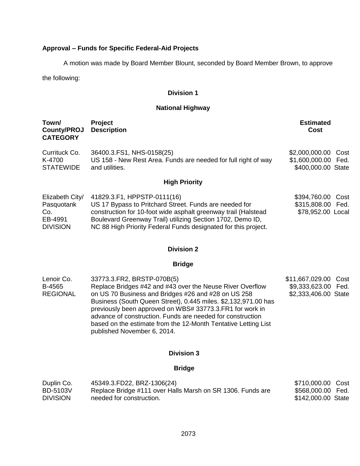# **Approval – Funds for Specific Federal-Aid Projects**

A motion was made by Board Member Blount, seconded by Board Member Brown, to approve

the following:

## **Division 1**

# **National Highway**

| Town/<br>County/PROJ<br><b>CATEGORY</b>                            | <b>Project</b><br><b>Description</b>                                                                                                                                                                                                                                                    | <b>Estimated</b><br>Cost                                            |
|--------------------------------------------------------------------|-----------------------------------------------------------------------------------------------------------------------------------------------------------------------------------------------------------------------------------------------------------------------------------------|---------------------------------------------------------------------|
| Currituck Co.<br>K-4700<br><b>STATEWIDE</b>                        | 36400.3.FS1, NHS-0158(25)<br>US 158 - New Rest Area. Funds are needed for full right of way<br>and utilities.                                                                                                                                                                           | \$2,000,000.00<br>Cost<br>\$1,600,000.00 Fed.<br>\$400,000.00 State |
|                                                                    | <b>High Priority</b>                                                                                                                                                                                                                                                                    |                                                                     |
| Elizabeth City/<br>Pasquotank<br>Co.<br>EB-4991<br><b>DIVISION</b> | 41829.3.F1, HPPSTP-0111(16)<br>US 17 Bypass to Pritchard Street. Funds are needed for<br>construction for 10-foot wide asphalt greenway trail (Halstead<br>Boulevard Greenway Trail) utilizing Section 1702, Demo ID,<br>NC 88 High Priority Federal Funds designated for this project. | \$394,760.00<br>Cost<br>\$315,808.00 Fed.<br>\$78,952.00 Local      |

## **Division 2**

# **Bridge**

| 33773.3. FR2, BRSTP-070B(5)                                    | \$11,667,029.00 Cost                                       |  |
|----------------------------------------------------------------|------------------------------------------------------------|--|
| Replace Bridges #42 and #43 over the Neuse River Overflow      | \$9,333,623.00 Fed.                                        |  |
| on US 70 Business and Bridges #26 and #28 on US 258            | \$2,333,406.00 State                                       |  |
| Business (South Queen Street), 0.445 miles. \$2,132,971.00 has |                                                            |  |
| previously been approved on WBS# 33773.3. FR1 for work in      |                                                            |  |
|                                                                |                                                            |  |
| based on the estimate from the 12-Month Tentative Letting List |                                                            |  |
| published November 6, 2014.                                    |                                                            |  |
|                                                                | advance of construction. Funds are needed for construction |  |

## **Division 3**

## **Bridge**

| Duplin Co.      | 45349.3.FD22, BRZ-1306(24)                                 | \$710,000.00 Cost  |  |
|-----------------|------------------------------------------------------------|--------------------|--|
| <b>BD-5103V</b> | Replace Bridge #111 over Halls Marsh on SR 1306. Funds are | \$568,000.00 Fed.  |  |
| <b>DIVISION</b> | needed for construction.                                   | \$142,000.00 State |  |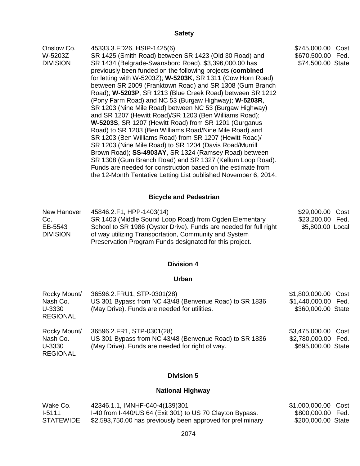# **Safety**

| Onslow Co.      | 45333.3.FD26, HSIP-1425(6)                                        | \$745,000.00 Cost   |
|-----------------|-------------------------------------------------------------------|---------------------|
| W-5203Z         | SR 1425 (Smith Road) between SR 1423 (Old 30 Road) and            | \$670,500.00 Fed.   |
| <b>DIVISION</b> | SR 1434 (Belgrade-Swansboro Road). \$3,396,000.00 has             | \$74,500.00 State   |
|                 | previously been funded on the following projects (combined        |                     |
|                 | for letting with W-5203Z); W-5203K, SR 1311 (Cow Horn Road)       |                     |
|                 | between SR 2009 (Franktown Road) and SR 1308 (Gum Branch          |                     |
|                 | Road); W-5203P, SR 1213 (Blue Creek Road) between SR 1212         |                     |
|                 | (Pony Farm Road) and NC 53 (Burgaw Highway); W-5203R,             |                     |
|                 | SR 1203 (Nine Mile Road) between NC 53 (Burgaw Highway)           |                     |
|                 | and SR 1207 (Hewitt Road)/SR 1203 (Ben Williams Road);            |                     |
|                 | W-5203S, SR 1207 (Hewitt Road) from SR 1201 (Gurganus             |                     |
|                 | Road) to SR 1203 (Ben Williams Road/Nine Mile Road) and           |                     |
|                 | SR 1203 (Ben Williams Road) from SR 1207 (Hewitt Road)/           |                     |
|                 | SR 1203 (Nine Mile Road) to SR 1204 (Davis Road/Murrill           |                     |
|                 | Brown Road); SS-4903AY, SR 1324 (Ramsey Road) between             |                     |
|                 | SR 1308 (Gum Branch Road) and SR 1327 (Kellum Loop Road).         |                     |
|                 | Funds are needed for construction based on the estimate from      |                     |
|                 | the 12-Month Tentative Letting List published November 6, 2014.   |                     |
|                 | <b>Bicycle and Pedestrian</b>                                     |                     |
|                 |                                                                   |                     |
| New Hanover     | 45846.2.F1, HPP-1403(14)                                          | \$29,000.00<br>Cost |
| Co.             | SR 1403 (Middle Sound Loop Road) from Ogden Elementary            | \$23,200.00 Fed.    |
| EB-5543         | School to SR 1986 (Oyster Drive). Funds are needed for full right | \$5,800.00 Local    |
| <b>DIVISION</b> | of way utilizing Transportation, Community and System             |                     |
|                 | Preservation Program Funds designated for this project.           |                     |
|                 |                                                                   |                     |

# **Division 4**

## **Urban**

| Rocky Mount/<br>Nash Co.<br>U-3330<br><b>REGIONAL</b> | 36596.2. FRU1, STP-0301 (28)<br>US 301 Bypass from NC 43/48 (Benvenue Road) to SR 1836<br>(May Drive). Funds are needed for utilities. | \$1,800,000.00 Cost<br>\$1,440,000.00 Fed.<br>\$360,000.00 State |  |
|-------------------------------------------------------|----------------------------------------------------------------------------------------------------------------------------------------|------------------------------------------------------------------|--|
| Rocky Mount/<br>Nash Co.<br>U-3330<br><b>REGIONAL</b> | 36596.2.FR1, STP-0301(28)<br>US 301 Bypass from NC 43/48 (Benvenue Road) to SR 1836<br>(May Drive). Funds are needed for right of way. | \$3,475,000.00 Cost<br>\$2,780,000.00 Fed.<br>\$695,000.00 State |  |

# **Division 5**

# **National Highway**

| Wake Co.         | 42346.1.1, IMNHF-040-4(139)301                              | \$1,000,000.00 Cost |  |
|------------------|-------------------------------------------------------------|---------------------|--|
| 1-5111           | I-40 from I-440/US 64 (Exit 301) to US 70 Clayton Bypass.   | \$800,000,00 Fed.   |  |
| <b>STATEWIDE</b> | \$2,593,750.00 has previously been approved for preliminary | \$200,000.00 State  |  |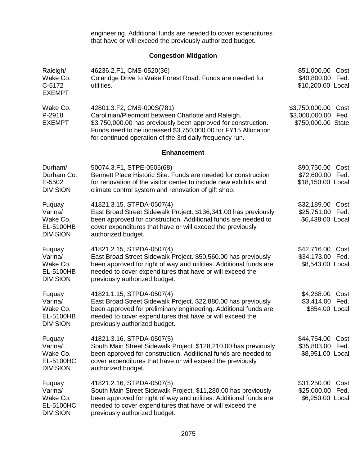engineering. Additional funds are needed to cover expenditures that have or will exceed the previously authorized budget.

# **Congestion Mitigation**

| Raleigh/<br>Wake Co.<br>C-5172<br><b>EXEMPT</b>                      | 46236.2.F1, CMS-0520(36)<br>Coleridge Drive to Wake Forest Road. Funds are needed for<br>utilities.                                                                                                                                                                          | \$51,000.00<br>\$40,800.00<br>\$10,200.00 Local        | Cost<br>Fed. |
|----------------------------------------------------------------------|------------------------------------------------------------------------------------------------------------------------------------------------------------------------------------------------------------------------------------------------------------------------------|--------------------------------------------------------|--------------|
| Wake Co.<br>P-2918<br><b>EXEMPT</b>                                  | 42801.3.F2, CMS-000S(781)<br>Carolinian/Piedmont between Charlotte and Raleigh.<br>\$3,750,000.00 has previously been approved for construction.<br>Funds need to be increased \$3,750,000.00 for FY15 Allocation<br>for continued operation of the 3rd daily frequency run. | \$3,750,000.00<br>\$3,000,000.00<br>\$750,000.00 State | Cost<br>Fed. |
|                                                                      | <b>Enhancement</b>                                                                                                                                                                                                                                                           |                                                        |              |
| Durham/<br>Durham Co.<br>E-5502<br><b>DIVISION</b>                   | 50074.3.F1, STPE-0505(68)<br>Bennett Place Historic Site. Funds are needed for construction<br>for renovation of the visitor center to include new exhibits and<br>climate control system and renovation of gift shop.                                                       | \$90,750.00<br>\$72,600.00<br>\$18,150.00 Local        | Cost<br>Fed. |
| Fuquay<br>Varina/<br>Wake Co.<br>EL-5100HB<br><b>DIVISION</b>        | 41821.3.15, STPDA-0507(4)<br>East Broad Street Sidewalk Project. \$136,341.00 has previously<br>been approved for construction. Additional funds are needed to<br>cover expenditures that have or will exceed the previously<br>authorized budget.                           | \$32,189.00<br>\$25,751.00<br>\$6,438.00 Local         | Cost<br>Fed. |
| Fuquay<br>Varina/<br>Wake Co.<br>EL-5100HB<br><b>DIVISION</b>        | 41821.2.15, STPDA-0507(4)<br>East Broad Street Sidewalk Project. \$50,560.00 has previously<br>been approved for right of way and utilities. Additional funds are<br>needed to cover expenditures that have or will exceed the<br>previously authorized budget.              | \$42,716.00<br>\$34,173.00<br>\$8,543.00 Local         | Cost<br>Fed. |
| Fuquay<br>Varina/<br>Wake Co.<br>EL-5100HB<br><b>DIVISION</b>        | 41821.1.15, STPDA-0507(4)<br>East Broad Street Sidewalk Project. \$22,880.00 has previously<br>been approved for preliminary engineering. Additional funds are<br>needed to cover expenditures that have or will exceed the<br>previously authorized budget.                 | \$4,268.00<br>\$3,414.00<br>\$854.00 Local             | Cost<br>Fed. |
| Fuquay<br>Varina/<br>Wake Co.<br><b>EL-5100HC</b><br><b>DIVISION</b> | 41821.3.16, STPDA-0507(5)<br>South Main Street Sidewalk Project. \$128,210.00 has previously<br>been approved for construction. Additional funds are needed to<br>cover expenditures that have or will exceed the previously<br>authorized budget.                           | \$44,754.00<br>\$35,803.00<br>\$8,951.00 Local         | Cost<br>Fed. |
| Fuquay<br>Varina/<br>Wake Co.<br>EL-5100HC<br><b>DIVISION</b>        | 41821.2.16, STPDA-0507(5)<br>South Main Street Sidewalk Project. \$11,280.00 has previously<br>been approved for right of way and utilities. Additional funds are<br>needed to cover expenditures that have or will exceed the<br>previously authorized budget.              | \$31,250.00<br>\$25,000.00<br>\$6,250.00 Local         | Cost<br>Fed. |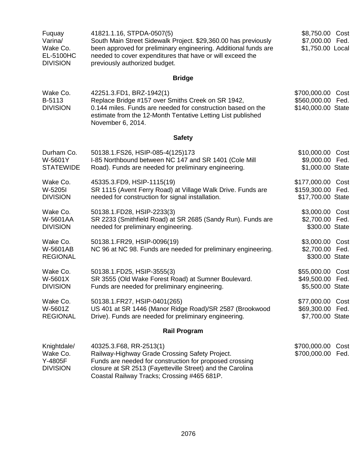| Fuquay<br>Varina/<br>Wake Co.<br><b>EL-5100HC</b><br><b>DIVISION</b> | 41821.1.16, STPDA-0507(5)<br>South Main Street Sidewalk Project. \$29,360.00 has previously<br>been approved for preliminary engineering. Additional funds are<br>needed to cover expenditures that have or will exceed the<br>previously authorized budget. | \$8,750.00 Cost<br>\$7,000.00 Fed.<br>\$1,750.00 Local             |
|----------------------------------------------------------------------|--------------------------------------------------------------------------------------------------------------------------------------------------------------------------------------------------------------------------------------------------------------|--------------------------------------------------------------------|
|                                                                      | <b>Bridge</b>                                                                                                                                                                                                                                                |                                                                    |
| Wake Co.<br>B-5113<br><b>DIVISION</b>                                | 42251.3.FD1, BRZ-1942(1)<br>Replace Bridge #157 over Smiths Creek on SR 1942,<br>0.144 miles. Funds are needed for construction based on the<br>estimate from the 12-Month Tentative Letting List published<br>November 6, 2014.                             | \$700,000.00<br>Cost<br>\$560,000.00<br>Fed.<br>\$140,000.00 State |
|                                                                      | <b>Safety</b>                                                                                                                                                                                                                                                |                                                                    |
| Durham Co.<br>W-5601Y<br><b>STATEWIDE</b>                            | 50138.1.FS26, HSIP-085-4(125)173<br>I-85 Northbound between NC 147 and SR 1401 (Cole Mill<br>Road). Funds are needed for preliminary engineering.                                                                                                            | \$10,000.00<br>Cost<br>\$9,000.00 Fed.<br>\$1,000.00 State         |
| Wake Co.<br>W-5205I<br><b>DIVISION</b>                               | 45335.3.FD9, HSIP-1115(19)<br>SR 1115 (Avent Ferry Road) at Village Walk Drive. Funds are<br>needed for construction for signal installation.                                                                                                                | \$177,000.00<br>Cost<br>\$159,300.00<br>Fed.<br>\$17,700.00 State  |
| Wake Co.<br>W-5601AA<br><b>DIVISION</b>                              | 50138.1.FD28, HSIP-2233(3)<br>SR 2233 (Smithfield Road) at SR 2685 (Sandy Run). Funds are<br>needed for preliminary engineering.                                                                                                                             | \$3,000.00 Cost<br>\$2,700.00 Fed.<br>\$300.00 State               |
| Wake Co.<br>W-5601AB<br><b>REGIONAL</b>                              | 50138.1.FR29, HSIP-0096(19)<br>NC 96 at NC 98. Funds are needed for preliminary engineering.                                                                                                                                                                 | \$3,000.00<br>Cost<br>\$2,700.00 Fed.<br>\$300.00 State            |
| Wake Co.<br>W-5601X<br><b>DIVISION</b>                               | 50138.1.FD25, HSIP-3555(3)<br>SR 3555 (Old Wake Forest Road) at Sumner Boulevard.<br>Funds are needed for preliminary engineering.                                                                                                                           | \$55,000.00<br>Cost<br>\$49,500.00 Fed.<br>\$5,500.00 State        |
| Wake Co.<br>W-5601Z<br><b>REGIONAL</b>                               | 50138.1.FR27, HSIP-0401(265)<br>US 401 at SR 1446 (Manor Ridge Road)/SR 2587 (Brookwood<br>Drive). Funds are needed for preliminary engineering.                                                                                                             | \$77,000.00<br>Cost<br>\$69,300.00<br>Fed.<br>\$7,700.00 State     |
|                                                                      | <b>Rail Program</b>                                                                                                                                                                                                                                          |                                                                    |
| Knightdale/<br>Wake Co.<br>Y-4805F<br><b>DIVISION</b>                | 40325.3.F68, RR-2513(1)<br>Railway-Highway Grade Crossing Safety Project.<br>Funds are needed for construction for proposed crossing<br>closure at SR 2513 (Fayetteville Street) and the Carolina                                                            | \$700,000.00<br>Cost<br>\$700,000.00<br>Fed.                       |

Coastal Railway Tracks; Crossing #465 681P.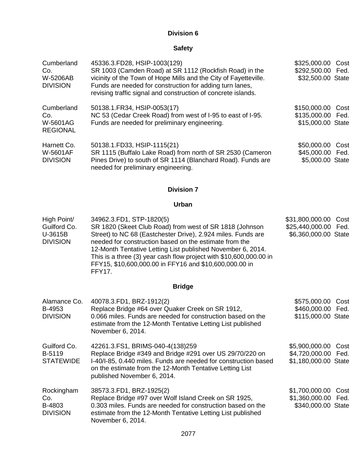# **Division 6**

# **Safety**

| Cumberland<br>Co.<br><b>W-5206AB</b><br><b>DIVISION</b> | 45336.3.FD28, HSIP-1003(129)<br>SR 1003 (Camden Road) at SR 1112 (Rockfish Road) in the<br>vicinity of the Town of Hope Mills and the City of Fayetteville.<br>Funds are needed for construction for adding turn lanes,<br>revising traffic signal and construction of concrete islands. | \$325,000.00 Cost<br>\$292,500.00 Fed.<br>\$32,500.00 State |
|---------------------------------------------------------|------------------------------------------------------------------------------------------------------------------------------------------------------------------------------------------------------------------------------------------------------------------------------------------|-------------------------------------------------------------|
| Cumberland<br>Co.<br>W-5601AG<br><b>REGIONAL</b>        | 50138.1. FR34, HSIP-0053(17)<br>NC 53 (Cedar Creek Road) from west of I-95 to east of I-95.<br>Funds are needed for preliminary engineering.                                                                                                                                             | \$150,000.00 Cost<br>\$135,000.00 Fed.<br>\$15,000.00 State |
| Harnett Co.<br><b>W-5601AF</b><br><b>DIVISION</b>       | 50138.1.FD33, HSIP-1115(21)<br>SR 1115 (Buffalo Lake Road) from north of SR 2530 (Cameron<br>Pines Drive) to south of SR 1114 (Blanchard Road). Funds are<br>needed for preliminary engineering.                                                                                         | \$50,000.00 Cost<br>\$45,000.00 Fed.<br>\$5,000.00 State    |

# **Division 7**

## **Urban**

| High Point/                | 34962.3.FD1, STP-1820(5)                                                                                                                                                                                                                                                                                                        | \$31,800,000.00 Cost |  |
|----------------------------|---------------------------------------------------------------------------------------------------------------------------------------------------------------------------------------------------------------------------------------------------------------------------------------------------------------------------------|----------------------|--|
| Guilford Co.               | SR 1820 (Skeet Club Road) from west of SR 1818 (Johnson                                                                                                                                                                                                                                                                         | \$25,440,000.00 Fed. |  |
| U-3615B<br><b>DIVISION</b> | Street) to NC 68 (Eastchester Drive), 2.924 miles. Funds are<br>needed for construction based on the estimate from the<br>12-Month Tentative Letting List published November 6, 2014.<br>This is a three (3) year cash flow project with \$10,600,000.00 in<br>FFY15, \$10,600,000.00 in FFY16 and \$10,600,000.00 in<br>FFY17. | \$6,360,000.00 State |  |
|                            |                                                                                                                                                                                                                                                                                                                                 |                      |  |

# **Bridge**

| Alamance Co.<br>B-4953<br><b>DIVISION</b>      | 40078.3.FD1, BRZ-1912(2)<br>Replace Bridge #64 over Quaker Creek on SR 1912,<br>0.066 miles. Funds are needed for construction based on the<br>estimate from the 12-Month Tentative Letting List published<br>November 6, 2014.                            | \$575,000.00<br>\$460,000.00 Fed.<br>\$115,000.00 State       | Cost |
|------------------------------------------------|------------------------------------------------------------------------------------------------------------------------------------------------------------------------------------------------------------------------------------------------------------|---------------------------------------------------------------|------|
| Guilford Co.<br>B-5119<br><b>STATEWIDE</b>     | 42261.3.FS1, BRIMS-040-4(138)259<br>Replace Bridge #349 and Bridge #291 over US 29/70/220 on<br>I-40/I-85, 0.440 miles. Funds are needed for construction based<br>on the estimate from the 12-Month Tentative Letting List<br>published November 6, 2014. | \$5,900,000.00<br>\$4,720,000.00 Fed.<br>\$1,180,000.00 State | Cost |
| Rockingham<br>Co.<br>B-4803<br><b>DIVISION</b> | 38573.3.FD1, BRZ-1925(2)<br>Replace Bridge #97 over Wolf Island Creek on SR 1925,<br>0.303 miles. Funds are needed for construction based on the<br>estimate from the 12-Month Tentative Letting List published<br>November 6, 2014.                       | \$1,700,000.00<br>\$1,360,000.00 Fed.<br>\$340,000.00 State   | Cost |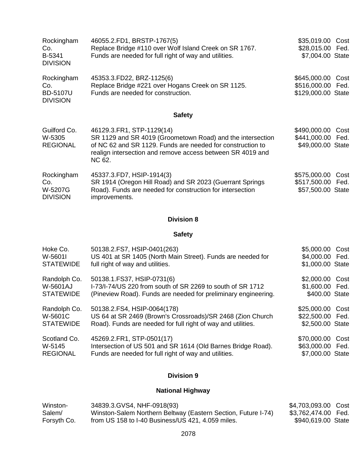| Rockingham<br>Co.<br>B-5341<br><b>DIVISION</b>          | 46055.2.FD1, BRSTP-1767(5)<br>Replace Bridge #110 over Wolf Island Creek on SR 1767.<br>Funds are needed for full right of way and utilities.                                                                                 | \$35,019.00<br>Cost<br>\$28,015.00 Fed.<br>\$7,004.00 State        |
|---------------------------------------------------------|-------------------------------------------------------------------------------------------------------------------------------------------------------------------------------------------------------------------------------|--------------------------------------------------------------------|
| Rockingham<br>Co.<br><b>BD-5107U</b><br><b>DIVISION</b> | 45353.3.FD22, BRZ-1125(6)<br>Replace Bridge #221 over Hogans Creek on SR 1125.<br>Funds are needed for construction.                                                                                                          | \$645,000.00<br>Cost<br>\$516,000.00<br>Fed.<br>\$129,000.00 State |
|                                                         | <b>Safety</b>                                                                                                                                                                                                                 |                                                                    |
| Guilford Co.<br>W-5305<br><b>REGIONAL</b>               | 46129.3.FR1, STP-1129(14)<br>SR 1129 and SR 4019 (Groometown Road) and the intersection<br>of NC 62 and SR 1129. Funds are needed for construction to<br>realign intersection and remove access between SR 4019 and<br>NC 62. | \$490,000.00<br>Cost<br>\$441,000.00 Fed.<br>\$49,000.00 State     |
| Rockingham<br>Co.<br>W-5207G<br><b>DIVISION</b>         | 45337.3.FD7, HSIP-1914(3)<br>SR 1914 (Oregon Hill Road) and SR 2023 (Guerrant Springs<br>Road). Funds are needed for construction for intersection<br>improvements.                                                           | \$575,000.00<br>Cost<br>\$517,500.00 Fed.<br>\$57,500.00 State     |

# **Division 8**

# **Safety**

| Hoke Co.         | 50138.2.FS7, HSIP-0401(263)                                    | \$5,000.00 Cost  |  |
|------------------|----------------------------------------------------------------|------------------|--|
| W-5601I          | US 401 at SR 1405 (North Main Street). Funds are needed for    | \$4,000.00 Fed.  |  |
| <b>STATEWIDE</b> | full right of way and utilities.                               | \$1,000.00 State |  |
| Randolph Co.     | 50138.1. FS37, HSIP-0731(6)                                    | \$2,000.00 Cost  |  |
| W-5601AJ         | I-73/I-74/US 220 from south of SR 2269 to south of SR 1712     | \$1,600.00 Fed.  |  |
| <b>STATEWIDE</b> | (Pineview Road). Funds are needed for preliminary engineering. | \$400.00 State   |  |
| Randolph Co.     | 50138.2.FS4, HSIP-0064(178)                                    | \$25,000.00 Cost |  |
| W-5601C          | US 64 at SR 2469 (Brown's Crossroads)/SR 2468 (Zion Church     | \$22,500.00 Fed. |  |
| <b>STATEWIDE</b> | Road). Funds are needed for full right of way and utilities.   | \$2,500.00 State |  |
| Scotland Co.     | 45269.2.FR1, STP-0501(17)                                      | \$70,000.00 Cost |  |
| W-5145           | Intersection of US 501 and SR 1614 (Old Barnes Bridge Road).   | \$63,000.00 Fed. |  |
| <b>REGIONAL</b>  | Funds are needed for full right of way and utilities.          | \$7,000.00 State |  |

# **Division 9**

# **National Highway**

| Winston-    | 34839.3.GVS4, NHF-0918(93)                                    | \$4,703,093.00 Cost |  |
|-------------|---------------------------------------------------------------|---------------------|--|
| Salem/      | Winston-Salem Northern Beltway (Eastern Section, Future I-74) | \$3,762,474.00 Fed. |  |
| Forsyth Co. | from US 158 to I-40 Business/US 421, 4.059 miles.             | \$940,619.00 State  |  |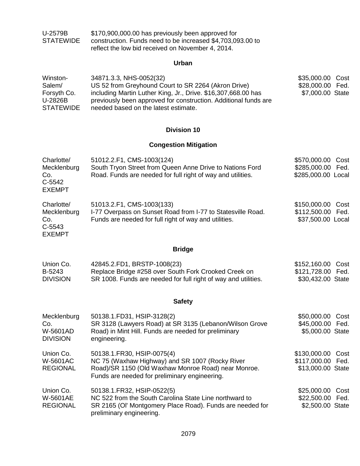| U-2579B   | \$170,900,000.00 has previously been approved for          |
|-----------|------------------------------------------------------------|
| STATEWIDE | construction. Funds need to be increased \$4,703,093.00 to |
|           | reflect the low bid received on November 4, 2014.          |

# **Urban**

| Winston-         | 34871.3.3, NHS-0052(32)                                         | \$35,000.00 Cost |  |
|------------------|-----------------------------------------------------------------|------------------|--|
| Salem/           | US 52 from Greyhound Court to SR 2264 (Akron Drive)             | \$28,000.00 Fed. |  |
| Forsyth Co.      | including Martin Luther King, Jr., Drive. \$16,307,668.00 has   | \$7,000.00 State |  |
| U-2826B          | previously been approved for construction. Additional funds are |                  |  |
| <b>STATEWIDE</b> | needed based on the latest estimate.                            |                  |  |

## **Division 10**

# **Congestion Mitigation**

| Charlotte/<br>Mecklenburg<br>Co.<br>C-5542<br><b>EXEMPT</b> | 51012.2.F1, CMS-1003(124)<br>South Tryon Street from Queen Anne Drive to Nations Ford<br>Road. Funds are needed for full right of way and utilities.                                  | \$570,000.00<br>\$285,000.00<br>\$285,000.00 Local          | Cost<br>Fed. |
|-------------------------------------------------------------|---------------------------------------------------------------------------------------------------------------------------------------------------------------------------------------|-------------------------------------------------------------|--------------|
| Charlotte/<br>Mecklenburg<br>Co.<br>C-5543<br><b>EXEMPT</b> | 51013.2.F1, CMS-1003(133)<br>I-77 Overpass on Sunset Road from I-77 to Statesville Road.<br>Funds are needed for full right of way and utilities.                                     | \$150,000.00 Cost<br>\$112,500.00 Fed.<br>\$37,500.00 Local |              |
|                                                             | <b>Bridge</b>                                                                                                                                                                         |                                                             |              |
| Union Co.<br>B-5243<br><b>DIVISION</b>                      | 42845.2.FD1, BRSTP-1008(23)<br>Replace Bridge #258 over South Fork Crooked Creek on<br>SR 1008. Funds are needed for full right of way and utilities.                                 | \$152,160.00 Cost<br>\$121,728.00 Fed.<br>\$30,432.00 State |              |
|                                                             | <b>Safety</b>                                                                                                                                                                         |                                                             |              |
| Mecklenburg<br>Co.<br>W-5601AD<br><b>DIVISION</b>           | 50138.1.FD31, HSIP-3128(2)<br>SR 3128 (Lawyers Road) at SR 3135 (Lebanon/Wilson Grove<br>Road) in Mint Hill. Funds are needed for preliminary<br>engineering.                         | \$50,000.00<br>\$45,000.00 Fed.<br>\$5,000.00 State         | Cost         |
| Union Co.<br><b>W-5601AC</b><br><b>REGIONAL</b>             | 50138.1.FR30, HSIP-0075(4)<br>NC 75 (Waxhaw Highway) and SR 1007 (Rocky River<br>Road)/SR 1150 (Old Waxhaw Monroe Road) near Monroe.<br>Funds are needed for preliminary engineering. | \$130,000.00<br>\$117,000.00 Fed.<br>\$13,000.00 State      | Cost         |
| Union Co.<br><b>W-5601AE</b><br><b>REGIONAL</b>             | 50138.1.FR32, HSIP-0522(5)<br>NC 522 from the South Carolina State Line northward to<br>SR 2165 (OI' Montgomery Place Road). Funds are needed for<br>preliminary engineering.         | \$25,000.00<br>\$22,500.00 Fed.<br>\$2,500.00 State         | Cost         |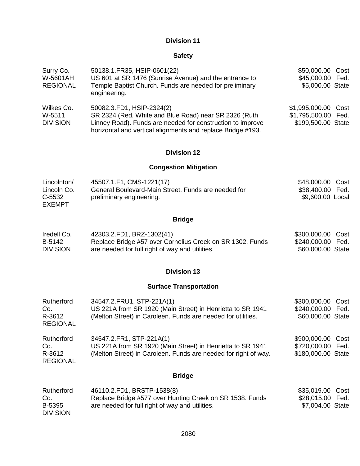# **Division 11**

## **Safety**

| Surry Co.<br>W-5601AH<br><b>REGIONAL</b> | 50138.1. FR35, HSIP-0601(22)<br>US 601 at SR 1476 (Sunrise Avenue) and the entrance to<br>Temple Baptist Church. Funds are needed for preliminary<br>engineering.                                               | \$50,000.00 Cost<br>\$45,000.00 Fed.<br>\$5,000.00 State         |  |
|------------------------------------------|-----------------------------------------------------------------------------------------------------------------------------------------------------------------------------------------------------------------|------------------------------------------------------------------|--|
| Wilkes Co.<br>W-5511<br><b>DIVISION</b>  | 50082.3.FD1, HSIP-2324(2)<br>SR 2324 (Red, White and Blue Road) near SR 2326 (Ruth<br>Linney Road). Funds are needed for construction to improve<br>horizontal and vertical alignments and replace Bridge #193. | \$1,995,000.00 Cost<br>\$1,795,500.00 Fed.<br>\$199,500.00 State |  |

## **Division 12**

# **Congestion Mitigation**

| Lincolnton/   | 45507.1.F1, CMS-1221(17)                            | \$48,000.00 Cost |  |
|---------------|-----------------------------------------------------|------------------|--|
| Lincoln Co.   | General Boulevard-Main Street. Funds are needed for | \$38,400.00 Fed. |  |
| C-5532        | preliminary engineering.                            | \$9,600.00 Local |  |
| <b>EXEMPT</b> |                                                     |                  |  |

# **Bridge**

| Iredell Co.     | 42303.2.FD1, BRZ-1302(41)                                 | \$300,000.00 Cost |  |
|-----------------|-----------------------------------------------------------|-------------------|--|
| B-5142          | Replace Bridge #57 over Cornelius Creek on SR 1302. Funds | \$240,000.00 Fed. |  |
| <b>DIVISION</b> | are needed for full right of way and utilities.           | \$60,000.00 State |  |

## **Division 13**

# **Surface Transportation**

| Rutherford<br>Co.<br>R-3612<br><b>REGIONAL</b> | 34547.2. FRU1, STP-221A(1)<br>US 221A from SR 1920 (Main Street) in Henrietta to SR 1941<br>(Melton Street) in Caroleen. Funds are needed for utilities.  | \$300,000.00 Cost<br>\$240,000.00<br>\$60,000.00 State  | Fed. |
|------------------------------------------------|-----------------------------------------------------------------------------------------------------------------------------------------------------------|---------------------------------------------------------|------|
| Rutherford<br>Co.<br>R-3612<br><b>REGIONAL</b> | 34547.2.FR1, STP-221A(1)<br>US 221A from SR 1920 (Main Street) in Henrietta to SR 1941<br>(Melton Street) in Caroleen. Funds are needed for right of way. | \$900,000.00 Cost<br>\$720,000.00<br>\$180,000.00 State | Fed. |

# **Bridge**

| Rutherford      | 46110.2.FD1, BRSTP-1538(8)                               | \$35,019.00 Cost |  |
|-----------------|----------------------------------------------------------|------------------|--|
| Co.             | Replace Bridge #577 over Hunting Creek on SR 1538. Funds | \$28,015.00 Fed. |  |
| B-5395          | are needed for full right of way and utilities.          | \$7,004.00 State |  |
| <b>DIVISION</b> |                                                          |                  |  |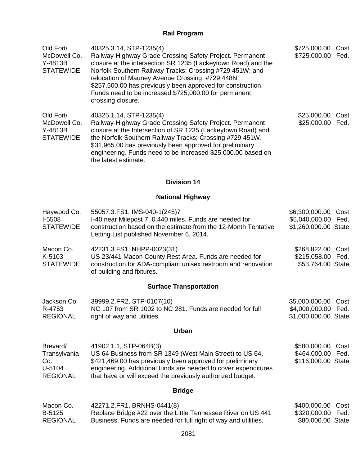# **Rail Program**

| Old Fort/<br>McDowell Co.<br>Y-4813B<br><b>STATEWIDE</b>     | 40325.3.14, STP-1235(4)<br>Railway-Highway Grade Crossing Safety Project. Permanent<br>closure at the intersection SR 1235 (Lackeytown Road) and the<br>Norfolk Southern Railway Tracks; Crossing #729 451W; and<br>relocation of Mauney Avenue Crossing, #729 448N.<br>\$257,500.00 has previously been approved for construction.<br>Funds need to be increased \$725,000.00 for permanent<br>crossing closure. | \$725,000.00 Cost<br>\$725,000.00                                  | Fed.         |
|--------------------------------------------------------------|-------------------------------------------------------------------------------------------------------------------------------------------------------------------------------------------------------------------------------------------------------------------------------------------------------------------------------------------------------------------------------------------------------------------|--------------------------------------------------------------------|--------------|
| Old Fort/<br>McDowell Co.<br>Y-4813B<br><b>STATEWIDE</b>     | 40325.1.14, STP-1235(4)<br>Railway-Highway Grade Crossing Safety Project. Permanent<br>closure at the Intersection of SR 1235 (Lackeytown Road) and<br>the Norfolk Southern Railway Tracks; Crossing #729 451W.<br>\$31,965.00 has previously been approved for preliminary<br>engineering. Funds need to be increased \$25,000.00 based on<br>the latest estimate.                                               | \$25,000.00<br>\$25,000.00                                         | Cost<br>Fed. |
|                                                              | <b>Division 14</b>                                                                                                                                                                                                                                                                                                                                                                                                |                                                                    |              |
|                                                              | <b>National Highway</b>                                                                                                                                                                                                                                                                                                                                                                                           |                                                                    |              |
| Haywood Co.<br>I-5508<br><b>STATEWIDE</b>                    | 55057.3.FS1, IMS-040-1(245)7<br>I-40 near Milepost 7, 0.440 miles. Funds are needed for<br>construction based on the estimate from the 12-Month Tentative<br>Letting List published November 6, 2014.                                                                                                                                                                                                             | \$6,300,000.00<br>\$5,040,000.00 Fed.<br>\$1,260,000.00 State      | Cost         |
| Macon Co.<br>K-5103<br><b>STATEWIDE</b>                      | 42231.3.FS1, NHPP-0023(31)<br>US 23/441 Macon County Rest Area. Funds are needed for<br>construction for ADA-compliant unisex restroom and renovation<br>of building and fixtures.                                                                                                                                                                                                                                | \$268,822.00<br>\$215,058.00<br>\$53,764.00 State                  | Cost<br>Fed. |
|                                                              | <b>Surface Transportation</b>                                                                                                                                                                                                                                                                                                                                                                                     |                                                                    |              |
| Jackson Co.<br>R-4753<br><b>REGIONAL</b>                     | 39999.2. FR2, STP-0107(10)<br>NC 107 from SR 1002 to NC 281. Funds are needed for full<br>right of way and utilities.                                                                                                                                                                                                                                                                                             | \$5,000,000.00 Cost<br>\$4,000,000.00 Fed.<br>\$1,000,000.00 State |              |
|                                                              | <b>Urban</b>                                                                                                                                                                                                                                                                                                                                                                                                      |                                                                    |              |
| Brevard/<br>Transylvania<br>Co.<br>U-5104<br><b>REGIONAL</b> | 41902.1.1, STP-064B(3)<br>US 64 Business from SR 1349 (West Main Street) to US 64.<br>\$421,469.00 has previously been approved for preliminary<br>engineering. Additional funds are needed to cover expenditures<br>that have or will exceed the previously authorized budget.                                                                                                                                   | \$580,000.00<br>\$464,000.00<br>\$116,000.00 State                 | Cost<br>Fed. |
|                                                              | <b>Bridge</b>                                                                                                                                                                                                                                                                                                                                                                                                     |                                                                    |              |
| Macon Co.<br>B-5125<br><b>REGIONAL</b>                       | 42271.2.FR1, BRNHS-0441(8)<br>Replace Bridge #22 over the Little Tennessee River on US 441<br>Business. Funds are needed for full right of way and utilities.                                                                                                                                                                                                                                                     | \$400,000.00<br>\$320,000.00<br>\$80,000.00 State                  | Cost<br>Fed. |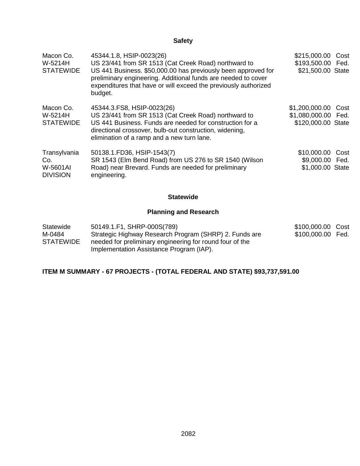# **Safety**

| Macon Co.<br>W-5214H<br><b>STATEWIDE</b>           | 45344.1.8, HSIP-0023(26)<br>US 23/441 from SR 1513 (Cat Creek Road) northward to<br>US 441 Business. \$50,000.00 has previously been approved for<br>preliminary engineering. Additional funds are needed to cover<br>expenditures that have or will exceed the previously authorized<br>budget. | \$215,000.00<br>\$193,500.00 Fed.<br>\$21,500.00 State      | Cost |
|----------------------------------------------------|--------------------------------------------------------------------------------------------------------------------------------------------------------------------------------------------------------------------------------------------------------------------------------------------------|-------------------------------------------------------------|------|
| Macon Co.<br>W-5214H<br><b>STATEWIDE</b>           | 45344.3. FS8, HSIP-0023(26)<br>US 23/441 from SR 1513 (Cat Creek Road) northward to<br>US 441 Business. Funds are needed for construction for a<br>directional crossover, bulb-out construction, widening,<br>elimination of a ramp and a new turn lane.                                         | \$1,200,000.00<br>\$1,080,000.00 Fed.<br>\$120,000.00 State | Cost |
| Transylvania<br>Co.<br>W-5601AI<br><b>DIVISION</b> | 50138.1.FD36, HSIP-1543(7)<br>SR 1543 (Elm Bend Road) from US 276 to SR 1540 (Wilson<br>Road) near Brevard. Funds are needed for preliminary<br>engineering.                                                                                                                                     | \$10,000.00 Cost<br>\$9,000.00 Fed.<br>\$1,000.00 State     |      |

## **Statewide**

# **Planning and Research**

| Statewide        | 50149.1.F1, SHRP-000S(789)                               | \$100,000.00 Cost |  |
|------------------|----------------------------------------------------------|-------------------|--|
| M-0484           | Strategic Highway Research Program (SHRP) 2. Funds are   | \$100,000.00 Fed. |  |
| <b>STATEWIDE</b> | needed for preliminary engineering for round four of the |                   |  |
|                  | Implementation Assistance Program (IAP).                 |                   |  |

# **ITEM M SUMMARY - 67 PROJECTS - (TOTAL FEDERAL AND STATE) \$93,737,591.00**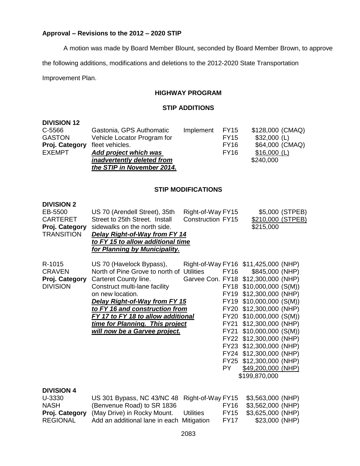## **Approval – Revisions to the 2012 – 2020 STIP**

A motion was made by Board Member Blount, seconded by Board Member Brown, to approve

the following additions, modifications and deletions to the 2012-2020 State Transportation

Improvement Plan.

## **HIGHWAY PROGRAM**

## **STIP ADDITIONS**

| <b>DIVISION 12</b> |                             |           |             |                  |
|--------------------|-----------------------------|-----------|-------------|------------------|
| C-5566             | Gastonia, GPS Authomatic    | Implement | <b>FY15</b> | \$128,000 (CMAQ) |
| <b>GASTON</b>      | Vehicle Locator Program for |           | <b>FY15</b> | $$32,000$ (L)    |
| Proj. Category     | fleet vehicles.             |           | <b>FY16</b> | \$64,000 (CMAQ)  |
| <b>EXEMPT</b>      | Add project which was       |           | <b>FY16</b> | $$16,000$ (L)    |
|                    | inadvertently deleted from  |           |             | \$240,000        |
|                    | the STIP in November 2014.  |           |             |                  |
|                    |                             |           |             |                  |

## **STIP MODIFICATIONS**

## **DIVISION 2**

| EB-5500           | US 70 (Arendell Street), 35th             | Right-of-Way FY15        |             |                                      | \$5,000 (STPEB) |
|-------------------|-------------------------------------------|--------------------------|-------------|--------------------------------------|-----------------|
| <b>CARTERET</b>   | Street to 25th Street. Install            | <b>Construction FY15</b> |             | \$210,000 (STPEB)                    |                 |
| Proj. Category    | sidewalks on the north side.              |                          |             | \$215,000                            |                 |
| <b>TRANSITION</b> | <b>Delay Right-of-Way from FY 14</b>      |                          |             |                                      |                 |
|                   | to FY 15 to allow additional time         |                          |             |                                      |                 |
|                   | for Planning by Municipality.             |                          |             |                                      |                 |
| R-1015            | US 70 (Havelock Bypass),                  |                          |             | Right-of-Way FY16 \$11,425,000 (NHP) |                 |
| <b>CRAVEN</b>     | North of Pine Grove to north of Utilities |                          | FY16        | \$845,000 (NHP)                      |                 |
| Proj. Category    | Carteret County line.                     |                          |             | Garvee Con. FY18 \$12,300,000 (NHP)  |                 |
| <b>DIVISION</b>   | Construct multi-lane facility             |                          |             | FY18 \$10,000,000 (S(M))             |                 |
|                   | on new location.                          |                          |             | FY19 \$12,300,000 (NHP)              |                 |
|                   | <b>Delay Right-of-Way from FY 15</b>      |                          |             | FY19 \$10,000,000 (S(M))             |                 |
|                   | to FY 16 and construction from            |                          |             | FY20 \$12,300,000 (NHP)              |                 |
|                   | FY 17 to FY 18 to allow additional        |                          |             | FY20 \$10,000,000 (S(M))             |                 |
|                   | time for Planning. This project           |                          | FY21        | \$12,300,000 (NHP)                   |                 |
|                   | will now be a Garvee project.             |                          | <b>FY21</b> | $$10,000,000$ (S(M))                 |                 |
|                   |                                           |                          |             | FY22 \$12,300,000 (NHP)              |                 |
|                   |                                           |                          |             | FY23 \$12,300,000 (NHP)              |                 |
|                   |                                           |                          |             | FY24 \$12,300,000 (NHP)              |                 |
|                   |                                           |                          | FY25        | \$12,300,000 (NHP)                   |                 |
|                   |                                           |                          | PY.         | \$49,200,000 (NHP)                   |                 |
|                   |                                           |                          |             | \$199,870,000                        |                 |
| <b>DIVISION 4</b> |                                           |                          |             |                                      |                 |
| U-3330            | US 301 Bypass, NC 43/NC 48                | Right-of-Way FY15        |             | \$3,563,000 (NHP)                    |                 |
| <b>NASH</b>       | (Benvenue Road) to SR 1836                |                          | <b>FY16</b> | \$3,562,000 (NHP)                    |                 |
| Proj. Category    | (May Drive) in Rocky Mount.               | <b>Utilities</b>         | <b>FY15</b> | \$3,625,000 (NHP)                    |                 |

REGIONAL Add an additional lane in each Mitigation FY17 \$23,000 (NHP)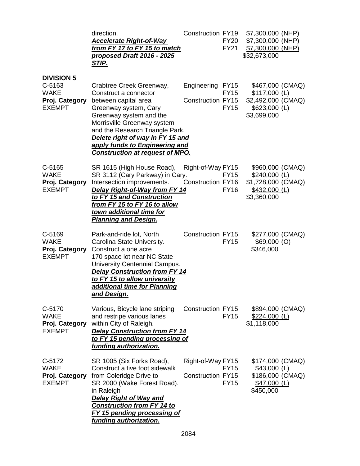|                                                                               | direction.<br><u>Accelerate Right-of-Way</u><br>from FY 17 to FY 15 to match<br>proposed Draft 2016 - 2025<br><u>STIP.</u>                                                                                                                                                                                      | <b>Construction FY19</b>                      | <b>FY20</b><br><b>FY21</b> | \$7,300,000 (NHP)<br>\$7,300,000 (NHP)<br>\$7,300,000 (NHP)<br>\$32,673,000               |  |
|-------------------------------------------------------------------------------|-----------------------------------------------------------------------------------------------------------------------------------------------------------------------------------------------------------------------------------------------------------------------------------------------------------------|-----------------------------------------------|----------------------------|-------------------------------------------------------------------------------------------|--|
| <b>DIVISION 5</b><br>C-5163<br><b>WAKE</b><br>Proj. Category<br><b>EXEMPT</b> | Crabtree Creek Greenway,<br>Construct a connector<br>between capital area<br>Greenway system, Cary<br>Greenway system and the<br>Morrisville Greenway system<br>and the Research Triangle Park.<br>Delete right of way in FY 15 and<br>apply funds to Engineering and<br><b>Construction at request of MPO.</b> | Engineering FY15<br>Construction FY15         | <b>FY15</b><br><b>FY15</b> | \$467,000 (CMAQ)<br>$$117,000$ (L)<br>\$2,492,000 (CMAQ)<br>$$623,000$ (L)<br>\$3,699,000 |  |
| $C-5165$<br><b>WAKE</b><br>Proj. Category<br><b>EXEMPT</b>                    | SR 1615 (High House Road),<br>SR 3112 (Cary Parkway) in Cary.<br>Intersection improvements.<br><b>Delay Right-of-Way from FY 14</b><br>to FY 15 and Construction<br><u>from FY 15 to FY 16 to allow</u><br>town additional time for<br><b>Planning and Design.</b>                                              | Right-of-Way FY15<br>Construction FY16        | <b>FY15</b><br><b>FY16</b> | \$960,000 (CMAQ)<br>\$240,000 (L)<br>\$1,728,000 (CMAQ)<br>$$432,000$ (L)<br>\$3,360,000  |  |
| C-5169<br><b>WAKE</b><br>Proj. Category<br><b>EXEMPT</b>                      | Park-and-ride lot, North<br>Carolina State University.<br>Construct a one acre<br>170 space lot near NC State<br>University Centennial Campus.<br><b>Delay Construction from FY 14</b><br>to FY 15 to allow university<br>additional time for Planning<br><u>and Design.</u>                                    | <b>Construction FY15</b>                      | <b>FY15</b>                | \$277,000 (CMAQ)<br>$$69,000$ (O)<br>\$346,000                                            |  |
| C-5170<br><b>WAKE</b><br>Proj. Category<br><b>EXEMPT</b>                      | Various, Bicycle lane striping<br>and restripe various lanes<br>within City of Raleigh.<br><b>Delay Construction from FY 14</b><br>to FY 15 pending processing of<br>funding authorization.                                                                                                                     | Construction FY15                             | <b>FY15</b>                | \$894,000 (CMAQ)<br>$$224,000$ (L)<br>\$1,118,000                                         |  |
| C-5172<br><b>WAKE</b><br>Proj. Category<br><b>EXEMPT</b>                      | SR 1005 (Six Forks Road),<br>Construct a five foot sidewalk<br>from Coleridge Drive to<br>SR 2000 (Wake Forest Road).<br>in Raleigh<br><b>Delay Right of Way and</b><br><b>Construction from FY 14 to</b><br><b>FY 15 pending processing of</b><br>funding authorization.                                       | Right-of-Way FY15<br><b>Construction FY15</b> | <b>FY15</b><br><b>FY15</b> | \$174,000 (CMAQ)<br>$$43,000$ (L)<br>\$186,000 (CMAQ)<br>$$47,000$ (L)<br>\$450,000       |  |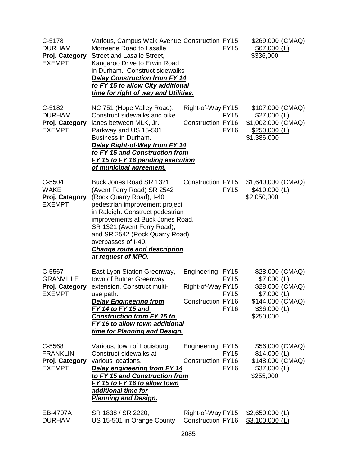| C-5178<br><b>DURHAM</b><br>Proj. Category<br><b>EXEMPT</b>    | Various, Campus Walk Avenue, Construction FY15<br>Morreene Road to Lasalle<br>Street and Lasalle Street,<br>Kangaroo Drive to Erwin Road<br>in Durham. Construct sidewalks<br><b>Delay Construction from FY 14</b><br>to FY 15 to allow City additional<br>time for right of way and Utilities.                                                  | <b>FY15</b>                                                                                             | \$269,000 (CMAQ)<br>$$67,000$ (L)<br>\$336,000                                                                       |
|---------------------------------------------------------------|--------------------------------------------------------------------------------------------------------------------------------------------------------------------------------------------------------------------------------------------------------------------------------------------------------------------------------------------------|---------------------------------------------------------------------------------------------------------|----------------------------------------------------------------------------------------------------------------------|
| C-5182<br><b>DURHAM</b><br>Proj. Category<br><b>EXEMPT</b>    | NC 751 (Hope Valley Road),<br>Construct sidewalks and bike<br>lanes between MLK, Jr.<br>Parkway and US 15-501<br>Business in Durham.<br>Delay Right-of-Way from FY 14<br>to FY 15 and Construction from<br>FY 15 to FY 16 pending execution<br>of municipal agreement.                                                                           | Right-of-Way FY15<br>FY15<br><b>Construction FY16</b><br><b>FY16</b>                                    | \$107,000 (CMAQ)<br>$$27,000$ (L)<br>\$1,002,000 (CMAQ)<br>\$250,000 (L)<br>\$1,386,000                              |
| C-5504<br><b>WAKE</b><br>Proj. Category<br><b>EXEMPT</b>      | Buck Jones Road SR 1321<br>(Avent Ferry Road) SR 2542<br>(Rock Quarry Road), I-40<br>pedestrian improvement project<br>in Raleigh. Construct pedestrian<br>improvements at Buck Jones Road,<br>SR 1321 (Avent Ferry Road),<br>and SR 2542 (Rock Quarry Road)<br>overpasses of I-40.<br><b>Change route and description</b><br>at request of MPO. | <b>Construction FY15</b><br><b>FY15</b>                                                                 | \$1,640,000 (CMAQ)<br>$$410,000$ (L)<br>\$2,050,000                                                                  |
| C-5567<br><b>GRANVILLE</b><br>Proj. Category<br><b>EXEMPT</b> | East Lyon Station Greenway,<br>town of Butner Greenway<br>extension. Construct multi-<br>use path.<br><b>Delay Engineering from</b><br>FY 14 to FY 15 and<br><b>Construction from FY 15 to</b><br>FY 16 to allow town additional<br>time for Planning and Design.                                                                                | Engineering FY15<br><b>FY15</b><br>Right-of-Way FY15<br><b>FY15</b><br>Construction FY16<br><b>FY16</b> | \$28,000 (CMAQ)<br>$$7,000$ (L)<br>\$28,000 (CMAQ)<br>$$7,000$ (L)<br>\$144,000 (CMAQ)<br>$$36,000$ (L)<br>\$250,000 |
| C-5568<br><b>FRANKLIN</b><br>Proj. Category<br><b>EXEMPT</b>  | Various, town of Louisburg.<br>Construct sidewalks at<br>various locations.<br><b>Delay engineering from FY 14</b><br>to FY 15 and Construction from<br>FY 15 to FY 16 to allow town<br>additional time for<br><b>Planning and Design.</b>                                                                                                       | Engineering<br><b>FY15</b><br><b>FY15</b><br><b>Construction FY16</b><br><b>FY16</b>                    | \$56,000 (CMAQ)<br>$$14,000$ (L)<br>\$148,000 (CMAQ)<br>$$37,000$ (L)<br>\$255,000                                   |
| EB-4707A<br><b>DURHAM</b>                                     | SR 1838 / SR 2220,<br>US 15-501 in Orange County                                                                                                                                                                                                                                                                                                 | Right-of-Way FY15<br><b>Construction FY16</b>                                                           | $$2,650,000$ (L)<br>$$3,100,000$ (L)                                                                                 |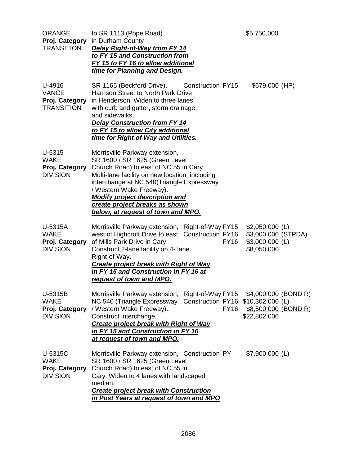| <b>ORANGE</b><br>Proj. Category<br><b>TRANSITION</b>          | to SR 1113 (Pope Road)<br>in Durham County<br>Delay Right-of-Way from FY 14<br>to FY 15 and Construction from<br>FY 15 to FY 16 to allow additional<br>time for Planning and Design.                                                                                                                                                                  |             | \$5,750,000                                                                |  |
|---------------------------------------------------------------|-------------------------------------------------------------------------------------------------------------------------------------------------------------------------------------------------------------------------------------------------------------------------------------------------------------------------------------------------------|-------------|----------------------------------------------------------------------------|--|
| U-4916<br><b>VANCE</b><br>Proj. Category<br><b>TRANSITION</b> | SR 1165 (Beckford Drive), Construction FY15<br>Harrison Street to North Park Drive<br>in Henderson. Widen to three lanes<br>with curb and gutter, storm drainage,<br>and sidewalks.<br><b>Delay Construction from FY 14</b><br>to FY 15 to allow City additional<br>time for Right of Way and Utilities.                                              |             | \$679,000 (HP)                                                             |  |
| U-5315<br><b>WAKE</b><br>Proj. Category<br><b>DIVISION</b>    | Morrisville Parkway extension,<br>SR 1600 / SR 1625 (Green Level<br>Church Road) to east of NC 55 in Cary<br>Multi-lane facility on new location, including<br>interchange at NC 540(Triangle Expressway<br>/ Western Wake Freeway).<br><b>Modify project description and</b><br>create project breaks as shown<br>below, at request of town and MPO. |             |                                                                            |  |
| U-5315A<br><b>WAKE</b><br>Proj. Category<br><b>DIVISION</b>   | Morrisville Parkway extension, Right-of-Way FY15<br>west of Highcroft Drive to east Construction FY16<br>of Mills Park Drive in Cary<br>Construct 2-lane facility on 4- lane<br>Right-of-Way.<br><b>Create project break with Right of Way</b><br>in FY 15 and Construction in FY 16 at<br>request of town and MPO.                                   | <b>FY16</b> | $$2,050,000$ (L)<br>\$3,000,000 (STPDA)<br>$$3,000,000$ (L)<br>\$8,050,000 |  |
| U-5315B<br><b>WAKE</b><br>Proj. Category<br><b>DIVISION</b>   | Morrisville Parkway extension, Right-of-Way FY15 \$4,000,000 (BOND R)<br>NC 540 (Triangle Expressway Construction FY16 \$10,302,000 (L)<br>/ Western Wake Freeway).<br>Construct interchange.<br><b>Create project break with Right of Way</b><br>in FY 15 and Construction in FY 16<br>at request of town and MPO.                                   | <b>FY16</b> | \$8,500,000 (BOND R)<br>\$22,802,000                                       |  |
| U-5315C<br><b>WAKE</b><br>Proj. Category<br><b>DIVISION</b>   | Morrisville Parkway extension, Construction PY<br>SR 1600 / SR 1625 (Green Level<br>Church Road) to east of NC 55 in<br>Cary. Widen to 4 lanes with landscaped<br>median.<br><b>Create project break with Construction</b><br>in Post Years at request of town and MPO                                                                                |             | \$7,900,000 (L)                                                            |  |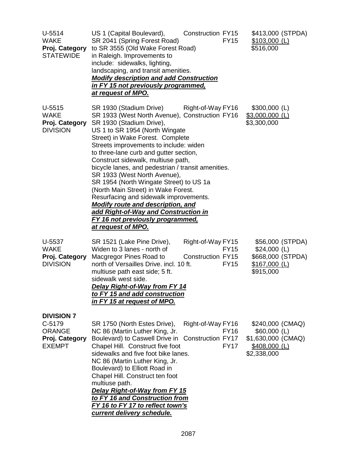| $U-5514$<br><b>WAKE</b><br>Proj. Category<br><b>STATEWIDE</b>                   | US 1 (Capital Boulevard),<br>SR 2041 (Spring Forest Road)<br>to SR 3555 (Old Wake Forest Road)<br>in Raleigh. Improvements to<br>include: sidewalks, lighting,<br>landscaping, and transit amenities.<br><b>Modify description and add Construction</b><br><u>in FY 15 not previously programmed,</u><br>at request of MPO.                                                                                                                                                                                                                                                                                                                                                                    | <b>Construction FY15</b>               | <b>FY15</b>                | \$413,000 (STPDA)<br>$$103,000$ (L)<br>\$516,000                                         |
|---------------------------------------------------------------------------------|------------------------------------------------------------------------------------------------------------------------------------------------------------------------------------------------------------------------------------------------------------------------------------------------------------------------------------------------------------------------------------------------------------------------------------------------------------------------------------------------------------------------------------------------------------------------------------------------------------------------------------------------------------------------------------------------|----------------------------------------|----------------------------|------------------------------------------------------------------------------------------|
| $U-5515$<br><b>WAKE</b><br>Proj. Category<br><b>DIVISION</b>                    | SR 1930 (Stadium Drive) Right-of-Way FY16<br>SR 1933 (West North Avenue), Construction FY16<br>SR 1930 (Stadium Drive),<br>US 1 to SR 1954 (North Wingate<br>Street) in Wake Forest. Complete<br>Streets improvements to include: widen<br>to three-lane curb and gutter section,<br>Construct sidewalk, multiuse path,<br>bicycle lanes, and pedestrian / transit amenities.<br>SR 1933 (West North Avenue),<br>SR 1954 (North Wingate Street) to US 1a<br>(North Main Street) in Wake Forest.<br>Resurfacing and sidewalk improvements.<br><b>Modify route and description, and</b><br>add Right-of-Way and Construction in<br><b>FY 16 not previously programmed,</b><br>at request of MPO. |                                        |                            | $$300,000$ (L)<br>$$3,000,000$ (L)<br>\$3,300,000                                        |
| U-5537<br><b>WAKE</b><br>Proj. Category<br><b>DIVISION</b>                      | SR 1521 (Lake Pine Drive),<br>Widen to 3 lanes - north of<br>Macgregor Pines Road to<br>north of Versailles Drive. incl. 10 ft.<br>multiuse path east side; 5 ft.<br>sidewalk west side.<br><b>Delay Right-of-Way from FY 14</b><br>to FY 15 and add construction<br>in FY 15 at request of MPO.                                                                                                                                                                                                                                                                                                                                                                                               | Right-of-Way FY15<br>Construction FY15 | <b>FY15</b><br><b>FY15</b> | \$56,000 (STPDA)<br>$$24,000$ (L)<br>\$668,000 (STPDA)<br>$$167,000$ (L)<br>\$915,000    |
| <b>DIVISION 7</b><br>C-5179<br><b>ORANGE</b><br>Proj. Category<br><b>EXEMPT</b> | SR 1750 (North Estes Drive),<br>NC 86 (Martin Luther King, Jr.<br>Boulevard) to Caswell Drive in Construction FY17<br>Chapel Hill. Construct five foot<br>sidewalks and five foot bike lanes.<br>NC 86 (Martin Luther King, Jr.<br>Boulevard) to Elliott Road in<br>Chapel Hill. Construct ten foot<br>multiuse path.<br><b>Delay Right-of-Way from FY 15</b><br>to FY 16 and Construction from<br>FY 16 to FY 17 to reflect town's<br>current delivery schedule.                                                                                                                                                                                                                              | Right-of-Way FY16                      | <b>FY16</b><br><b>FY17</b> | \$240,000 (CMAQ)<br>$$60,000$ (L)<br>\$1,630,000 (CMAQ)<br>$$408,000$ (L)<br>\$2,338,000 |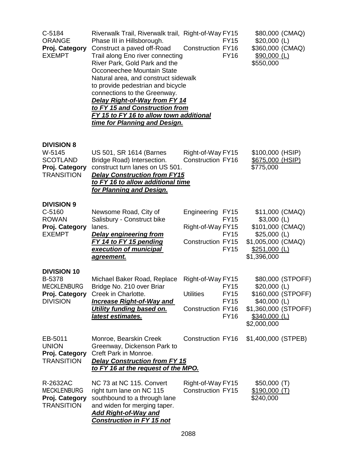| C-5184<br><b>ORANGE</b><br>Proj. Category<br><b>EXEMPT</b>                              | Riverwalk Trail, Riverwalk trail, Right-of-Way FY15<br>Phase III in Hillsborough.<br>Construct a paved off-Road<br>Trail along Eno river connecting<br>River Park, Gold Park and the<br>Occoneechee Mountain State<br>Natural area, and construct sidewalk<br>to provide pedestrian and bicycle<br>connections to the Greenway.<br><b>Delay Right-of-Way from FY 14</b><br>to FY 15 and Construction from<br><b>FY 15 to FY 16 to allow town additional</b><br>time for Planning and Design. | <b>Construction FY16</b>                                          | <b>FY15</b><br><b>FY16</b>                               | $$20,000$ (L)<br>\$360,000 (CMAQ)<br>$$90,000$ (L)<br>\$550,000                                                                   | \$80,000 (CMAQ)                         |
|-----------------------------------------------------------------------------------------|----------------------------------------------------------------------------------------------------------------------------------------------------------------------------------------------------------------------------------------------------------------------------------------------------------------------------------------------------------------------------------------------------------------------------------------------------------------------------------------------|-------------------------------------------------------------------|----------------------------------------------------------|-----------------------------------------------------------------------------------------------------------------------------------|-----------------------------------------|
| <b>DIVISION 8</b><br>W-5145<br><b>SCOTLAND</b><br>Proj. Category<br><b>TRANSITION</b>   | US 501, SR 1614 (Barnes<br>Bridge Road) Intersection.<br>construct turn lanes on US 501.<br><b>Delay Construction from FY15</b><br>to FY 16 to allow additional time<br>for Planning and Design.                                                                                                                                                                                                                                                                                             | Right-of-Way FY15<br><b>Construction FY16</b>                     |                                                          | \$100,000 (HSIP)<br>\$675,000 (HSIP)<br>\$775,000                                                                                 |                                         |
| <b>DIVISION 9</b><br>C-5160<br><b>ROWAN</b><br>Proj. Category<br><b>EXEMPT</b>          | Newsome Road, City of<br>Salisbury - Construct bike<br>lanes.<br><b>Delay engineering from</b><br>FY 14 to FY 15 pending<br>execution of municipal<br><u>agreement.</u>                                                                                                                                                                                                                                                                                                                      | Engineering FY15<br>Right-of-Way FY15<br><b>Construction FY15</b> | <b>FY15</b><br><b>FY15</b><br><b>FY15</b>                | \$11,000 (CMAQ)<br>$$3,000$ (L)<br>\$101,000 (CMAQ)<br>$$25,000$ (L)<br>\$1,005,000 (CMAQ)<br><u>\$251,000 (L)</u><br>\$1,396,000 |                                         |
| <b>DIVISION 10</b><br>B-5378<br><b>MECKLENBURG</b><br>Proj. Category<br><b>DIVISION</b> | Michael Baker Road, Replace<br>Bridge No. 210 over Briar<br>Creek in Charlotte.<br>Increase Right-of-Way and<br>Utility funding based on.<br>latest estimates.                                                                                                                                                                                                                                                                                                                               | Right-of-Way FY15<br><b>Utilities</b><br><b>Construction FY16</b> | <b>FY15</b><br><b>FY15</b><br><b>FY15</b><br><b>FY16</b> | $$20,000$ (L)<br>$$40,000$ (L)<br>\$1,360,000 (STPOFF)<br>\$340,000 (L)<br>\$2,000,000                                            | \$80,000 (STPOFF)<br>\$160,000 (STPOFF) |
| EB-5011<br><b>UNION</b><br>Proj. Category<br><b>TRANSITION</b>                          | Monroe, Bearskin Creek<br>Greenway, Dickenson Park to<br>Creft Park in Monroe.<br><b>Delay Construction from FY 15</b><br>to FY 16 at the request of the MPO.                                                                                                                                                                                                                                                                                                                                | Construction FY16                                                 |                                                          | \$1,400,000 (STPEB)                                                                                                               |                                         |
| R-2632AC<br><b>MECKLENBURG</b><br>Proj. Category<br><b>TRANSITION</b>                   | NC 73 at NC 115. Convert<br>right turn lane on NC 115<br>southbound to a through lane<br>and widen for merging taper.<br><b>Add Right-of-Way and</b><br><b>Construction in FY 15 not</b>                                                                                                                                                                                                                                                                                                     | Right-of-Way FY15<br><b>Construction FY15</b>                     |                                                          | \$50,000(T)<br>\$190,000(T)<br>\$240,000                                                                                          |                                         |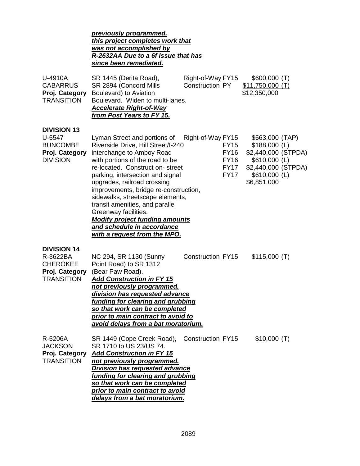|                                                                                          | previously programmed.<br>this project completes work that<br>was not accomplished by<br>R-2632AA Due to a 6f issue that has<br>since been remediated.                                                                                                                                                                                                                                                                                                                                         |                                                                                              |                                                                                                                                   |  |
|------------------------------------------------------------------------------------------|------------------------------------------------------------------------------------------------------------------------------------------------------------------------------------------------------------------------------------------------------------------------------------------------------------------------------------------------------------------------------------------------------------------------------------------------------------------------------------------------|----------------------------------------------------------------------------------------------|-----------------------------------------------------------------------------------------------------------------------------------|--|
| U-4910A<br><b>CABARRUS</b><br>Proj. Category<br><b>TRANSITION</b>                        | SR 1445 (Derita Road),<br>SR 2894 (Concord Mills<br>Boulevard) to Aviation<br>Boulevard. Widen to multi-lanes.<br><b>Accelerate Right-of-Way</b><br>from Post Years to FY 15.                                                                                                                                                                                                                                                                                                                  | Right-of-Way FY15<br>Construction PY                                                         | \$600,000(T)<br>$$11,750,000$ (T)<br>\$12,350,000                                                                                 |  |
| <b>DIVISION 13</b><br>U-5547<br><b>BUNCOMBE</b><br>Proj. Category<br><b>DIVISION</b>     | Lyman Street and portions of<br>Riverside Drive, Hill Street/I-240<br>interchange to Amboy Road<br>with portions of the road to be<br>re-located. Construct on-street<br>parking, intersection and signal<br>upgrades, railroad crossing<br>improvements, bridge re-construction,<br>sidewalks, streetscape elements,<br>transit amenities, and parallel<br>Greenway facilities.<br><b>Modify project funding amounts</b><br>and schedule in accordance<br><u>with a request from the MPO.</u> | Right-of-Way FY15<br><b>FY15</b><br><b>FY16</b><br><b>FY16</b><br><b>FY17</b><br><b>FY17</b> | \$563,000 (TAP)<br>$$188,000$ (L)<br>\$2,440,000 (STPDA)<br>\$610,000 (L)<br>\$2,440,000 (STPDA)<br>$$610,000$ (L)<br>\$6,851,000 |  |
| <b>DIVISION 14</b><br>R-3622BA<br><b>CHEROKEE</b><br>Proj. Category<br><b>TRANSITION</b> | NC 294, SR 1130 (Sunny<br>Point Road) to SR 1312<br>(Bear Paw Road).<br><b>Add Construction in FY 15</b><br>not previously programmed.<br>division has requested advance<br>funding for clearing and grubbing<br>so that work can be completed<br>prior to main contract to avoid to<br>avoid delays from a bat moratorium.                                                                                                                                                                    | <b>Construction FY15</b>                                                                     | \$115,000(T)                                                                                                                      |  |
| R-5206A<br><b>JACKSON</b><br>Proj. Category<br><b>TRANSITION</b>                         | SR 1449 (Cope Creek Road),<br>SR 1710 to US 23/US 74.<br><b>Add Construction in FY 15</b><br>not previously programmed.<br><b>Division has requested advance</b><br><u>funding for clearing and grubbing</u><br>so that work can be completed<br>prior to main contract to avoid<br>delays from a bat moratorium.                                                                                                                                                                              | <b>Construction FY15</b>                                                                     | \$10,000(T)                                                                                                                       |  |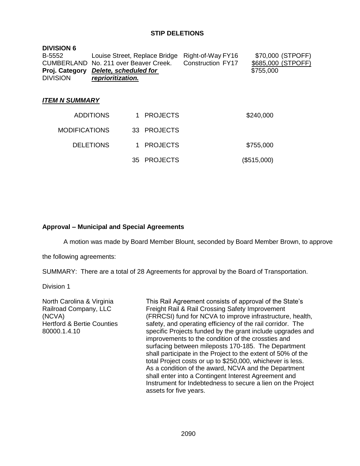## **STIP DELETIONS**

| <b>DIVISION 6</b><br>B-5552<br>CUMBERLAND No. 211 over Beaver Creek.<br>Proj. Category<br><b>DIVISION</b> | Delete, scheduled for<br>reprioritization. |     | Louise Street, Replace Bridge | Right-of-Way FY16<br><b>Construction FY17</b> | \$70,000 (STPOFF)<br>\$685,000 (STPOFF)<br>\$755,000 |
|-----------------------------------------------------------------------------------------------------------|--------------------------------------------|-----|-------------------------------|-----------------------------------------------|------------------------------------------------------|
| <b>ITEM N SUMMARY</b>                                                                                     |                                            |     |                               |                                               |                                                      |
|                                                                                                           | <b>ADDITIONS</b>                           |     | <b>PROJECTS</b>               |                                               | \$240,000                                            |
| <b>MODIFICATIONS</b>                                                                                      |                                            |     | 33 PROJECTS                   |                                               |                                                      |
|                                                                                                           | <b>DELETIONS</b>                           |     | <b>PROJECTS</b>               |                                               | \$755,000                                            |
|                                                                                                           |                                            | 35. | <b>PROJECTS</b>               |                                               | (\$515,000)                                          |

### **Approval – Municipal and Special Agreements**

A motion was made by Board Member Blount, seconded by Board Member Brown, to approve

the following agreements:

SUMMARY: There are a total of 28 Agreements for approval by the Board of Transportation.

Division 1

North Carolina & Virginia Railroad Company, LLC (NCVA) Hertford & Bertie Counties 80000.1.4.10

This Rail Agreement consists of approval of the State's Freight Rail & Rail Crossing Safety Improvement (FRRCSI) fund for NCVA to improve infrastructure, health, safety, and operating efficiency of the rail corridor. The specific Projects funded by the grant include upgrades and improvements to the condition of the crossties and surfacing between mileposts 170-185. The Department shall participate in the Project to the extent of 50% of the total Project costs or up to \$250,000, whichever is less. As a condition of the award, NCVA and the Department shall enter into a Contingent Interest Agreement and Instrument for Indebtedness to secure a lien on the Project assets for five years.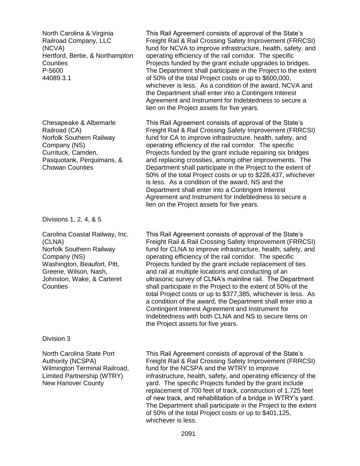North Carolina & Virginia Railroad Company, LLC (NCVA) Hertford, Bertie, & Northampton **Counties** P-5600 44089.3.1

Chesapeake & Albemarle Railroad (CA) Norfolk Southern Railway Company (NS) Currituck, Camden, Pasquotank, Perquimans, & Chowan Counties

Divisions 1, 2, 4, & 5

Carolina Coastal Railway, Inc. (CLNA) Norfolk Southern Railway Company (NS) Washington, Beaufort, Pitt, Greene, Wilson, Nash, Johnston, Wake, & Carteret **Counties** 

This Rail Agreement consists of approval of the State's Freight Rail & Rail Crossing Safety Improvement (FRRCSI) fund for NCVA to improve infrastructure, health, safety, and operating efficiency of the rail corridor. The specific Projects funded by the grant include upgrades to bridges. The Department shall participate in the Project to the extent of 50% of the total Project costs or up to \$600,000, whichever is less. As a condition of the award, NCVA and the Department shall enter into a Contingent Interest Agreement and Instrument for Indebtedness to secure a lien on the Project assets for five years.

This Rail Agreement consists of approval of the State's Freight Rail & Rail Crossing Safety Improvement (FRRCSI) fund for CA to improve infrastructure, health, safety, and operating efficiency of the rail corridor. The specific Projects funded by the grant include repairing six bridges and replacing crossties, among other improvements. The Department shall participate in the Project to the extent of 50% of the total Project costs or up to \$228,437, whichever is less. As a condition of the award, NS and the Department shall enter into a Contingent Interest Agreement and Instrument for Indebtedness to secure a lien on the Project assets for five years.

This Rail Agreement consists of approval of the State's Freight Rail & Rail Crossing Safety Improvement (FRRCSI) fund for CLNA to improve infrastructure, health, safety, and operating efficiency of the rail corridor. The specific Projects funded by the grant include replacement of ties and rail at multiple locations and conducting of an ultrasonic survey of CLNA's mainline rail. The Department shall participate in the Project to the extent of 50% of the total Project costs or up to \$377,385, whichever is less. As a condition of the award, the Department shall enter into a Contingent Interest Agreement and Instrument for Indebtedness with both CLNA and NS to secure liens on the Project assets for five years.

#### Division 3

North Carolina State Port Authority (NCSPA) Wilmington Terminal Railroad, Limited Partnership (WTRY) New Hanover County

This Rail Agreement consists of approval of the State's Freight Rail & Rail Crossing Safety Improvement (FRRCSI) fund for the NCSPA and the WTRY to improve infrastructure, health, safety, and operating efficiency of the yard. The specific Projects funded by the grant include replacement of 700 feet of track, construction of 1,725 feet of new track, and rehabilitation of a bridge in WTRY's yard. The Department shall participate in the Project to the extent of 50% of the total Project costs or up to \$401,125, whichever is less.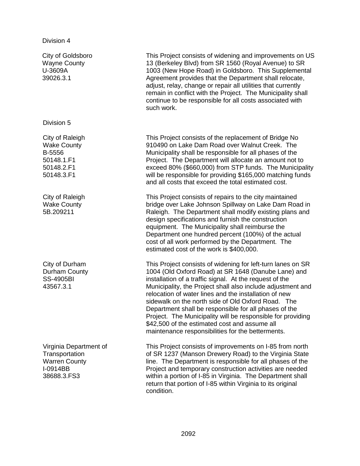|  | Division 4 |  |
|--|------------|--|
|  |            |  |

City of Goldsboro Wayne County U-3609A 39026.3.1 This Project consists of widening and improvements on US 13 (Berkeley Blvd) from SR 1560 (Royal Avenue) to SR 1003 (New Hope Road) in Goldsboro. This Supplemental Agreement provides that the Department shall relocate, adjust, relay, change or repair all utilities that currently remain in conflict with the Project. The Municipality shall continue to be responsible for all costs associated with such work. Division 5 City of Raleigh Wake County B-5556 50148.1.F1 50148.2.F1 50148.3.F1 This Project consists of the replacement of Bridge No 910490 on Lake Dam Road over Walnut Creek. The Municipality shall be responsible for all phases of the Project. The Department will allocate an amount not to exceed 80% (\$660,000) from STP funds. The Municipality will be responsible for providing \$165,000 matching funds and all costs that exceed the total estimated cost. City of Raleigh Wake County 5B.209211 This Project consists of repairs to the city maintained bridge over Lake Johnson Spillway on Lake Dam Road in Raleigh. The Department shall modify existing plans and design specifications and furnish the construction equipment. The Municipality shall reimburse the Department one hundred percent (100%) of the actual cost of all work performed by the Department. The estimated cost of the work is \$400,000. City of Durham Durham County SS-4905BI 43567.3.1 This Project consists of widening for left-turn lanes on SR 1004 (Old Oxford Road) at SR 1648 (Danube Lane) and installation of a traffic signal. At the request of the Municipality, the Project shall also include adjustment and relocation of water lines and the installation of new sidewalk on the north side of Old Oxford Road. The Department shall be responsible for all phases of the Project. The Municipality will be responsible for providing \$42,500 of the estimated cost and assume all maintenance responsibilities for the betterments. Virginia Department of **Transportation** Warren County I-0914BB 38688.3.FS3 This Project consists of improvements on I-85 from north of SR 1237 (Manson Drewery Road) to the Virginia State line. The Department is responsible for all phases of the Project and temporary construction activities are needed within a portion of I-85 in Virginia. The Department shall return that portion of I-85 within Virginia to its original condition.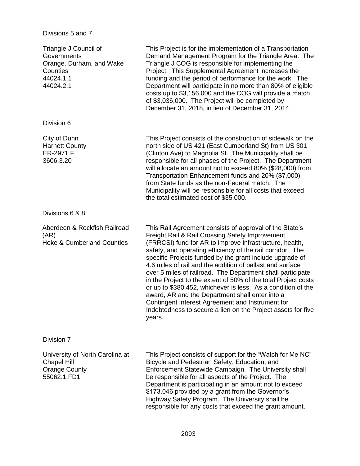## Divisions 5 and 7

| Triangle J Council of<br>Governments<br>Orange, Durham, and Wake<br>Counties<br>44024.1.1<br>44024.2.1 | This Project is for the implementation of a Transportation<br>Demand Management Program for the Triangle Area. The<br>Triangle J COG is responsible for implementing the<br>Project. This Supplemental Agreement increases the<br>funding and the period of performance for the work. The<br>Department will participate in no more than 80% of eligible<br>costs up to \$3,156,000 and the COG will provide a match,<br>of \$3,036,000. The Project will be completed by<br>December 31, 2018, in lieu of December 31, 2014.                                                                                                                                                                                                                 |
|--------------------------------------------------------------------------------------------------------|-----------------------------------------------------------------------------------------------------------------------------------------------------------------------------------------------------------------------------------------------------------------------------------------------------------------------------------------------------------------------------------------------------------------------------------------------------------------------------------------------------------------------------------------------------------------------------------------------------------------------------------------------------------------------------------------------------------------------------------------------|
| Division 6                                                                                             |                                                                                                                                                                                                                                                                                                                                                                                                                                                                                                                                                                                                                                                                                                                                               |
| City of Dunn<br><b>Harnett County</b><br>ER-2971 F<br>3606.3.20                                        | This Project consists of the construction of sidewalk on the<br>north side of US 421 (East Cumberland St) from US 301<br>(Clinton Ave) to Magnolia St. The Municipality shall be<br>responsible for all phases of the Project. The Department<br>will allocate an amount not to exceed 80% (\$28,000) from<br>Transportation Enhancement funds and 20% (\$7,000)<br>from State funds as the non-Federal match. The<br>Municipality will be responsible for all costs that exceed<br>the total estimated cost of \$35,000.                                                                                                                                                                                                                     |
| Divisions 6 & 8                                                                                        |                                                                                                                                                                                                                                                                                                                                                                                                                                                                                                                                                                                                                                                                                                                                               |
| Aberdeen & Rockfish Railroad<br>(AR)<br><b>Hoke &amp; Cumberland Counties</b>                          | This Rail Agreement consists of approval of the State's<br>Freight Rail & Rail Crossing Safety Improvement<br>(FRRCSI) fund for AR to improve infrastructure, health,<br>safety, and operating efficiency of the rail corridor. The<br>specific Projects funded by the grant include upgrade of<br>4.6 miles of rail and the addition of ballast and surface<br>over 5 miles of railroad. The Department shall participate<br>in the Project to the extent of 50% of the total Project costs<br>or up to \$380,452, whichever is less. As a condition of the<br>award, AR and the Department shall enter into a<br>Contingent Interest Agreement and Instrument for<br>Indebtedness to secure a lien on the Project assets for five<br>years. |
| Division 7                                                                                             |                                                                                                                                                                                                                                                                                                                                                                                                                                                                                                                                                                                                                                                                                                                                               |
| University of North Carolina at<br><b>Chapel Hill</b><br><b>Orange County</b><br>55062.1.FD1           | This Project consists of support for the "Watch for Me NC"<br>Bicycle and Pedestrian Safety, Education, and<br>Enforcement Statewide Campaign. The University shall<br>be responsible for all aspects of the Project. The<br>Department is participating in an amount not to exceed<br>\$173,046 provided by a grant from the Governor's<br>Highway Safety Program. The University shall be<br>responsible for any costs that exceed the grant amount.                                                                                                                                                                                                                                                                                        |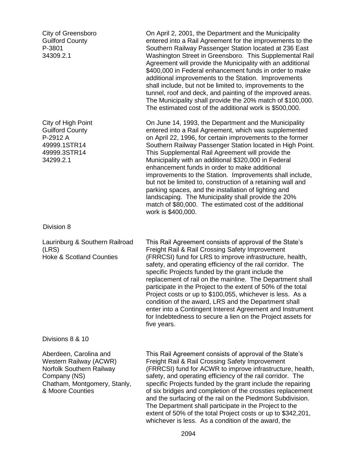| City of Greensboro<br><b>Guilford County</b><br>P-3801<br>34309.2.1                                                                              | On April 2, 2001, the Department and the Municipality<br>entered into a Rail Agreement for the improvements to the<br>Southern Railway Passenger Station located at 236 East<br>Washington Street in Greensboro. This Supplemental Rail<br>Agreement will provide the Municipality with an additional<br>\$400,000 in Federal enhancement funds in order to make<br>additional improvements to the Station. Improvements<br>shall include, but not be limited to, improvements to the<br>tunnel, roof and deck, and painting of the improved areas.<br>The Municipality shall provide the 20% match of \$100,000.<br>The estimated cost of the additional work is \$500,000.                                                      |
|--------------------------------------------------------------------------------------------------------------------------------------------------|-----------------------------------------------------------------------------------------------------------------------------------------------------------------------------------------------------------------------------------------------------------------------------------------------------------------------------------------------------------------------------------------------------------------------------------------------------------------------------------------------------------------------------------------------------------------------------------------------------------------------------------------------------------------------------------------------------------------------------------|
| City of High Point<br><b>Guilford County</b><br>P-2912 A<br>49999.1STR14<br>49999.3STR14<br>34299.2.1                                            | On June 14, 1993, the Department and the Municipality<br>entered into a Rail Agreement, which was supplemented<br>on April 22, 1996, for certain improvements to the former<br>Southern Railway Passenger Station located in High Point.<br>This Supplemental Rail Agreement will provide the<br>Municipality with an additional \$320,000 in Federal<br>enhancement funds in order to make additional<br>improvements to the Station. Improvements shall include,<br>but not be limited to, construction of a retaining wall and<br>parking spaces, and the installation of lighting and<br>landscaping. The Municipality shall provide the 20%<br>match of \$80,000. The estimated cost of the additional<br>work is \$400,000. |
| Division 8                                                                                                                                       |                                                                                                                                                                                                                                                                                                                                                                                                                                                                                                                                                                                                                                                                                                                                   |
| Laurinburg & Southern Railroad<br>(LRS)<br><b>Hoke &amp; Scotland Counties</b>                                                                   | This Rail Agreement consists of approval of the State's<br>Freight Rail & Rail Crossing Safety Improvement<br>(FRRCSI) fund for LRS to improve infrastructure, health,<br>safety, and operating efficiency of the rail corridor. The<br>specific Projects funded by the grant include the<br>replacement of rail on the mainline. The Department shall<br>participate in the Project to the extent of 50% of the total<br>Project costs or up to \$100,055, whichever is less. As a<br>condition of the award, LRS and the Department shall<br>enter into a Contingent Interest Agreement and Instrument<br>for Indebtedness to secure a lien on the Project assets for<br>five years.                                            |
| Divisions 8 & 10                                                                                                                                 |                                                                                                                                                                                                                                                                                                                                                                                                                                                                                                                                                                                                                                                                                                                                   |
| Aberdeen, Carolina and<br>Western Railway (ACWR)<br>Norfolk Southern Railway<br>Company (NS)<br>Chatham, Montgomery, Stanly,<br>& Moore Counties | This Rail Agreement consists of approval of the State's<br>Freight Rail & Rail Crossing Safety Improvement<br>(FRRCSI) fund for ACWR to improve infrastructure, health,<br>safety, and operating efficiency of the rail corridor. The<br>specific Projects funded by the grant include the repairing<br>of six bridges and completion of the crossties replacement<br>and the surfacing of the rail on the Piedmont Subdivision.<br>The Department shall participate in the Project to the<br>extent of 50% of the total Project costs or up to \$342,201,<br>whichever is less. As a condition of the award, the                                                                                                                 |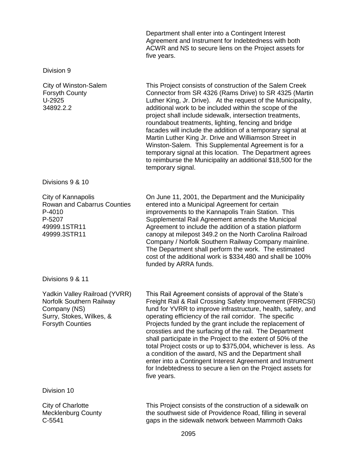Department shall enter into a Contingent Interest Agreement and Instrument for Indebtedness with both ACWR and NS to secure liens on the Project assets for five years.

#### Division 9

C-5541

City of Winston-Salem Forsyth County U-2925 34892.2.2 This Project consists of construction of the Salem Creek Connector from SR 4326 (Rams Drive) to SR 4325 (Martin Luther King, Jr. Drive). At the request of the Municipality, additional work to be included within the scope of the project shall include sidewalk, intersection treatments, roundabout treatments, lighting, fencing and bridge facades will include the addition of a temporary signal at Martin Luther King Jr. Drive and Williamson Street in Winston-Salem. This Supplemental Agreement is for a temporary signal at this location. The Department agrees to reimburse the Municipality an additional \$18,500 for the temporary signal. Divisions 9 & 10 City of Kannapolis Rowan and Cabarrus Counties P-4010 P-5207 49999.1STR11 49999.3STR11 On June 11, 2001, the Department and the Municipality entered into a Municipal Agreement for certain improvements to the Kannapolis Train Station. This Supplemental Rail Agreement amends the Municipal Agreement to include the addition of a station platform canopy at milepost 349.2 on the North Carolina Railroad Company / Norfolk Southern Railway Company mainline. The Department shall perform the work. The estimated cost of the additional work is \$334,480 and shall be 100% funded by ARRA funds. Divisions 9 & 11 Yadkin Valley Railroad (YVRR) Norfolk Southern Railway Company (NS) Surry, Stokes, Wilkes, & Forsyth Counties This Rail Agreement consists of approval of the State's Freight Rail & Rail Crossing Safety Improvement (FRRCSI) fund for YVRR to improve infrastructure, health, safety, and operating efficiency of the rail corridor. The specific Projects funded by the grant include the replacement of crossties and the surfacing of the rail. The Department shall participate in the Project to the extent of 50% of the total Project costs or up to \$375,004, whichever is less. As a condition of the award, NS and the Department shall enter into a Contingent Interest Agreement and Instrument for Indebtedness to secure a lien on the Project assets for five years. Division 10 City of Charlotte Mecklenburg County This Project consists of the construction of a sidewalk on the southwest side of Providence Road, filling in several

gaps in the sidewalk network between Mammoth Oaks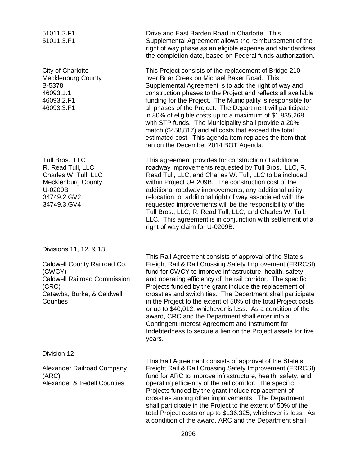| 51011.2.F1<br>51011.3.F1                                                                                                           | Drive and East Barden Road in Charlotte. This<br>Supplemental Agreement allows the reimbursement of the<br>right of way phase as an eligible expense and standardizes<br>the completion date, based on Federal funds authorization.                                                                                                                                                                                                                                                                                                                                                                                                                                                         |
|------------------------------------------------------------------------------------------------------------------------------------|---------------------------------------------------------------------------------------------------------------------------------------------------------------------------------------------------------------------------------------------------------------------------------------------------------------------------------------------------------------------------------------------------------------------------------------------------------------------------------------------------------------------------------------------------------------------------------------------------------------------------------------------------------------------------------------------|
| <b>City of Charlotte</b><br><b>Mecklenburg County</b><br>B-5378<br>46093.1.1<br>46093.2.F1<br>46093.3.F1                           | This Project consists of the replacement of Bridge 210<br>over Briar Creek on Michael Baker Road. This<br>Supplemental Agreement is to add the right of way and<br>construction phases to the Project and reflects all available<br>funding for the Project. The Municipality is responsible for<br>all phases of the Project. The Department will participate<br>in 80% of eligible costs up to a maximum of \$1,835,268<br>with STP funds. The Municipality shall provide a 20%<br>match (\$458,817) and all costs that exceed the total<br>estimated cost. This agenda item replaces the item that<br>ran on the December 2014 BOT Agenda.                                               |
| Tull Bros., LLC<br>R. Read Tull, LLC<br>Charles W. Tull, LLC<br><b>Mecklenburg County</b><br>U-0209B<br>34749.2.GV2<br>34749.3.GV4 | This agreement provides for construction of additional<br>roadway improvements requested by Tull Bros., LLC, R.<br>Read Tull, LLC, and Charles W. Tull, LLC to be included<br>within Project U-0209B. The construction cost of the<br>additional roadway improvements, any additional utility<br>relocation, or additional right of way associated with the<br>requested improvements will be the responsibility of the<br>Tull Bros., LLC, R. Read Tull, LLC, and Charles W. Tull,<br>LLC. This agreement is in conjunction with settlement of a<br>right of way claim for U-0209B.                                                                                                        |
| Divisions 11, 12, & 13                                                                                                             |                                                                                                                                                                                                                                                                                                                                                                                                                                                                                                                                                                                                                                                                                             |
| Caldwell County Railroad Co.<br>(CWCY)<br><b>Caldwell Railroad Commission</b><br>(CRC)<br>Catawba, Burke, & Caldwell<br>Counties   | This Rail Agreement consists of approval of the State's<br>Freight Rail & Rail Crossing Safety Improvement (FRRCSI)<br>fund for CWCY to improve infrastructure, health, safety,<br>and operating efficiency of the rail corridor. The specific<br>Projects funded by the grant include the replacement of<br>crossties and switch ties. The Department shall participate<br>in the Project to the extent of 50% of the total Project costs<br>or up to \$40,012, whichever is less. As a condition of the<br>award, CRC and the Department shall enter into a<br>Contingent Interest Agreement and Instrument for<br>Indebtedness to secure a lien on the Project assets for five<br>years. |
| Division 12                                                                                                                        | This Rail Agreement consists of approval of the State's                                                                                                                                                                                                                                                                                                                                                                                                                                                                                                                                                                                                                                     |
| Alexander Railroad Company<br>(ARC)<br><b>Alexander &amp; Iredell Counties</b>                                                     | Freight Rail & Rail Crossing Safety Improvement (FRRCSI)<br>fund for ARC to improve infrastructure, health, safety, and<br>operating efficiency of the rail corridor. The specific<br>Projects funded by the grant include replacement of<br>crossties among other improvements. The Department<br>shall participate in the Project to the extent of 50% of the<br>total Project costs or up to \$136,325, whichever is less. As<br>a condition of the award, ARC and the Department shall                                                                                                                                                                                                  |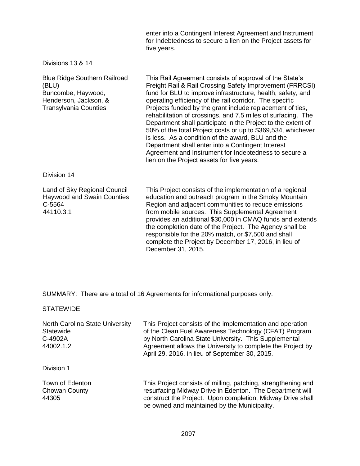enter into a Contingent Interest Agreement and Instrument for Indebtedness to secure a lien on the Project assets for five years.

Divisions 13 & 14

| <b>Blue Ridge Southern Railroad</b><br>(BLU)<br>Buncombe, Haywood,<br>Henderson, Jackson, &<br><b>Transylvania Counties</b> | This Rail Agreement consists of approval of the State's<br>Freight Rail & Rail Crossing Safety Improvement (FRRCSI)<br>fund for BLU to improve infrastructure, health, safety, and<br>operating efficiency of the rail corridor. The specific<br>Projects funded by the grant include replacement of ties,<br>rehabilitation of crossings, and 7.5 miles of surfacing. The<br>Department shall participate in the Project to the extent of<br>50% of the total Project costs or up to \$369,534, whichever<br>is less. As a condition of the award, BLU and the<br>Department shall enter into a Contingent Interest<br>Agreement and Instrument for Indebtedness to secure a<br>lien on the Project assets for five years. |
|-----------------------------------------------------------------------------------------------------------------------------|-----------------------------------------------------------------------------------------------------------------------------------------------------------------------------------------------------------------------------------------------------------------------------------------------------------------------------------------------------------------------------------------------------------------------------------------------------------------------------------------------------------------------------------------------------------------------------------------------------------------------------------------------------------------------------------------------------------------------------|
| Division 14                                                                                                                 |                                                                                                                                                                                                                                                                                                                                                                                                                                                                                                                                                                                                                                                                                                                             |
| Land of Sky Regional Council<br><b>Haywood and Swain Counties</b><br>C-5564<br>44110.3.1                                    | This Project consists of the implementation of a regional<br>education and outreach program in the Smoky Mountain<br>Region and adjacent communities to reduce emissions<br>from mobile sources. This Supplemental Agreement<br>provides an additional \$30,000 in CMAQ funds and extends                                                                                                                                                                                                                                                                                                                                                                                                                                   |

the completion date of the Project. The Agency shall be responsible for the 20% match, or \$7,500 and shall complete the Project by December 17, 2016, in lieu of December 31, 2015.

SUMMARY: There are a total of 16 Agreements for informational purposes only.

**STATEWIDE** 

| North Carolina State University<br>Statewide<br>C-4902A<br>44002.1.2 | This Project consists of the implementation and operation<br>of the Clean Fuel Awareness Technology (CFAT) Program<br>by North Carolina State University. This Supplemental<br>Agreement allows the University to complete the Project by<br>April 29, 2016, in lieu of September 30, 2015. |
|----------------------------------------------------------------------|---------------------------------------------------------------------------------------------------------------------------------------------------------------------------------------------------------------------------------------------------------------------------------------------|
| Division 1                                                           |                                                                                                                                                                                                                                                                                             |
| Town of Edenton<br>Chowan County<br>44305                            | This Project consists of milling, patching, strengthening and<br>resurfacing Midway Drive in Edenton. The Department will<br>construct the Project. Upon completion, Midway Drive shall<br>be owned and maintained by the Municipality.                                                     |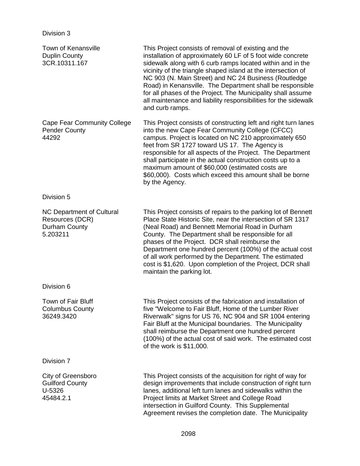| <b>Town of Kenansville</b><br><b>Duplin County</b><br>3CR.10311.167       | This Project consists of removal of existing and the<br>installation of approximately 60 LF of 5 foot wide concrete<br>sidewalk along with 6 curb ramps located within and in the<br>vicinity of the triangle shaped island at the intersection of<br>NC 903 (N. Main Street) and NC 24 Business (Routledge<br>Road) in Kenansville. The Department shall be responsible<br>for all phases of the Project. The Municipality shall assume<br>all maintenance and liability responsibilities for the sidewalk<br>and curb ramps. |
|---------------------------------------------------------------------------|--------------------------------------------------------------------------------------------------------------------------------------------------------------------------------------------------------------------------------------------------------------------------------------------------------------------------------------------------------------------------------------------------------------------------------------------------------------------------------------------------------------------------------|
| <b>Cape Fear Community College</b><br><b>Pender County</b><br>44292       | This Project consists of constructing left and right turn lanes<br>into the new Cape Fear Community College (CFCC)<br>campus. Project is located on NC 210 approximately 650<br>feet from SR 1727 toward US 17. The Agency is<br>responsible for all aspects of the Project. The Department<br>shall participate in the actual construction costs up to a<br>maximum amount of \$60,000 (estimated costs are<br>\$60,000). Costs which exceed this amount shall be borne<br>by the Agency.                                     |
| Division 5                                                                |                                                                                                                                                                                                                                                                                                                                                                                                                                                                                                                                |
| NC Department of Cultural<br>Resources (DCR)<br>Durham County<br>5.203211 | This Project consists of repairs to the parking lot of Bennett<br>Place State Historic Site, near the intersection of SR 1317<br>(Neal Road) and Bennett Memorial Road in Durham<br>County. The Department shall be responsible for all<br>phases of the Project. DCR shall reimburse the<br>Department one hundred percent (100%) of the actual cost<br>of all work performed by the Department. The estimated<br>cost is \$1,620. Upon completion of the Project, DCR shall<br>maintain the parking lot.                     |
| Division 6                                                                |                                                                                                                                                                                                                                                                                                                                                                                                                                                                                                                                |
| <b>Town of Fair Bluff</b><br><b>Columbus County</b><br>36249.3420         | This Project consists of the fabrication and installation of<br>five "Welcome to Fair Bluff, Home of the Lumber River<br>Riverwalk" signs for US 76, NC 904 and SR 1004 entering<br>Fair Bluff at the Municipal boundaries. The Municipality<br>shall reimburse the Department one hundred percent<br>(100%) of the actual cost of said work. The estimated cost<br>of the work is \$11,000.                                                                                                                                   |
| Division 7                                                                |                                                                                                                                                                                                                                                                                                                                                                                                                                                                                                                                |
| City of Greensboro<br><b>Guilford County</b><br>U-5326<br>45484.2.1       | This Project consists of the acquisition for right of way for<br>design improvements that include construction of right turn<br>lanes, additional left turn lanes and sidewalks within the<br>Project limits at Market Street and College Road<br>intersection in Guilford County. This Supplemental<br>Agreement revises the completion date. The Municipality                                                                                                                                                                |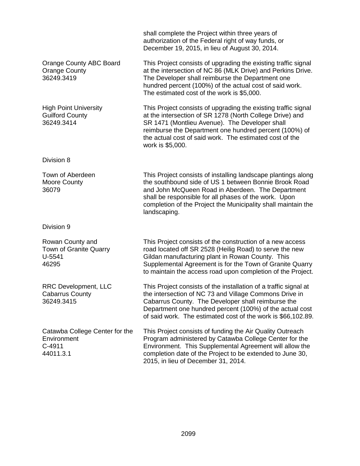|                                                                        | shall complete the Project within three years of<br>authorization of the Federal right of way funds, or<br>December 19, 2015, in lieu of August 30, 2014.                                                                                                                                                             |  |
|------------------------------------------------------------------------|-----------------------------------------------------------------------------------------------------------------------------------------------------------------------------------------------------------------------------------------------------------------------------------------------------------------------|--|
| <b>Orange County ABC Board</b><br><b>Orange County</b><br>36249.3419   | This Project consists of upgrading the existing traffic signal<br>at the intersection of NC 86 (MLK Drive) and Perkins Drive.<br>The Developer shall reimburse the Department one<br>hundred percent (100%) of the actual cost of said work.<br>The estimated cost of the work is \$5,000.                            |  |
| <b>High Point University</b><br><b>Guilford County</b><br>36249.3414   | This Project consists of upgrading the existing traffic signal<br>at the intersection of SR 1278 (North College Drive) and<br>SR 1471 (Montlieu Avenue). The Developer shall<br>reimburse the Department one hundred percent (100%) of<br>the actual cost of said work. The estimated cost of the<br>work is \$5,000. |  |
| Division 8                                                             |                                                                                                                                                                                                                                                                                                                       |  |
| Town of Aberdeen<br><b>Moore County</b><br>36079                       | This Project consists of installing landscape plantings along<br>the southbound side of US 1 between Bonnie Brook Road<br>and John McQueen Road in Aberdeen. The Department<br>shall be responsible for all phases of the work. Upon<br>completion of the Project the Municipality shall maintain the<br>landscaping. |  |
| Division 9                                                             |                                                                                                                                                                                                                                                                                                                       |  |
| Rowan County and<br>Town of Granite Quarry<br>$U-5541$<br>46295        | This Project consists of the construction of a new access<br>road located off SR 2528 (Heilig Road) to serve the new<br>Gildan manufacturing plant in Rowan County. This<br>Supplemental Agreement is for the Town of Granite Quarry<br>to maintain the access road upon completion of the Project.                   |  |
| <b>RRC Development, LLC</b><br>Cabarrus County<br>36249.3415           | This Project consists of the installation of a traffic signal at<br>the intersection of NC 73 and Village Commons Drive in<br>Cabarrus County. The Developer shall reimburse the<br>Department one hundred percent (100%) of the actual cost<br>of said work. The estimated cost of the work is \$66,102.89.          |  |
| Catawba College Center for the<br>Environment<br>$C-4911$<br>44011.3.1 | This Project consists of funding the Air Quality Outreach<br>Program administered by Catawba College Center for the<br>Environment. This Supplemental Agreement will allow the<br>completion date of the Project to be extended to June 30,<br>2015, in lieu of December 31, 2014.                                    |  |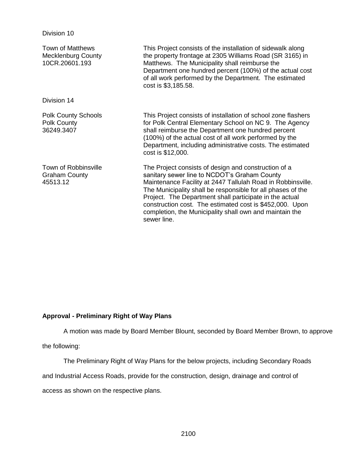| Town of Matthews<br><b>Mecklenburg County</b><br>10CR.20601.193 | This Project consists of the installation of sidewalk along<br>the property frontage at 2305 Williams Road (SR 3165) in<br>Matthews. The Municipality shall reimburse the<br>Department one hundred percent (100%) of the actual cost<br>of all work performed by the Department. The estimated<br>cost is \$3,185.58.                                                                                                              |
|-----------------------------------------------------------------|-------------------------------------------------------------------------------------------------------------------------------------------------------------------------------------------------------------------------------------------------------------------------------------------------------------------------------------------------------------------------------------------------------------------------------------|
| Division 14                                                     |                                                                                                                                                                                                                                                                                                                                                                                                                                     |
| <b>Polk County Schools</b><br>Polk County<br>36249.3407         | This Project consists of installation of school zone flashers<br>for Polk Central Elementary School on NC 9. The Agency<br>shall reimburse the Department one hundred percent<br>(100%) of the actual cost of all work performed by the<br>Department, including administrative costs. The estimated<br>cost is \$12,000.                                                                                                           |
| Town of Robbinsville<br><b>Graham County</b><br>45513.12        | The Project consists of design and construction of a<br>sanitary sewer line to NCDOT's Graham County<br>Maintenance Facility at 2447 Tallulah Road in Robbinsville.<br>The Municipality shall be responsible for all phases of the<br>Project. The Department shall participate in the actual<br>construction cost. The estimated cost is \$452,000. Upon<br>completion, the Municipality shall own and maintain the<br>sewer line. |

## **Approval - Preliminary Right of Way Plans**

A motion was made by Board Member Blount, seconded by Board Member Brown, to approve

the following:

Division 10

The Preliminary Right of Way Plans for the below projects, including Secondary Roads

and Industrial Access Roads, provide for the construction, design, drainage and control of

access as shown on the respective plans.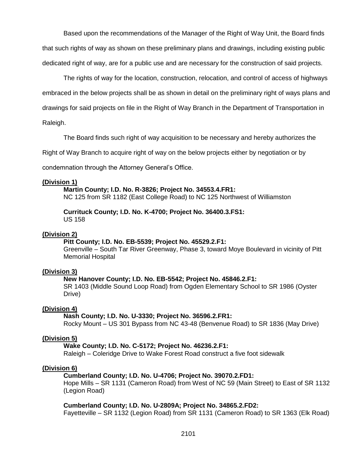Based upon the recommendations of the Manager of the Right of Way Unit, the Board finds that such rights of way as shown on these preliminary plans and drawings, including existing public dedicated right of way, are for a public use and are necessary for the construction of said projects.

The rights of way for the location, construction, relocation, and control of access of highways embraced in the below projects shall be as shown in detail on the preliminary right of ways plans and drawings for said projects on file in the Right of Way Branch in the Department of Transportation in

Raleigh.

The Board finds such right of way acquisition to be necessary and hereby authorizes the

Right of Way Branch to acquire right of way on the below projects either by negotiation or by

condemnation through the Attorney General's Office.

## **(Division 1)**

**Martin County; I.D. No. R-3826; Project No. 34553.4.FR1:**

NC 125 from SR 1182 (East College Road) to NC 125 Northwest of Williamston

**Currituck County; I.D. No. K-4700; Project No. 36400.3.FS1:** US 158

### **(Division 2)**

### **Pitt County; I.D. No. EB-5539; Project No. 45529.2.F1:**

Greenville – South Tar River Greenway, Phase 3, toward Moye Boulevard in vicinity of Pitt Memorial Hospital

## **(Division 3)**

### **New Hanover County; I.D. No. EB-5542; Project No. 45846.2.F1:**

SR 1403 (Middle Sound Loop Road) from Ogden Elementary School to SR 1986 (Oyster Drive)

### **(Division 4)**

### **Nash County; I.D. No. U-3330; Project No. 36596.2.FR1:**

Rocky Mount – US 301 Bypass from NC 43-48 (Benvenue Road) to SR 1836 (May Drive)

### **(Division 5)**

**Wake County; I.D. No. C-5172; Project No. 46236.2.F1:**

Raleigh – Coleridge Drive to Wake Forest Road construct a five foot sidewalk

### **(Division 6)**

### **Cumberland County; I.D. No. U-4706; Project No. 39070.2.FD1:**

Hope Mills – SR 1131 (Cameron Road) from West of NC 59 (Main Street) to East of SR 1132 (Legion Road)

## **Cumberland County; I.D. No. U-2809A; Project No. 34865.2.FD2:**

Fayetteville – SR 1132 (Legion Road) from SR 1131 (Cameron Road) to SR 1363 (Elk Road)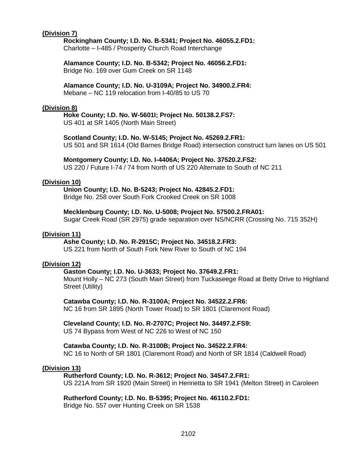## **(Division 7)**

## **Rockingham County; I.D. No. B-5341; Project No. 46055.2.FD1:**

Charlotte – I-485 / Prosperity Church Road Interchange

**Alamance County; I.D. No. B-5342; Project No. 46056.2.FD1:** Bridge No. 169 over Gum Creek on SR 1148

# **Alamance County; I.D. No. U-3109A; Project No. 34900.2.FR4:**

Mebane – NC 119 relocation from I-40/85 to US 70

## **(Division 8)**

## **Hoke County; I.D. No. W-5601I; Project No. 50138.2.FS7:**

US 401 at SR 1405 (North Main Street)

## **Scotland County; I.D. No. W-5145; Project No. 45269.2.FR1:**

US 501 and SR 1614 (Old Barnes Bridge Road) intersection construct turn lanes on US 501

### **Montgomery County; I.D. No. I-4406A; Project No. 37520.2.FS2:**

US 220 / Future I-74 / 74 from North of US 220 Alternate to South of NC 211

## **(Division 10)**

### **Union County; I.D. No. B-5243; Project No. 42845.2.FD1:**

Bridge No. 258 over South Fork Crooked Creek on SR 1008

## **Mecklenburg County; I.D. No. U-5008; Project No. 57500.2.FRA01:**

Sugar Creek Road (SR 2975) grade separation over NS/NCRR (Crossing No. 715 352H)

## **(Division 11)**

## **Ashe County; I.D. No. R-2915C; Project No. 34518.2.FR3:**

US 221 from North of South Fork New River to South of NC 194

## **(Division 12)**

## **Gaston County; I.D. No. U-3633; Project No. 37649.2.FR1:**

Mount Holly – NC 273 (South Main Street) from Tuckaseege Road at Betty Drive to Highland Street (Utility)

### **Catawba County; I.D. No. R-3100A; Project No. 34522.2.FR6:**

NC 16 from SR 1895 (North Tower Road) to SR 1801 (Claremont Road)

### **Cleveland County; I.D. No. R-2707C; Project No. 34497.2.FS9:**

US 74 Bypass from West of NC 226 to West of NC 150

### **Catawba County; I.D. No. R-3100B; Project No. 34522.2.FR4:**

NC 16 to North of SR 1801 (Claremont Road) and North of SR 1814 (Caldwell Road)

### **(Division 13)**

### **Rutherford County; I.D. No. R-3612; Project No. 34547.2.FR1:**

US 221A from SR 1920 (Main Street) in Henrietta to SR 1941 (Melton Street) in Caroleen

## **Rutherford County; I.D. No. B-5395; Project No. 46110.2.FD1:**

Bridge No. 557 over Hunting Creek on SR 1538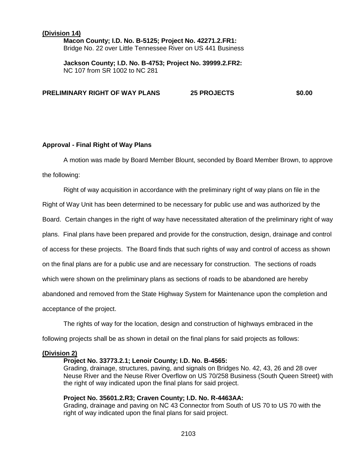## **(Division 14) Macon County; I.D. No. B-5125; Project No. 42271.2.FR1:** Bridge No. 22 over Little Tennessee River on US 441 Business

**Jackson County; I.D. No. B-4753; Project No. 39999.2.FR2:** NC 107 from SR 1002 to NC 281

**PRELIMINARY RIGHT OF WAY PLANS 25 PROJECTS \$0.00**

## **Approval - Final Right of Way Plans**

A motion was made by Board Member Blount, seconded by Board Member Brown, to approve the following:

Right of way acquisition in accordance with the preliminary right of way plans on file in the Right of Way Unit has been determined to be necessary for public use and was authorized by the Board. Certain changes in the right of way have necessitated alteration of the preliminary right of way plans. Final plans have been prepared and provide for the construction, design, drainage and control of access for these projects. The Board finds that such rights of way and control of access as shown on the final plans are for a public use and are necessary for construction. The sections of roads which were shown on the preliminary plans as sections of roads to be abandoned are hereby abandoned and removed from the State Highway System for Maintenance upon the completion and acceptance of the project.

The rights of way for the location, design and construction of highways embraced in the

following projects shall be as shown in detail on the final plans for said projects as follows:

### **(Division 2)**

## **Project No. 33773.2.1; Lenoir County; I.D. No. B-4565:**

Grading, drainage, structures, paving, and signals on Bridges No. 42, 43, 26 and 28 over Neuse River and the Neuse River Overflow on US 70/258 Business (South Queen Street) with the right of way indicated upon the final plans for said project.

### **Project No. 35601.2.R3; Craven County; I.D. No. R-4463AA:**

Grading, drainage and paving on NC 43 Connector from South of US 70 to US 70 with the right of way indicated upon the final plans for said project.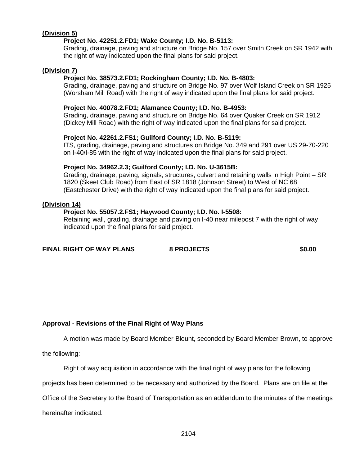## **(Division 5)**

## **Project No. 42251.2.FD1; Wake County; I.D. No. B-5113:**

Grading, drainage, paving and structure on Bridge No. 157 over Smith Creek on SR 1942 with the right of way indicated upon the final plans for said project.

#### **(Division 7)**

### **Project No. 38573.2.FD1; Rockingham County; I.D. No. B-4803:**

Grading, drainage, paving and structure on Bridge No. 97 over Wolf Island Creek on SR 1925 (Worsham Mill Road) with the right of way indicated upon the final plans for said project.

### **Project No. 40078.2.FD1; Alamance County; I.D. No. B-4953:**

Grading, drainage, paving and structure on Bridge No. 64 over Quaker Creek on SR 1912 (Dickey Mill Road) with the right of way indicated upon the final plans for said project.

#### **Project No. 42261.2.FS1; Guilford County; I.D. No. B-5119:**

ITS, grading, drainage, paving and structures on Bridge No. 349 and 291 over US 29-70-220 on I-40/I-85 with the right of way indicated upon the final plans for said project.

#### **Project No. 34962.2.3; Guilford County; I.D. No. U-3615B:**

Grading, drainage, paving, signals, structures, culvert and retaining walls in High Point – SR 1820 (Skeet Club Road) from East of SR 1818 (Johnson Street) to West of NC 68 (Eastchester Drive) with the right of way indicated upon the final plans for said project.

## **(Division 14)**

#### **Project No. 55057.2.FS1; Haywood County; I.D. No. I-5508:**

Retaining wall, grading, drainage and paving on I-40 near milepost 7 with the right of way indicated upon the final plans for said project.

**FINAL RIGHT OF WAY PLANS 8 PROJECTS \$0.00**

## **Approval - Revisions of the Final Right of Way Plans**

A motion was made by Board Member Blount, seconded by Board Member Brown, to approve

the following:

Right of way acquisition in accordance with the final right of way plans for the following

projects has been determined to be necessary and authorized by the Board. Plans are on file at the

Office of the Secretary to the Board of Transportation as an addendum to the minutes of the meetings

hereinafter indicated.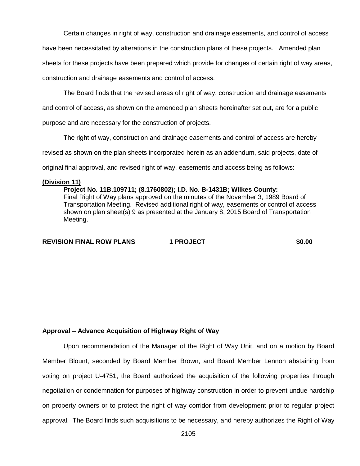Certain changes in right of way, construction and drainage easements, and control of access

have been necessitated by alterations in the construction plans of these projects. Amended plan sheets for these projects have been prepared which provide for changes of certain right of way areas,

construction and drainage easements and control of access.

The Board finds that the revised areas of right of way, construction and drainage easements

and control of access, as shown on the amended plan sheets hereinafter set out, are for a public

purpose and are necessary for the construction of projects.

The right of way, construction and drainage easements and control of access are hereby

revised as shown on the plan sheets incorporated herein as an addendum, said projects, date of

original final approval, and revised right of way, easements and access being as follows:

### **(Division 11)**

**Project No. 11B.109711; (8.1760802); I.D. No. B-1431B; Wilkes County:** Final Right of Way plans approved on the minutes of the November 3, 1989 Board of Transportation Meeting. Revised additional right of way, easements or control of access shown on plan sheet(s) 9 as presented at the January 8, 2015 Board of Transportation Meeting.

**REVISION FINAL ROW PLANS 1 PROJECT \$0.00**

### **Approval – Advance Acquisition of Highway Right of Way**

Upon recommendation of the Manager of the Right of Way Unit, and on a motion by Board Member Blount, seconded by Board Member Brown, and Board Member Lennon abstaining from voting on project U-4751, the Board authorized the acquisition of the following properties through negotiation or condemnation for purposes of highway construction in order to prevent undue hardship on property owners or to protect the right of way corridor from development prior to regular project approval. The Board finds such acquisitions to be necessary, and hereby authorizes the Right of Way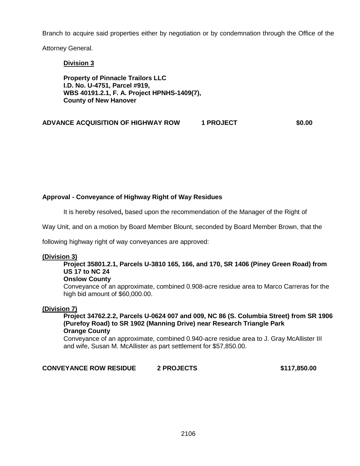Branch to acquire said properties either by negotiation or by condemnation through the Office of the

Attorney General.

**Division 3**

**Property of Pinnacle Trailors LLC I.D. No. U-4751, Parcel #919, WBS 40191.2.1, F. A. Project HPNHS-1409(7), County of New Hanover**

## **ADVANCE ACQUISITION OF HIGHWAY ROW 1 PROJECT \$0.00**

## **Approval - Conveyance of Highway Right of Way Residues**

It is hereby resolved**,** based upon the recommendation of the Manager of the Right of

Way Unit, and on a motion by Board Member Blount, seconded by Board Member Brown, that the

following highway right of way conveyances are approved:

### **(Division 3)**

## **Project 35801.2.1, Parcels U-3810 165, 166, and 170, SR 1406 (Piney Green Road) from US 17 to NC 24**

## **Onslow County**

Conveyance of an approximate, combined 0.908-acre residue area to Marco Carreras for the high bid amount of \$60,000.00.

### **(Division 7)**

**Project 34762.2.2, Parcels U-0624 007 and 009, NC 86 (S. Columbia Street) from SR 1906 (Purefoy Road) to SR 1902 (Manning Drive) near Research Triangle Park Orange County**

Conveyance of an approximate, combined 0.940-acre residue area to J. Gray McAllister III and wife, Susan M. McAllister as part settlement for \$57,850.00.

## **CONVEYANCE ROW RESIDUE 2 PROJECTS \$117,850.00**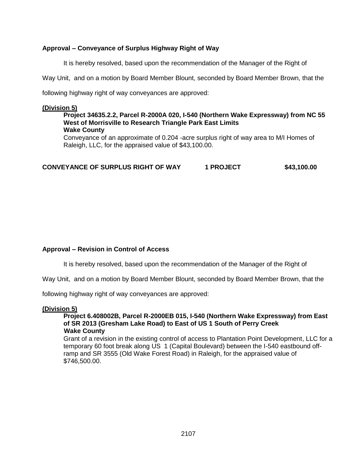## **Approval – Conveyance of Surplus Highway Right of Way**

It is hereby resolved, based upon the recommendation of the Manager of the Right of

Way Unit, and on a motion by Board Member Blount, seconded by Board Member Brown, that the

following highway right of way conveyances are approved:

## **(Division 5)**

#### **Project 34635.2.2, Parcel R-2000A 020, I-540 (Northern Wake Expressway) from NC 55 West of Morrisville to Research Triangle Park East Limits Wake County**

Conveyance of an approximate of 0.204 -acre surplus right of way area to M/I Homes of Raleigh, LLC, for the appraised value of \$43,100.00.

**CONVEYANCE OF SURPLUS RIGHT OF WAY 1 PROJECT \$43,100.00**

## **Approval – Revision in Control of Access**

It is hereby resolved, based upon the recommendation of the Manager of the Right of

Way Unit, and on a motion by Board Member Blount, seconded by Board Member Brown, that the

following highway right of way conveyances are approved:

### **(Division 5)**

#### **Project 6.408002B, Parcel R-2000EB 015, I-540 (Northern Wake Expressway) from East of SR 2013 (Gresham Lake Road) to East of US 1 South of Perry Creek Wake County**

Grant of a revision in the existing control of access to Plantation Point Development, LLC for a temporary 60 foot break along US 1 (Capital Boulevard) between the I-540 eastbound offramp and SR 3555 (Old Wake Forest Road) in Raleigh, for the appraised value of \$746,500.00.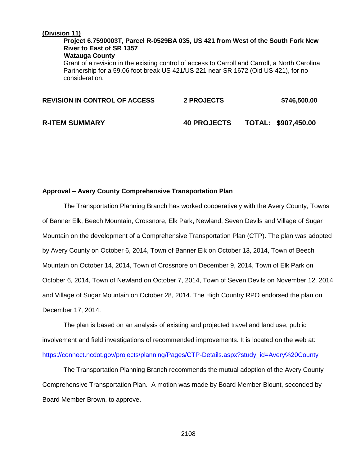## **(Division 11)**

**Project 6.7590003T, Parcel R-0529BA 035, US 421 from West of the South Fork New River to East of SR 1357 Watauga County**  Grant of a revision in the existing control of access to Carroll and Carroll, a North Carolina Partnership for a 59.06 foot break US 421/US 221 near SR 1672 (Old US 421), for no consideration.

| <b>REVISION IN CONTROL OF ACCESS</b> | <b>2 PROJECTS</b>  | \$746,500.00        |
|--------------------------------------|--------------------|---------------------|
| <b>R-ITEM SUMMARY</b>                | <b>40 PROJECTS</b> | TOTAL: \$907,450.00 |

## **Approval – Avery County Comprehensive Transportation Plan**

The Transportation Planning Branch has worked cooperatively with the Avery County, Towns of Banner Elk, Beech Mountain, Crossnore, Elk Park, Newland, Seven Devils and Village of Sugar Mountain on the development of a Comprehensive Transportation Plan (CTP). The plan was adopted by Avery County on October 6, 2014, Town of Banner Elk on October 13, 2014, Town of Beech Mountain on October 14, 2014, Town of Crossnore on December 9, 2014, Town of Elk Park on October 6, 2014, Town of Newland on October 7, 2014, Town of Seven Devils on November 12, 2014 and Village of Sugar Mountain on October 28, 2014. The High Country RPO endorsed the plan on December 17, 2014.

The plan is based on an analysis of existing and projected travel and land use, public involvement and field investigations of recommended improvements. It is located on the web at: [https://connect.ncdot.gov/projects/planning/Pages/CTP-Details.aspx?study\\_id=Avery%20County](https://connect.ncdot.gov/projects/planning/Pages/CTP-Details.aspx?study_id=Avery%20County)

The Transportation Planning Branch recommends the mutual adoption of the Avery County Comprehensive Transportation Plan. A motion was made by Board Member Blount, seconded by Board Member Brown, to approve.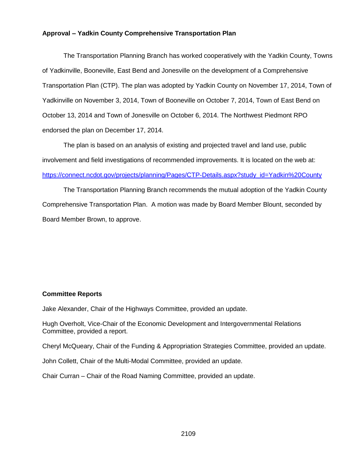### **Approval – Yadkin County Comprehensive Transportation Plan**

The Transportation Planning Branch has worked cooperatively with the Yadkin County, Towns of Yadkinville, Booneville, East Bend and Jonesville on the development of a Comprehensive Transportation Plan (CTP). The plan was adopted by Yadkin County on November 17, 2014, Town of Yadkinville on November 3, 2014, Town of Booneville on October 7, 2014, Town of East Bend on October 13, 2014 and Town of Jonesville on October 6, 2014. The Northwest Piedmont RPO endorsed the plan on December 17, 2014.

The plan is based on an analysis of existing and projected travel and land use, public involvement and field investigations of recommended improvements. It is located on the web at: [https://connect.ncdot.gov/projects/planning/Pages/CTP-Details.aspx?study\\_id=Yadkin%20County](https://connect.ncdot.gov/projects/planning/Pages/CTP-Details.aspx?study_id=Yadkin%20County)

The Transportation Planning Branch recommends the mutual adoption of the Yadkin County Comprehensive Transportation Plan. A motion was made by Board Member Blount, seconded by Board Member Brown, to approve.

## **Committee Reports**

Jake Alexander, Chair of the Highways Committee, provided an update.

Hugh Overholt, Vice-Chair of the Economic Development and Intergovernmental Relations Committee, provided a report.

Cheryl McQueary, Chair of the Funding & Appropriation Strategies Committee, provided an update.

John Collett, Chair of the Multi-Modal Committee, provided an update.

Chair Curran – Chair of the Road Naming Committee, provided an update.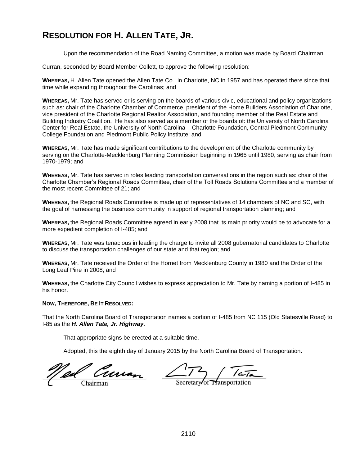# **RESOLUTION FOR H. ALLEN TATE, JR.**

Upon the recommendation of the Road Naming Committee, a motion was made by Board Chairman

Curran, seconded by Board Member Collett, to approve the following resolution:

**WHEREAS,** H. Allen Tate opened the Allen Tate Co., in Charlotte, NC in 1957 and has operated there since that time while expanding throughout the Carolinas; and

**WHEREAS,** Mr. Tate has served or is serving on the boards of various civic, educational and policy organizations such as: chair of the Charlotte Chamber of Commerce, president of the Home Builders Association of Charlotte, vice president of the Charlotte Regional Realtor Association, and founding member of the Real Estate and Building Industry Coalition. He has also served as a member of the boards of: the University of North Carolina Center for Real Estate, the University of North Carolina – Charlotte Foundation, Central Piedmont Community College Foundation and Piedmont Public Policy Institute; and

**WHEREAS,** Mr. Tate has made significant contributions to the development of the Charlotte community by serving on the Charlotte-Mecklenburg Planning Commission beginning in 1965 until 1980, serving as chair from 1970-1979; and

**WHEREAS,** Mr. Tate has served in roles leading transportation conversations in the region such as: chair of the Charlotte Chamber's Regional Roads Committee, chair of the Toll Roads Solutions Committee and a member of the most recent Committee of 21; and

**WHEREAS,** the Regional Roads Committee is made up of representatives of 14 chambers of NC and SC, with the goal of harnessing the business community in support of regional transportation planning; and

**WHEREAS,** the Regional Roads Committee agreed in early 2008 that its main priority would be to advocate for a more expedient completion of I-485; and

**WHEREAS,** Mr. Tate was tenacious in leading the charge to invite all 2008 gubernatorial candidates to Charlotte to discuss the transportation challenges of our state and that region; and

**WHEREAS,** Mr. Tate received the Order of the Hornet from Mecklenburg County in 1980 and the Order of the Long Leaf Pine in 2008; and

**WHEREAS,** the Charlotte City Council wishes to express appreciation to Mr. Tate by naming a portion of I-485 in his honor.

#### **NOW, THEREFORE, BE IT RESOLVED:**

That the North Carolina Board of Transportation names a portion of I-485 from NC 115 (Old Statesville Road) to I-85 as the *H. Allen Tate, Jr. Highway.*

That appropriate signs be erected at a suitable time.

Adopted, this the eighth day of January 2015 by the North Carolina Board of Transportation.

ed Curran